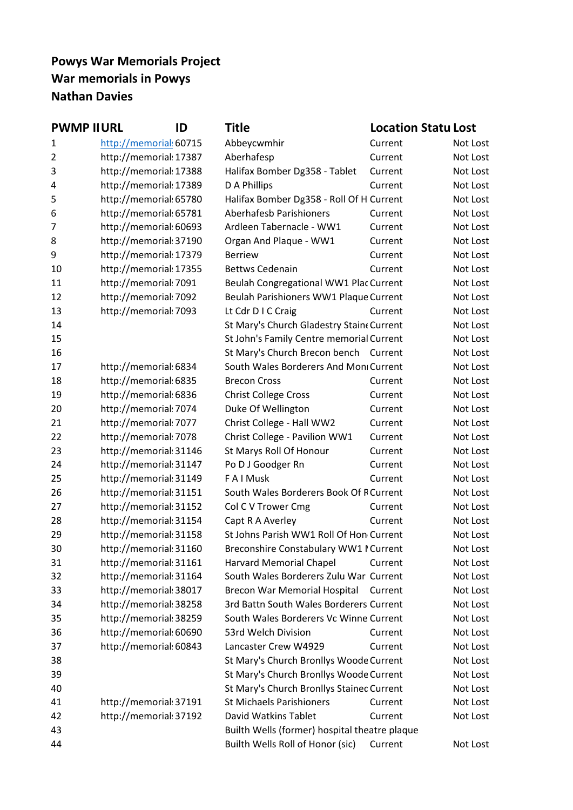# **Powys War Memorials Project War memorials in Powys Nathan Davies**

| <b>PWMP II URL</b><br>ID | Title                                                                      |                                             |                                                                                                                                                                                                                                                                                                                                                                                                                                                                                                                                                                                                                                                                                                                                                                                                     |
|--------------------------|----------------------------------------------------------------------------|---------------------------------------------|-----------------------------------------------------------------------------------------------------------------------------------------------------------------------------------------------------------------------------------------------------------------------------------------------------------------------------------------------------------------------------------------------------------------------------------------------------------------------------------------------------------------------------------------------------------------------------------------------------------------------------------------------------------------------------------------------------------------------------------------------------------------------------------------------------|
| http://memorial: 60715   | Abbeycwmhir                                                                | Current                                     | Not Lost                                                                                                                                                                                                                                                                                                                                                                                                                                                                                                                                                                                                                                                                                                                                                                                            |
| http://memorial: 17387   | Aberhafesp                                                                 | Current                                     | Not Lost                                                                                                                                                                                                                                                                                                                                                                                                                                                                                                                                                                                                                                                                                                                                                                                            |
| http://memorial: 17388   | Halifax Bomber Dg358 - Tablet                                              | Current                                     | Not Lost                                                                                                                                                                                                                                                                                                                                                                                                                                                                                                                                                                                                                                                                                                                                                                                            |
| http://memorial: 17389   | D A Phillips                                                               | Current                                     | Not Lost                                                                                                                                                                                                                                                                                                                                                                                                                                                                                                                                                                                                                                                                                                                                                                                            |
| http://memorial: 65780   |                                                                            |                                             | Not Lost                                                                                                                                                                                                                                                                                                                                                                                                                                                                                                                                                                                                                                                                                                                                                                                            |
| http://memorial: 65781   | Aberhafesb Parishioners                                                    | Current                                     | Not Lost                                                                                                                                                                                                                                                                                                                                                                                                                                                                                                                                                                                                                                                                                                                                                                                            |
| http://memorial: 60693   | Ardleen Tabernacle - WW1                                                   | Current                                     | Not Lost                                                                                                                                                                                                                                                                                                                                                                                                                                                                                                                                                                                                                                                                                                                                                                                            |
| http://memorial: 37190   | Organ And Plaque - WW1                                                     | Current                                     | Not Lost                                                                                                                                                                                                                                                                                                                                                                                                                                                                                                                                                                                                                                                                                                                                                                                            |
| http://memorial: 17379   | <b>Berriew</b>                                                             | Current                                     | Not Lost                                                                                                                                                                                                                                                                                                                                                                                                                                                                                                                                                                                                                                                                                                                                                                                            |
| http://memorial: 17355   | <b>Bettws Cedenain</b>                                                     | Current                                     | Not Lost                                                                                                                                                                                                                                                                                                                                                                                                                                                                                                                                                                                                                                                                                                                                                                                            |
| http://memorial: 7091    |                                                                            |                                             | Not Lost                                                                                                                                                                                                                                                                                                                                                                                                                                                                                                                                                                                                                                                                                                                                                                                            |
| http://memorial: 7092    |                                                                            |                                             | Not Lost                                                                                                                                                                                                                                                                                                                                                                                                                                                                                                                                                                                                                                                                                                                                                                                            |
| http://memorial: 7093    | Lt Cdr D I C Craig                                                         | Current                                     | Not Lost                                                                                                                                                                                                                                                                                                                                                                                                                                                                                                                                                                                                                                                                                                                                                                                            |
|                          |                                                                            |                                             | Not Lost                                                                                                                                                                                                                                                                                                                                                                                                                                                                                                                                                                                                                                                                                                                                                                                            |
|                          |                                                                            |                                             | Not Lost                                                                                                                                                                                                                                                                                                                                                                                                                                                                                                                                                                                                                                                                                                                                                                                            |
|                          |                                                                            |                                             | Not Lost                                                                                                                                                                                                                                                                                                                                                                                                                                                                                                                                                                                                                                                                                                                                                                                            |
| http://memorial: 6834    |                                                                            |                                             | Not Lost                                                                                                                                                                                                                                                                                                                                                                                                                                                                                                                                                                                                                                                                                                                                                                                            |
| http://memorial: 6835    | <b>Brecon Cross</b>                                                        | Current                                     | Not Lost                                                                                                                                                                                                                                                                                                                                                                                                                                                                                                                                                                                                                                                                                                                                                                                            |
| http://memorial: 6836    | <b>Christ College Cross</b>                                                | Current                                     | Not Lost                                                                                                                                                                                                                                                                                                                                                                                                                                                                                                                                                                                                                                                                                                                                                                                            |
| http://memorial: 7074    | Duke Of Wellington                                                         | Current                                     | Not Lost                                                                                                                                                                                                                                                                                                                                                                                                                                                                                                                                                                                                                                                                                                                                                                                            |
| http://memorial: 7077    | Christ College - Hall WW2                                                  | Current                                     | Not Lost                                                                                                                                                                                                                                                                                                                                                                                                                                                                                                                                                                                                                                                                                                                                                                                            |
| http://memorial: 7078    | Christ College - Pavilion WW1                                              | Current                                     | Not Lost                                                                                                                                                                                                                                                                                                                                                                                                                                                                                                                                                                                                                                                                                                                                                                                            |
| http://memorial: 31146   | St Marys Roll Of Honour                                                    | Current                                     | Not Lost                                                                                                                                                                                                                                                                                                                                                                                                                                                                                                                                                                                                                                                                                                                                                                                            |
| http://memorial: 31147   | Po D J Goodger Rn                                                          | Current                                     | Not Lost                                                                                                                                                                                                                                                                                                                                                                                                                                                                                                                                                                                                                                                                                                                                                                                            |
| http://memorial: 31149   | F A I Musk                                                                 | Current                                     | Not Lost                                                                                                                                                                                                                                                                                                                                                                                                                                                                                                                                                                                                                                                                                                                                                                                            |
| http://memorial: 31151   |                                                                            |                                             | Not Lost                                                                                                                                                                                                                                                                                                                                                                                                                                                                                                                                                                                                                                                                                                                                                                                            |
| http://memorial: 31152   | Col C V Trower Cmg                                                         | Current                                     | Not Lost                                                                                                                                                                                                                                                                                                                                                                                                                                                                                                                                                                                                                                                                                                                                                                                            |
| http://memorial: 31154   | Capt R A Averley                                                           | Current                                     | Not Lost                                                                                                                                                                                                                                                                                                                                                                                                                                                                                                                                                                                                                                                                                                                                                                                            |
| http://memorial: 31158   |                                                                            |                                             | Not Lost                                                                                                                                                                                                                                                                                                                                                                                                                                                                                                                                                                                                                                                                                                                                                                                            |
| http://memorial: 31160   |                                                                            |                                             | Not Lost                                                                                                                                                                                                                                                                                                                                                                                                                                                                                                                                                                                                                                                                                                                                                                                            |
| http://memorial: 31161   | <b>Harvard Memorial Chapel</b>                                             | Current                                     | Not Lost                                                                                                                                                                                                                                                                                                                                                                                                                                                                                                                                                                                                                                                                                                                                                                                            |
| http://memorial: 31164   |                                                                            |                                             | Not Lost                                                                                                                                                                                                                                                                                                                                                                                                                                                                                                                                                                                                                                                                                                                                                                                            |
| http://memorial: 38017   | Brecon War Memorial Hospital                                               |                                             | Not Lost                                                                                                                                                                                                                                                                                                                                                                                                                                                                                                                                                                                                                                                                                                                                                                                            |
| http://memorial: 38258   |                                                                            |                                             | Not Lost                                                                                                                                                                                                                                                                                                                                                                                                                                                                                                                                                                                                                                                                                                                                                                                            |
|                          |                                                                            |                                             | Not Lost                                                                                                                                                                                                                                                                                                                                                                                                                                                                                                                                                                                                                                                                                                                                                                                            |
|                          |                                                                            | Current                                     | Not Lost                                                                                                                                                                                                                                                                                                                                                                                                                                                                                                                                                                                                                                                                                                                                                                                            |
|                          |                                                                            | Current                                     | Not Lost                                                                                                                                                                                                                                                                                                                                                                                                                                                                                                                                                                                                                                                                                                                                                                                            |
|                          |                                                                            |                                             | Not Lost                                                                                                                                                                                                                                                                                                                                                                                                                                                                                                                                                                                                                                                                                                                                                                                            |
|                          |                                                                            |                                             | Not Lost                                                                                                                                                                                                                                                                                                                                                                                                                                                                                                                                                                                                                                                                                                                                                                                            |
|                          |                                                                            |                                             | Not Lost                                                                                                                                                                                                                                                                                                                                                                                                                                                                                                                                                                                                                                                                                                                                                                                            |
| http://memorial: 37191   | <b>St Michaels Parishioners</b>                                            | Current                                     | Not Lost                                                                                                                                                                                                                                                                                                                                                                                                                                                                                                                                                                                                                                                                                                                                                                                            |
| http://memorial: 37192   | David Watkins Tablet                                                       | Current                                     | Not Lost                                                                                                                                                                                                                                                                                                                                                                                                                                                                                                                                                                                                                                                                                                                                                                                            |
|                          |                                                                            |                                             |                                                                                                                                                                                                                                                                                                                                                                                                                                                                                                                                                                                                                                                                                                                                                                                                     |
|                          | Builth Wells Roll of Honor (sic)                                           | Current                                     | Not Lost                                                                                                                                                                                                                                                                                                                                                                                                                                                                                                                                                                                                                                                                                                                                                                                            |
|                          | http://memorial: 38259<br>http://memorial: 60690<br>http://memorial: 60843 | 53rd Welch Division<br>Lancaster Crew W4929 | <b>Location Statu Lost</b><br>Halifax Bomber Dg358 - Roll Of H Current<br>Beulah Congregational WW1 Plac Current<br>Beulah Parishioners WW1 Plaque Current<br>St Mary's Church Gladestry Stain «Current<br>St John's Family Centre memorial Current<br>St Mary's Church Brecon bench Current<br>South Wales Borderers And Mon Current<br>South Wales Borderers Book Of F Current<br>St Johns Parish WW1 Roll Of Hon Current<br>Breconshire Constabulary WW1 I Current<br>South Wales Borderers Zulu War Current<br>Current<br>3rd Battn South Wales Borderers Current<br>South Wales Borderers Vc Winne Current<br>St Mary's Church Bronllys Woode Current<br>St Mary's Church Bronllys Woode Current<br>St Mary's Church Bronllys Stainec Current<br>Builth Wells (former) hospital theatre plaque |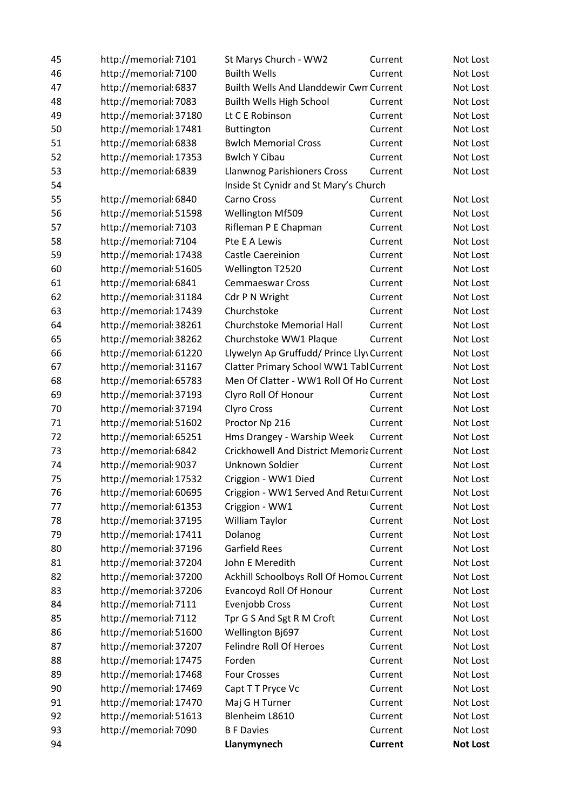| 45 | http://memorial: 7101  | St Marys Church - WW2                    | Current        | Not Lost        |
|----|------------------------|------------------------------------------|----------------|-----------------|
| 46 | http://memorial: 7100  | <b>Builth Wells</b>                      | Current        | Not Lost        |
| 47 | http://memorial: 6837  | Builth Wells And Llanddewir Cwn Current  |                | Not Lost        |
| 48 | http://memorial: 7083  | Builth Wells High School                 | Current        | Not Lost        |
| 49 | http://memorial: 37180 | Lt C E Robinson                          | Current        | Not Lost        |
| 50 | http://memorial: 17481 | Buttington                               | Current        | Not Lost        |
| 51 | http://memorial: 6838  | <b>Bwlch Memorial Cross</b>              | Current        | Not Lost        |
| 52 | http://memorial: 17353 | <b>Bwlch Y Cibau</b>                     | Current        | Not Lost        |
| 53 | http://memorial: 6839  | <b>Llanwnog Parishioners Cross</b>       | Current        | Not Lost        |
| 54 |                        | Inside St Cynidr and St Mary's Church    |                |                 |
| 55 | http://memorial: 6840  | Carno Cross                              | Current        | Not Lost        |
| 56 | http://memorial: 51598 | <b>Wellington Mf509</b>                  | Current        | Not Lost        |
| 57 | http://memorial: 7103  | Rifleman P E Chapman                     | Current        | Not Lost        |
| 58 | http://memorial: 7104  | Pte E A Lewis                            | Current        | Not Lost        |
| 59 | http://memorial: 17438 | Castle Caereinion                        | Current        | Not Lost        |
| 60 | http://memorial: 51605 | Wellington T2520                         | Current        | Not Lost        |
| 61 | http://memorial: 6841  | <b>Cemmaeswar Cross</b>                  | Current        | Not Lost        |
| 62 | http://memorial: 31184 | Cdr P N Wright                           | Current        | Not Lost        |
| 63 | http://memorial: 17439 | Churchstoke                              | Current        | Not Lost        |
| 64 | http://memorial: 38261 | Churchstoke Memorial Hall                | Current        | Not Lost        |
| 65 | http://memorial: 38262 | Churchstoke WW1 Plaque                   | Current        | Not Lost        |
| 66 | http://memorial: 61220 | Llywelyn Ap Gruffudd/ Prince Lly Current |                | Not Lost        |
| 67 | http://memorial: 31167 | Clatter Primary School WW1 Tabl Current  |                | Not Lost        |
| 68 | http://memorial: 65783 | Men Of Clatter - WW1 Roll Of Ho Current  |                | Not Lost        |
| 69 | http://memorial: 37193 | Clyro Roll Of Honour                     | Current        | Not Lost        |
| 70 | http://memorial: 37194 | <b>Clyro Cross</b>                       | Current        | Not Lost        |
| 71 | http://memorial: 51602 | Proctor Np 216                           | Current        | Not Lost        |
| 72 | http://memorial: 65251 | Hms Drangey - Warship Week               | Current        | Not Lost        |
| 73 | http://memorial: 6842  | Crickhowell And District Memoria Current |                | Not Lost        |
| 74 | http://memorial: 9037  | Unknown Soldier                          | Current        | Not Lost        |
| 75 | http://memorial: 17532 | Criggion - WW1 Died                      | Current        | Not Lost        |
| 76 | http://memorial: 60695 | Criggion - WW1 Served And Retu Current   |                | Not Lost        |
| 77 | http://memorial: 61353 | Criggion - WW1                           | Current        | Not Lost        |
| 78 | http://memorial: 37195 | William Taylor                           | Current        | Not Lost        |
| 79 | http://memorial: 17411 | Dolanog                                  | Current        | Not Lost        |
| 80 | http://memorial: 37196 | <b>Garfield Rees</b>                     | Current        | Not Lost        |
| 81 | http://memorial: 37204 | John E Meredith                          | Current        | Not Lost        |
| 82 | http://memorial: 37200 | Ackhill Schoolboys Roll Of Homot Current |                | Not Lost        |
| 83 | http://memorial: 37206 | Evancoyd Roll Of Honour                  | Current        | Not Lost        |
| 84 | http://memorial: 7111  | Evenjobb Cross                           | Current        | Not Lost        |
| 85 | http://memorial: 7112  | Tpr G S And Sgt R M Croft                | Current        | Not Lost        |
| 86 | http://memorial: 51600 | Wellington Bj697                         | Current        | Not Lost        |
| 87 | http://memorial: 37207 | <b>Felindre Roll Of Heroes</b>           | Current        | Not Lost        |
| 88 | http://memorial: 17475 | Forden                                   | Current        | Not Lost        |
| 89 | http://memorial: 17468 | <b>Four Crosses</b>                      | Current        | Not Lost        |
| 90 | http://memorial: 17469 | Capt T T Pryce Vc                        | Current        | Not Lost        |
| 91 | http://memorial: 17470 | Maj G H Turner                           | Current        | Not Lost        |
| 92 | http://memorial: 51613 | Blenheim L8610                           | Current        | Not Lost        |
| 93 | http://memorial: 7090  | <b>B F Davies</b>                        | Current        | Not Lost        |
|    |                        |                                          |                |                 |
| 94 |                        | Llanymynech                              | <b>Current</b> | <b>Not Lost</b> |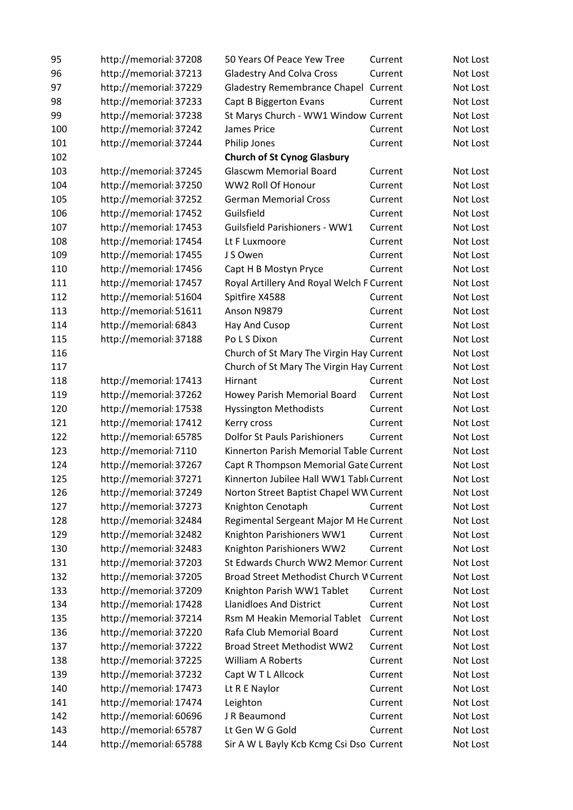| 95  | http://memorial: 37208 | 50 Years Of Peace Yew Tree                | Current | Not Lost |
|-----|------------------------|-------------------------------------------|---------|----------|
| 96  | http://memorial: 37213 | <b>Gladestry And Colva Cross</b>          | Current | Not Lost |
| 97  | http://memorial: 37229 | Gladestry Remembrance Chapel Current      |         | Not Lost |
| 98  | http://memorial: 37233 | Capt B Biggerton Evans                    | Current | Not Lost |
| 99  | http://memorial: 37238 | St Marys Church - WW1 Window Current      |         | Not Lost |
| 100 | http://memorial: 37242 | James Price                               | Current | Not Lost |
| 101 | http://memorial: 37244 | Philip Jones                              | Current | Not Lost |
| 102 |                        | <b>Church of St Cynog Glasbury</b>        |         |          |
| 103 | http://memorial: 37245 | <b>Glascwm Memorial Board</b>             | Current | Not Lost |
| 104 | http://memorial: 37250 | WW2 Roll Of Honour                        | Current | Not Lost |
| 105 | http://memorial: 37252 | <b>German Memorial Cross</b>              | Current | Not Lost |
| 106 | http://memorial: 17452 | Guilsfield                                | Current | Not Lost |
| 107 | http://memorial: 17453 | <b>Guilsfield Parishioners - WW1</b>      | Current | Not Lost |
| 108 | http://memorial: 17454 | Lt F Luxmoore                             | Current | Not Lost |
| 109 | http://memorial: 17455 | J S Owen                                  | Current | Not Lost |
| 110 | http://memorial: 17456 | Capt H B Mostyn Pryce                     | Current | Not Lost |
| 111 | http://memorial: 17457 | Royal Artillery And Royal Welch F Current |         | Not Lost |
| 112 | http://memorial: 51604 | Spitfire X4588                            | Current | Not Lost |
| 113 | http://memorial: 51611 | Anson N9879                               | Current | Not Lost |
| 114 | http://memorial: 6843  | Hay And Cusop                             | Current | Not Lost |
| 115 | http://memorial: 37188 | Po L S Dixon                              | Current | Not Lost |
| 116 |                        | Church of St Mary The Virgin Hay Current  |         | Not Lost |
| 117 |                        | Church of St Mary The Virgin Hay Current  |         | Not Lost |
| 118 | http://memorial: 17413 | Hirnant                                   | Current | Not Lost |
| 119 | http://memorial: 37262 | Howey Parish Memorial Board               | Current | Not Lost |
| 120 | http://memorial: 17538 | <b>Hyssington Methodists</b>              | Current | Not Lost |
| 121 | http://memorial: 17412 | Kerry cross                               | Current | Not Lost |
| 122 | http://memorial: 65785 | <b>Dolfor St Pauls Parishioners</b>       | Current | Not Lost |
| 123 | http://memorial: 7110  | Kinnerton Parish Memorial Table Current   |         | Not Lost |
| 124 | http://memorial: 37267 | Capt R Thompson Memorial Gate Current     |         | Not Lost |
| 125 | http://memorial: 37271 | Kinnerton Jubilee Hall WW1 Tabl Current   |         | Not Lost |
| 126 | http://memorial: 37249 | Norton Street Baptist Chapel WW Current   |         | Not Lost |
| 127 | http://memorial: 37273 | Knighton Cenotaph                         | Current | Not Lost |
| 128 | http://memorial: 32484 | Regimental Sergeant Major M He Current    |         | Not Lost |
| 129 | http://memorial: 32482 | Knighton Parishioners WW1                 | Current | Not Lost |
| 130 | http://memorial: 32483 | Knighton Parishioners WW2                 | Current | Not Lost |
| 131 | http://memorial: 37203 | St Edwards Church WW2 Memor Current       |         | Not Lost |
| 132 | http://memorial: 37205 | Broad Street Methodist Church V Current   |         | Not Lost |
| 133 | http://memorial: 37209 | Knighton Parish WW1 Tablet                | Current | Not Lost |
| 134 | http://memorial: 17428 | <b>Llanidloes And District</b>            | Current | Not Lost |
| 135 | http://memorial: 37214 | Rsm M Heakin Memorial Tablet              | Current | Not Lost |
| 136 | http://memorial: 37220 | Rafa Club Memorial Board                  | Current | Not Lost |
| 137 | http://memorial: 37222 | <b>Broad Street Methodist WW2</b>         | Current | Not Lost |
| 138 | http://memorial: 37225 | <b>William A Roberts</b>                  | Current | Not Lost |
| 139 | http://memorial: 37232 | Capt W T L Allcock                        | Current | Not Lost |
| 140 | http://memorial: 17473 | Lt R E Naylor                             | Current | Not Lost |
| 141 | http://memorial: 17474 | Leighton                                  | Current | Not Lost |
| 142 | http://memorial: 60696 | J R Beaumond                              | Current | Not Lost |
| 143 | http://memorial: 65787 | Lt Gen W G Gold                           | Current | Not Lost |
| 144 | http://memorial: 65788 | Sir A W L Bayly Kcb Kcmg Csi Dso Current  |         | Not Lost |
|     |                        |                                           |         |          |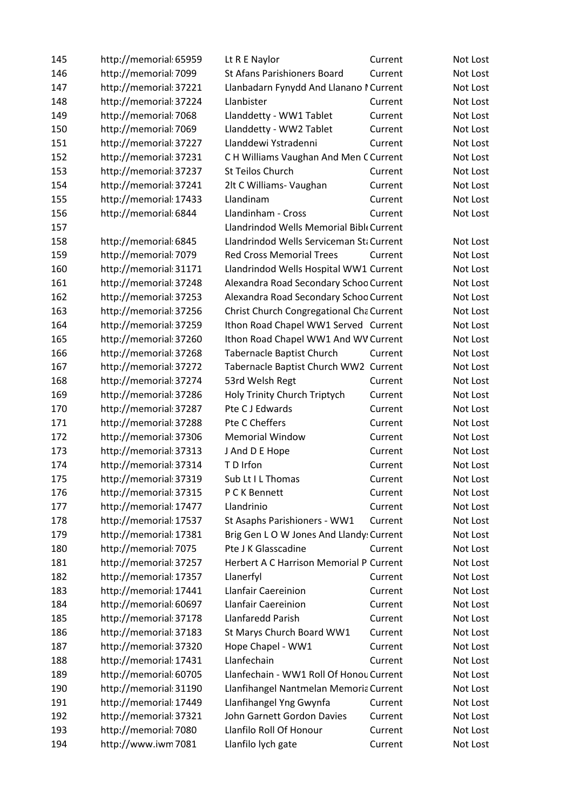| 145 | http://memorial: 65959 | Lt R E Naylor                            | Current | Not Lost |
|-----|------------------------|------------------------------------------|---------|----------|
| 146 | http://memorial: 7099  | St Afans Parishioners Board              | Current | Not Lost |
| 147 | http://memorial: 37221 | Llanbadarn Fynydd And Llanano I Current  |         | Not Lost |
| 148 | http://memorial: 37224 | Llanbister                               | Current | Not Lost |
| 149 | http://memorial: 7068  | Llanddetty - WW1 Tablet                  | Current | Not Lost |
| 150 | http://memorial: 7069  | Llanddetty - WW2 Tablet                  | Current | Not Lost |
| 151 | http://memorial: 37227 | Llanddewi Ystradenni                     | Current | Not Lost |
| 152 | http://memorial: 37231 | C H Williams Vaughan And Men C Current   |         | Not Lost |
| 153 | http://memorial: 37237 | St Teilos Church                         | Current | Not Lost |
| 154 | http://memorial: 37241 | 2lt C Williams- Vaughan                  | Current | Not Lost |
| 155 | http://memorial: 17433 | Llandinam                                | Current | Not Lost |
| 156 | http://memorial: 6844  | Llandinham - Cross                       | Current | Not Lost |
| 157 |                        | Llandrindod Wells Memorial Bibl Current  |         |          |
| 158 | http://memorial: 6845  | Llandrindod Wells Serviceman Sti Current |         | Not Lost |
| 159 | http://memorial: 7079  | <b>Red Cross Memorial Trees</b>          | Current | Not Lost |
| 160 | http://memorial: 31171 | Llandrindod Wells Hospital WW1 Current   |         | Not Lost |
| 161 | http://memorial: 37248 | Alexandra Road Secondary Schoo Current   |         | Not Lost |
| 162 | http://memorial: 37253 | Alexandra Road Secondary Schoo Current   |         | Not Lost |
| 163 | http://memorial: 37256 | Christ Church Congregational Cha Current |         | Not Lost |
| 164 | http://memorial: 37259 | Ithon Road Chapel WW1 Served Current     |         | Not Lost |
| 165 | http://memorial: 37260 | Ithon Road Chapel WW1 And WV Current     |         | Not Lost |
| 166 | http://memorial: 37268 | <b>Tabernacle Baptist Church</b>         | Current | Not Lost |
| 167 | http://memorial: 37272 | Tabernacle Baptist Church WW2 Current    |         | Not Lost |
| 168 | http://memorial: 37274 | 53rd Welsh Regt                          | Current | Not Lost |
| 169 | http://memorial: 37286 | Holy Trinity Church Triptych             | Current | Not Lost |
| 170 | http://memorial: 37287 | Pte C J Edwards                          | Current | Not Lost |
| 171 | http://memorial: 37288 | Pte C Cheffers                           | Current | Not Lost |
| 172 | http://memorial: 37306 | <b>Memorial Window</b>                   | Current | Not Lost |
| 173 | http://memorial: 37313 | J And D E Hope                           | Current | Not Lost |
| 174 | http://memorial: 37314 | T D Irfon                                | Current | Not Lost |
| 175 | http://memorial: 37319 | Sub Lt I L Thomas                        | Current | Not Lost |
| 176 | http://memorial: 37315 | P C K Bennett                            | Current | Not Lost |
| 177 | http://memorial: 17477 | Llandrinio                               | Current | Not Lost |
| 178 | http://memorial: 17537 | St Asaphs Parishioners - WW1             | Current | Not Lost |
| 179 | http://memorial: 17381 | Brig Gen L O W Jones And Llandy: Current |         | Not Lost |
| 180 | http://memorial: 7075  | Pte J K Glasscadine                      | Current | Not Lost |
| 181 | http://memorial: 37257 | Herbert A C Harrison Memorial P Current  |         | Not Lost |
| 182 | http://memorial: 17357 | Llanerfyl                                | Current | Not Lost |
| 183 | http://memorial: 17441 | Llanfair Caereinion                      | Current | Not Lost |
| 184 | http://memorial: 60697 | Llanfair Caereinion                      | Current | Not Lost |
| 185 | http://memorial: 37178 | Llanfaredd Parish                        | Current | Not Lost |
| 186 | http://memorial: 37183 | St Marys Church Board WW1                | Current | Not Lost |
| 187 | http://memorial: 37320 | Hope Chapel - WW1                        | Current | Not Lost |
| 188 | http://memorial: 17431 | Llanfechain                              | Current | Not Lost |
| 189 | http://memorial: 60705 | Llanfechain - WW1 Roll Of Honou Current  |         | Not Lost |
| 190 | http://memorial: 31190 | Llanfihangel Nantmelan Memoria Current   |         | Not Lost |
| 191 | http://memorial: 17449 | Llanfihangel Yng Gwynfa                  | Current | Not Lost |
| 192 | http://memorial: 37321 | John Garnett Gordon Davies               | Current | Not Lost |
| 193 | http://memorial: 7080  | Llanfilo Roll Of Honour                  | Current | Not Lost |
| 194 | http://www.iwm7081     | Llanfilo lych gate                       | Current | Not Lost |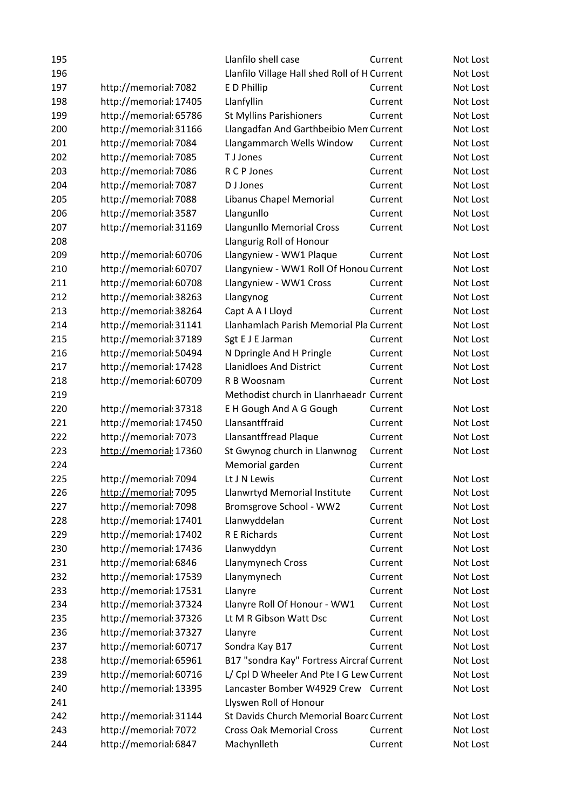| 195 |                        | Llanfilo shell case                          | Current | Not Lost |
|-----|------------------------|----------------------------------------------|---------|----------|
| 196 |                        | Llanfilo Village Hall shed Roll of H Current |         | Not Lost |
| 197 | http://memorial: 7082  | E D Phillip                                  | Current | Not Lost |
| 198 | http://memorial: 17405 | Llanfyllin                                   | Current | Not Lost |
| 199 | http://memorial: 65786 | <b>St Myllins Parishioners</b>               | Current | Not Lost |
| 200 | http://memorial: 31166 | Llangadfan And Garthbeibio Men Current       |         | Not Lost |
| 201 | http://memorial: 7084  | Llangammarch Wells Window                    | Current | Not Lost |
| 202 | http://memorial: 7085  | T J Jones                                    | Current | Not Lost |
| 203 | http://memorial: 7086  | R C P Jones                                  | Current | Not Lost |
| 204 | http://memorial: 7087  | D J Jones                                    | Current | Not Lost |
| 205 | http://memorial: 7088  | Libanus Chapel Memorial                      | Current | Not Lost |
| 206 | http://memorial: 3587  | Llangunllo                                   | Current | Not Lost |
| 207 | http://memorial: 31169 | Llangunllo Memorial Cross                    | Current | Not Lost |
| 208 |                        | Llangurig Roll of Honour                     |         |          |
| 209 | http://memorial: 60706 | Llangyniew - WW1 Plaque                      | Current | Not Lost |
| 210 | http://memorial: 60707 | Llangyniew - WW1 Roll Of Honou Current       |         | Not Lost |
| 211 | http://memorial: 60708 | Llangyniew - WW1 Cross                       | Current | Not Lost |
| 212 | http://memorial: 38263 | Llangynog                                    | Current | Not Lost |
| 213 | http://memorial: 38264 | Capt A A I Lloyd                             | Current | Not Lost |
| 214 | http://memorial: 31141 | Llanhamlach Parish Memorial Pla Current      |         | Not Lost |
| 215 | http://memorial: 37189 | Sgt E J E Jarman                             | Current | Not Lost |
| 216 | http://memorial: 50494 | N Dpringle And H Pringle                     | Current | Not Lost |
| 217 | http://memorial: 17428 | <b>Llanidloes And District</b>               | Current | Not Lost |
| 218 | http://memorial: 60709 | R B Woosnam                                  | Current | Not Lost |
| 219 |                        | Methodist church in Llanrhaeadr Current      |         |          |
| 220 | http://memorial: 37318 | E H Gough And A G Gough                      | Current | Not Lost |
| 221 | http://memorial: 17450 | Llansantffraid                               | Current | Not Lost |
| 222 | http://memorial: 7073  | Llansantffread Plaque                        | Current | Not Lost |
| 223 | http://memorial: 17360 | St Gwynog church in Llanwnog                 | Current | Not Lost |
| 224 |                        | Memorial garden                              | Current |          |
| 225 | http://memorial: 7094  | Lt J N Lewis                                 | Current | Not Lost |
| 226 | http://memorial: 7095  | Llanwrtyd Memorial Institute                 | Current | Not Lost |
| 227 | http://memorial: 7098  | Bromsgrove School - WW2                      | Current | Not Lost |
| 228 | http://memorial: 17401 | Llanwyddelan                                 | Current | Not Lost |
| 229 | http://memorial: 17402 | R E Richards                                 | Current | Not Lost |
| 230 | http://memorial: 17436 | Llanwyddyn                                   | Current | Not Lost |
| 231 | http://memorial: 6846  | Llanymynech Cross                            | Current | Not Lost |
| 232 | http://memorial: 17539 | Llanymynech                                  | Current | Not Lost |
| 233 | http://memorial: 17531 | Llanyre                                      | Current | Not Lost |
| 234 | http://memorial: 37324 | Llanyre Roll Of Honour - WW1                 | Current | Not Lost |
| 235 | http://memorial: 37326 | Lt M R Gibson Watt Dsc                       | Current | Not Lost |
| 236 | http://memorial: 37327 | Llanyre                                      | Current | Not Lost |
| 237 | http://memorial: 60717 | Sondra Kay B17                               | Current | Not Lost |
| 238 | http://memorial: 65961 | B17 "sondra Kay" Fortress Aircraf Current    |         | Not Lost |
| 239 | http://memorial: 60716 | L/ Cpl D Wheeler And Pte I G Lew Current     |         | Not Lost |
| 240 | http://memorial: 13395 | Lancaster Bomber W4929 Crew Current          |         | Not Lost |
| 241 |                        | Llyswen Roll of Honour                       |         |          |
| 242 | http://memorial: 31144 | St Davids Church Memorial Boarc Current      |         | Not Lost |
| 243 | http://memorial: 7072  | <b>Cross Oak Memorial Cross</b>              | Current | Not Lost |
| 244 | http://memorial: 6847  | Machynlleth                                  | Current | Not Lost |
|     |                        |                                              |         |          |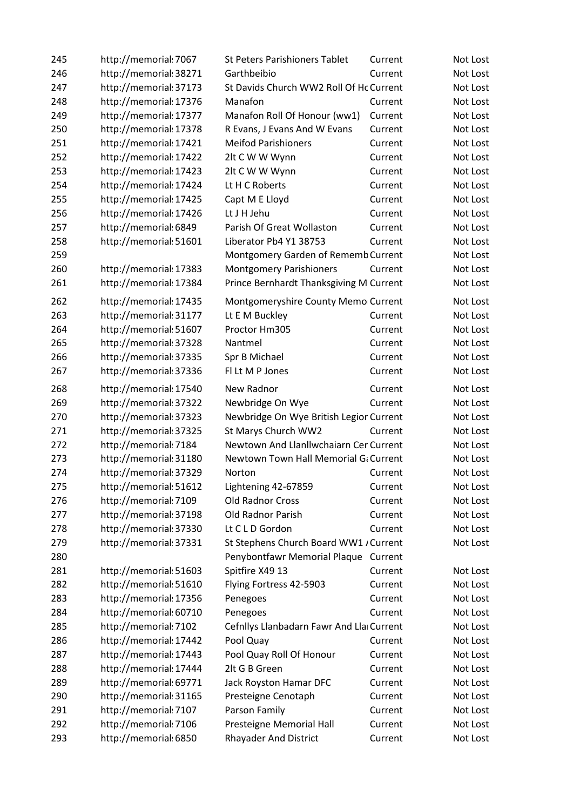| 245 | http://memorial: 7067  | <b>St Peters Parishioners Tablet</b>     | Current | Not Lost |
|-----|------------------------|------------------------------------------|---------|----------|
| 246 | http://memorial: 38271 | Garthbeibio                              | Current | Not Lost |
| 247 | http://memorial: 37173 | St Davids Church WW2 Roll Of Hc Current  |         | Not Lost |
| 248 | http://memorial: 17376 | Manafon                                  | Current | Not Lost |
| 249 | http://memorial: 17377 | Manafon Roll Of Honour (ww1)             | Current | Not Lost |
| 250 | http://memorial: 17378 | R Evans, J Evans And W Evans             | Current | Not Lost |
| 251 | http://memorial: 17421 | <b>Meifod Parishioners</b>               | Current | Not Lost |
| 252 | http://memorial: 17422 | 2lt C W W Wynn                           | Current | Not Lost |
| 253 | http://memorial: 17423 | 2lt C W W Wynn                           | Current | Not Lost |
| 254 | http://memorial: 17424 | Lt H C Roberts                           | Current | Not Lost |
| 255 | http://memorial: 17425 | Capt M E Lloyd                           | Current | Not Lost |
| 256 | http://memorial: 17426 | Lt J H Jehu                              | Current | Not Lost |
| 257 | http://memorial: 6849  | Parish Of Great Wollaston                | Current | Not Lost |
| 258 | http://memorial: 51601 | Liberator Pb4 Y1 38753                   | Current | Not Lost |
| 259 |                        | Montgomery Garden of Rememb Current      |         | Not Lost |
| 260 | http://memorial: 17383 | <b>Montgomery Parishioners</b>           | Current | Not Lost |
| 261 | http://memorial: 17384 | Prince Bernhardt Thanksgiving M Current  |         | Not Lost |
| 262 | http://memorial: 17435 | Montgomeryshire County Memo Current      |         | Not Lost |
| 263 | http://memorial: 31177 | Lt E M Buckley                           | Current | Not Lost |
| 264 | http://memorial: 51607 | Proctor Hm305                            | Current | Not Lost |
| 265 | http://memorial: 37328 | Nantmel                                  | Current | Not Lost |
| 266 | http://memorial: 37335 | Spr B Michael                            | Current | Not Lost |
| 267 | http://memorial: 37336 | Fl Lt M P Jones                          | Current | Not Lost |
| 268 | http://memorial: 17540 | New Radnor                               | Current | Not Lost |
| 269 | http://memorial: 37322 | Newbridge On Wye                         | Current | Not Lost |
| 270 | http://memorial: 37323 | Newbridge On Wye British Legior Current  |         | Not Lost |
| 271 | http://memorial: 37325 | St Marys Church WW2                      | Current | Not Lost |
| 272 | http://memorial: 7184  | Newtown And Llanllwchaiarn Cer Current   |         | Not Lost |
| 273 | http://memorial: 31180 | Newtown Town Hall Memorial G: Current    |         | Not Lost |
| 274 | http://memorial: 37329 | Norton                                   | Current | Not Lost |
| 275 | http://memorial: 51612 | Lightening 42-67859                      | Current | Not Lost |
| 276 | http://memorial: 7109  | Old Radnor Cross                         | Current | Not Lost |
| 277 | http://memorial: 37198 | Old Radnor Parish                        | Current | Not Lost |
| 278 | http://memorial: 37330 | Lt C L D Gordon                          | Current | Not Lost |
| 279 | http://memorial: 37331 | St Stephens Church Board WW1 / Current   |         | Not Lost |
| 280 |                        | Penybontfawr Memorial Plaque Current     |         |          |
| 281 | http://memorial: 51603 | Spitfire X49 13                          | Current | Not Lost |
| 282 | http://memorial: 51610 | Flying Fortress 42-5903                  | Current | Not Lost |
| 283 | http://memorial: 17356 | Penegoes                                 | Current | Not Lost |
| 284 | http://memorial: 60710 | Penegoes                                 | Current | Not Lost |
| 285 | http://memorial: 7102  | Cefnllys Llanbadarn Fawr And Lla Current |         | Not Lost |
| 286 | http://memorial: 17442 | Pool Quay                                | Current | Not Lost |
| 287 | http://memorial: 17443 | Pool Quay Roll Of Honour                 | Current | Not Lost |
| 288 | http://memorial: 17444 | 2lt G B Green                            | Current | Not Lost |
| 289 | http://memorial: 69771 | Jack Royston Hamar DFC                   | Current | Not Lost |
| 290 | http://memorial: 31165 | Presteigne Cenotaph                      | Current | Not Lost |
| 291 | http://memorial: 7107  | Parson Family                            | Current | Not Lost |
| 292 | http://memorial: 7106  | Presteigne Memorial Hall                 | Current | Not Lost |
| 293 | http://memorial: 6850  | <b>Rhayader And District</b>             | Current | Not Lost |
|     |                        |                                          |         |          |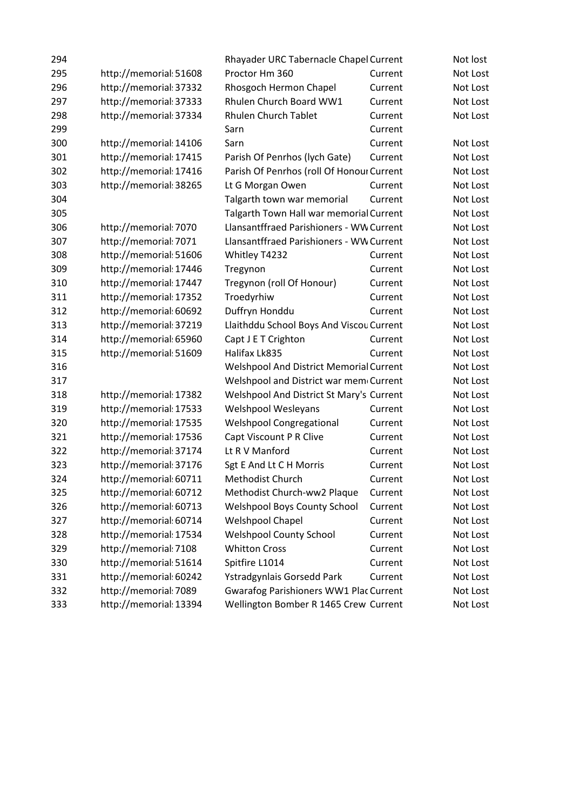| 294 |                        | Rhayader URC Tabernacle Chapel Current          |         | Not lost |
|-----|------------------------|-------------------------------------------------|---------|----------|
| 295 | http://memorial: 51608 | Proctor Hm 360                                  | Current | Not Lost |
| 296 | http://memorial: 37332 | Rhosgoch Hermon Chapel                          | Current | Not Lost |
| 297 | http://memorial: 37333 | Rhulen Church Board WW1                         | Current | Not Lost |
| 298 | http://memorial: 37334 | <b>Rhulen Church Tablet</b>                     | Current | Not Lost |
| 299 |                        | Sarn                                            | Current |          |
| 300 | http://memorial: 14106 | Sarn                                            | Current | Not Lost |
| 301 | http://memorial: 17415 | Parish Of Penrhos (lych Gate)                   | Current | Not Lost |
| 302 | http://memorial: 17416 | Parish Of Penrhos (roll Of Honour Current       |         | Not Lost |
| 303 | http://memorial: 38265 | Lt G Morgan Owen                                | Current | Not Lost |
| 304 |                        | Talgarth town war memorial                      | Current | Not Lost |
| 305 |                        | Talgarth Town Hall war memorial Current         |         | Not Lost |
| 306 | http://memorial: 7070  | <b>Llansantffraed Parishioners - WW Current</b> |         | Not Lost |
| 307 | http://memorial: 7071  | <b>Llansantffraed Parishioners - WW Current</b> |         | Not Lost |
| 308 | http://memorial: 51606 | Whitley T4232                                   | Current | Not Lost |
| 309 | http://memorial: 17446 | Tregynon                                        | Current | Not Lost |
| 310 | http://memorial: 17447 | Tregynon (roll Of Honour)                       | Current | Not Lost |
| 311 | http://memorial: 17352 | Troedyrhiw                                      | Current | Not Lost |
| 312 | http://memorial: 60692 | Duffryn Honddu                                  | Current | Not Lost |
| 313 | http://memorial: 37219 | Llaithddu School Boys And Viscou Current        |         | Not Lost |
| 314 | http://memorial: 65960 | Capt J E T Crighton                             | Current | Not Lost |
| 315 | http://memorial: 51609 | Halifax Lk835                                   | Current | Not Lost |
| 316 |                        | Welshpool And District Memorial Current         |         | Not Lost |
| 317 |                        | Welshpool and District war mem Current          |         | Not Lost |
| 318 | http://memorial: 17382 | Welshpool And District St Mary's Current        |         | Not Lost |
| 319 | http://memorial: 17533 | Welshpool Wesleyans                             | Current | Not Lost |
| 320 | http://memorial: 17535 | <b>Welshpool Congregational</b>                 | Current | Not Lost |
| 321 | http://memorial: 17536 | Capt Viscount P R Clive                         | Current | Not Lost |
| 322 | http://memorial: 37174 | Lt R V Manford                                  | Current | Not Lost |
| 323 | http://memorial: 37176 | Sgt E And Lt C H Morris                         | Current | Not Lost |
| 324 | http://memorial: 60711 | Methodist Church                                | Current | Not Lost |
| 325 | http://memorial: 60712 | Methodist Church-ww2 Plaque                     | Current | Not Lost |
| 326 | http://memorial: 60713 | <b>Welshpool Boys County School</b>             | Current | Not Lost |
| 327 | http://memorial: 60714 | Welshpool Chapel                                | Current | Not Lost |
| 328 | http://memorial: 17534 | <b>Welshpool County School</b>                  | Current | Not Lost |
| 329 | http://memorial: 7108  | <b>Whitton Cross</b>                            | Current | Not Lost |
| 330 | http://memorial: 51614 | Spitfire L1014                                  | Current | Not Lost |
| 331 | http://memorial: 60242 | Ystradgynlais Gorsedd Park                      | Current | Not Lost |
| 332 | http://memorial: 7089  | <b>Gwarafog Parishioners WW1 Plac Current</b>   |         | Not Lost |
| 333 | http://memorial: 13394 | Wellington Bomber R 1465 Crew Current           |         | Not Lost |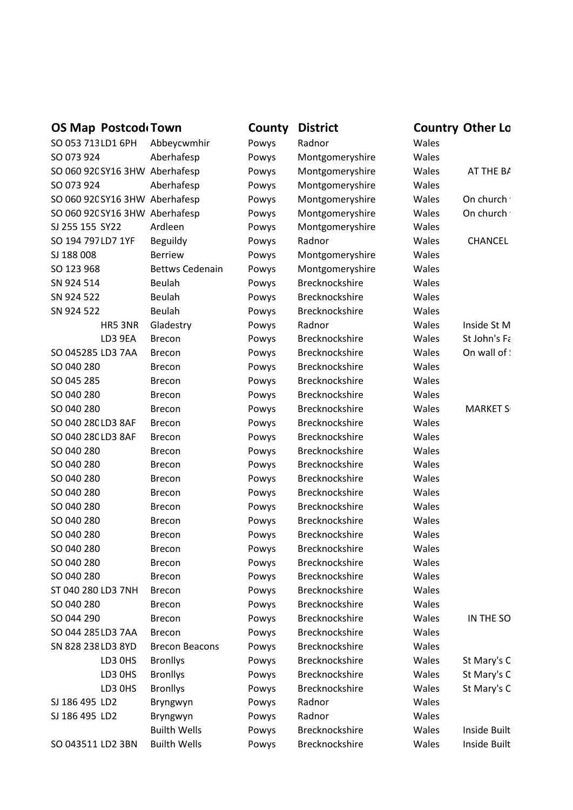# **OS Map PostcodeTown County District <b>Country Country Other Location**

|                    | <b>OS IVIAP LASICONITAMII</b> |                                | <b>CONTRY</b> | DISLI ILL             |       | COUTTLE OUTCL LU |
|--------------------|-------------------------------|--------------------------------|---------------|-----------------------|-------|------------------|
| SO 053 713 LD1 6PH |                               | Abbeycwmhir                    | Powys         | Radnor                | Wales |                  |
| SO 073 924         |                               | Aberhafesp                     | Powys         | Montgomeryshire       | Wales |                  |
|                    |                               | SO 060 92C SY16 3HW Aberhafesp | Powys         | Montgomeryshire       | Wales | AT THE BA        |
| SO 073 924         |                               | Aberhafesp                     | Powys         | Montgomeryshire       | Wales |                  |
|                    |                               | SO 060 92C SY16 3HW Aberhafesp | Powys         | Montgomeryshire       | Wales | On church '      |
|                    |                               | SO 060 92C SY16 3HW Aberhafesp | Powys         | Montgomeryshire       | Wales | On church '      |
| SJ 255 155 SY22    |                               | Ardleen                        | Powys         | Montgomeryshire       | Wales |                  |
| SO 194 797 LD7 1YF |                               | Beguildy                       | Powys         | Radnor                | Wales | <b>CHANCEL</b>   |
| SJ 188 008         |                               | <b>Berriew</b>                 | Powys         | Montgomeryshire       | Wales |                  |
| SO 123 968         |                               | <b>Bettws Cedenain</b>         | Powys         | Montgomeryshire       | Wales |                  |
| SN 924 514         |                               | Beulah                         | Powys         | Brecknockshire        | Wales |                  |
| SN 924 522         |                               | Beulah                         | Powys         | Brecknockshire        | Wales |                  |
| SN 924 522         |                               | Beulah                         | Powys         | Brecknockshire        | Wales |                  |
|                    | HR5 3NR                       | Gladestry                      | Powys         | Radnor                | Wales | Inside St M      |
|                    | LD3 9EA                       | <b>Brecon</b>                  | Powys         | Brecknockshire        | Wales | St John's Fa     |
| SO 045285 LD3 7AA  |                               | <b>Brecon</b>                  | Powys         | Brecknockshire        | Wales | On wall of :     |
| SO 040 280         |                               | <b>Brecon</b>                  | Powys         | Brecknockshire        | Wales |                  |
| SO 045 285         |                               | <b>Brecon</b>                  | Powys         | Brecknockshire        | Wales |                  |
| SO 040 280         |                               | <b>Brecon</b>                  | Powys         | Brecknockshire        | Wales |                  |
| SO 040 280         |                               | <b>Brecon</b>                  | Powys         | Brecknockshire        | Wales | <b>MARKET S</b>  |
| SO 040 280 LD3 8AF |                               | <b>Brecon</b>                  | Powys         | Brecknockshire        | Wales |                  |
| SO 040 280 LD3 8AF |                               | <b>Brecon</b>                  | Powys         | Brecknockshire        | Wales |                  |
| SO 040 280         |                               | <b>Brecon</b>                  | Powys         | Brecknockshire        | Wales |                  |
| SO 040 280         |                               | <b>Brecon</b>                  | Powys         | Brecknockshire        | Wales |                  |
| SO 040 280         |                               | <b>Brecon</b>                  | Powys         | Brecknockshire        | Wales |                  |
| SO 040 280         |                               | <b>Brecon</b>                  | Powys         | Brecknockshire        | Wales |                  |
| SO 040 280         |                               | <b>Brecon</b>                  | Powys         | Brecknockshire        | Wales |                  |
| SO 040 280         |                               | <b>Brecon</b>                  | Powys         | Brecknockshire        | Wales |                  |
| SO 040 280         |                               | <b>Brecon</b>                  | Powys         | Brecknockshire        | Wales |                  |
| SO 040 280         |                               | <b>Brecon</b>                  | Powys         | Brecknockshire        | Wales |                  |
| SO 040 280         |                               | <b>Brecon</b>                  | Powys         | <b>Brecknockshire</b> | Wales |                  |
| SO 040 280         |                               | <b>Brecon</b>                  | Powys         | Brecknockshire        | Wales |                  |
| ST 040 280 LD3 7NH |                               | <b>Brecon</b>                  | Powys         | Brecknockshire        | Wales |                  |
| SO 040 280         |                               | <b>Brecon</b>                  | Powys         | Brecknockshire        | Wales |                  |
| SO 044 290         |                               | <b>Brecon</b>                  | Powys         | Brecknockshire        | Wales | IN THE SO        |
| SO 044 285 LD3 7AA |                               | <b>Brecon</b>                  | Powys         | Brecknockshire        | Wales |                  |
| SN 828 238 LD3 8YD |                               | <b>Brecon Beacons</b>          | Powys         | Brecknockshire        | Wales |                  |
|                    | LD3 0HS                       | <b>Bronllys</b>                | Powys         | Brecknockshire        | Wales | St Mary's C      |
|                    | LD3 OHS                       | <b>Bronllys</b>                | Powys         | Brecknockshire        | Wales | St Mary's C      |
|                    | LD3 OHS                       | <b>Bronllys</b>                | Powys         | Brecknockshire        | Wales | St Mary's C      |
| SJ 186 495 LD2     |                               | Bryngwyn                       | Powys         | Radnor                | Wales |                  |
| SJ 186 495 LD2     |                               | Bryngwyn                       | Powys         | Radnor                | Wales |                  |
|                    |                               | <b>Builth Wells</b>            | Powys         | Brecknockshire        | Wales | Inside Built     |
| SO 043511 LD2 3BN  |                               | <b>Builth Wells</b>            | Powys         | Brecknockshire        | Wales | Inside Built     |
|                    |                               |                                |               |                       |       |                  |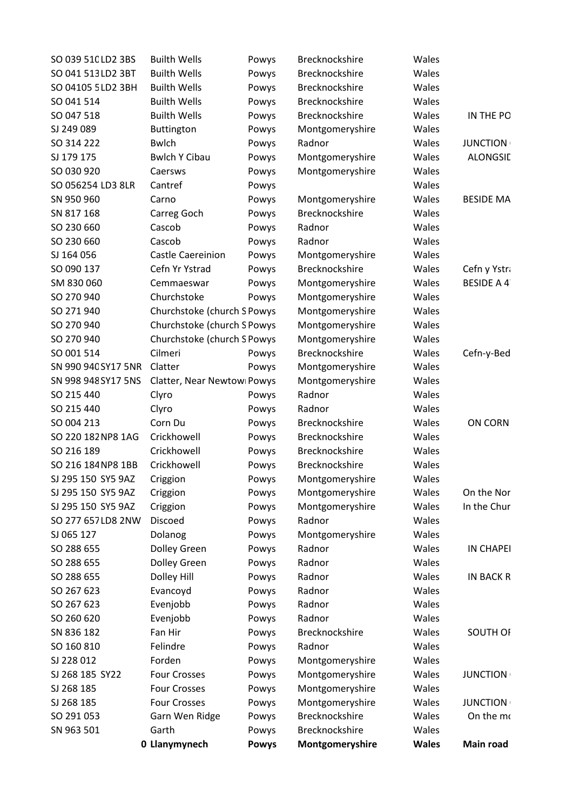| SO 039 51C LD2 3BS  | <b>Builth Wells</b>         | Powys        | Brecknockshire  | Wales        |                   |
|---------------------|-----------------------------|--------------|-----------------|--------------|-------------------|
| SO 041 513 LD2 3BT  | <b>Builth Wells</b>         | Powys        | Brecknockshire  | Wales        |                   |
| SO 04105 5 LD2 3BH  | <b>Builth Wells</b>         | Powys        | Brecknockshire  | Wales        |                   |
| SO 041 514          | <b>Builth Wells</b>         | Powys        | Brecknockshire  | Wales        |                   |
| SO 047 518          | <b>Builth Wells</b>         | Powys        | Brecknockshire  | Wales        | IN THE PO         |
| SJ 249 089          | <b>Buttington</b>           | Powys        | Montgomeryshire | Wales        |                   |
| SO 314 222          | <b>Bwlch</b>                | Powys        | Radnor          | Wales        | <b>JUNCTION</b>   |
| SJ 179 175          | <b>Bwlch Y Cibau</b>        | Powys        | Montgomeryshire | Wales        | <b>ALONGSIL</b>   |
| SO 030 920          | Caersws                     | Powys        | Montgomeryshire | Wales        |                   |
| SO 056254 LD3 8LR   | Cantref                     | Powys        |                 | Wales        |                   |
| SN 950 960          | Carno                       | Powys        | Montgomeryshire | Wales        | <b>BESIDE MA</b>  |
| SN 817 168          | Carreg Goch                 | Powys        | Brecknockshire  | Wales        |                   |
| SO 230 660          | Cascob                      | Powys        | Radnor          | Wales        |                   |
| SO 230 660          | Cascob                      | Powys        | Radnor          | Wales        |                   |
| SJ 164 056          | Castle Caereinion           | Powys        | Montgomeryshire | Wales        |                   |
| SO 090 137          | Cefn Yr Ystrad              | Powys        | Brecknockshire  | Wales        | Cefn y Ystra      |
| SM 830 060          | Cemmaeswar                  | Powys        | Montgomeryshire | Wales        | <b>BESIDE A 4</b> |
| SO 270 940          | Churchstoke                 | Powys        | Montgomeryshire | Wales        |                   |
| SO 271 940          | Churchstoke (church S Powys |              | Montgomeryshire | Wales        |                   |
| SO 270 940          | Churchstoke (church S Powys |              | Montgomeryshire | Wales        |                   |
| SO 270 940          | Churchstoke (church S Powys |              | Montgomeryshire | Wales        |                   |
| SO 001 514          | Cilmeri                     | Powys        | Brecknockshire  | Wales        | Cefn-y-Bed        |
| SN 990 940 SY17 5NR | Clatter                     | Powys        | Montgomeryshire | Wales        |                   |
| SN 998 948 SY17 5NS | Clatter, Near Newtowi Powys |              | Montgomeryshire | Wales        |                   |
| SO 215 440          | Clyro                       | Powys        | Radnor          | Wales        |                   |
| SO 215 440          | Clyro                       | Powys        | Radnor          | Wales        |                   |
| SO 004 213          | Corn Du                     | Powys        | Brecknockshire  | Wales        | ON CORN           |
| SO 220 182 NP8 1AG  | Crickhowell                 | Powys        | Brecknockshire  | Wales        |                   |
| SO 216 189          | Crickhowell                 | Powys        | Brecknockshire  | Wales        |                   |
| SO 216 184 NP8 1BB  | Crickhowell                 | Powys        | Brecknockshire  | Wales        |                   |
| SJ 295 150 SY5 9AZ  | Criggion                    | Powys        | Montgomeryshire | Wales        |                   |
| SJ 295 150 SY5 9AZ  | Criggion                    | Powys        | Montgomeryshire | Wales        | On the Nor        |
| SJ 295 150 SY5 9AZ  | Criggion                    | Powys        | Montgomeryshire | Wales        | In the Chur       |
| SO 277 657 LD8 2NW  | Discoed                     | Powys        | Radnor          | Wales        |                   |
| SJ 065 127          | Dolanog                     | Powys        | Montgomeryshire | Wales        |                   |
| SO 288 655          | Dolley Green                | Powys        | Radnor          | Wales        | <b>IN CHAPEI</b>  |
| SO 288 655          | Dolley Green                | Powys        | Radnor          | Wales        |                   |
| SO 288 655          | Dolley Hill                 | Powys        | Radnor          | Wales        | <b>IN BACK R</b>  |
| SO 267 623          | Evancoyd                    | Powys        | Radnor          | Wales        |                   |
| SO 267 623          | Evenjobb                    | Powys        | Radnor          | Wales        |                   |
| SO 260 620          | Evenjobb                    | Powys        | Radnor          | Wales        |                   |
| SN 836 182          | Fan Hir                     | Powys        | Brecknockshire  | Wales        | <b>SOUTH OF</b>   |
| SO 160 810          | Felindre                    | Powys        | Radnor          | Wales        |                   |
| SJ 228 012          | Forden                      | Powys        | Montgomeryshire | Wales        |                   |
| SJ 268 185 SY22     | <b>Four Crosses</b>         | Powys        | Montgomeryshire | Wales        | <b>JUNCTION</b>   |
| SJ 268 185          | <b>Four Crosses</b>         | Powys        | Montgomeryshire | Wales        |                   |
| SJ 268 185          | <b>Four Crosses</b>         | Powys        | Montgomeryshire | Wales        | <b>JUNCTION</b>   |
| SO 291 053          | Garn Wen Ridge              | Powys        | Brecknockshire  | Wales        | On the mo         |
| SN 963 501          | Garth                       | Powys        | Brecknockshire  | Wales        |                   |
|                     | 0 Llanymynech               | <b>Powys</b> | Montgomeryshire | <b>Wales</b> | <b>Main road</b>  |
|                     |                             |              |                 |              |                   |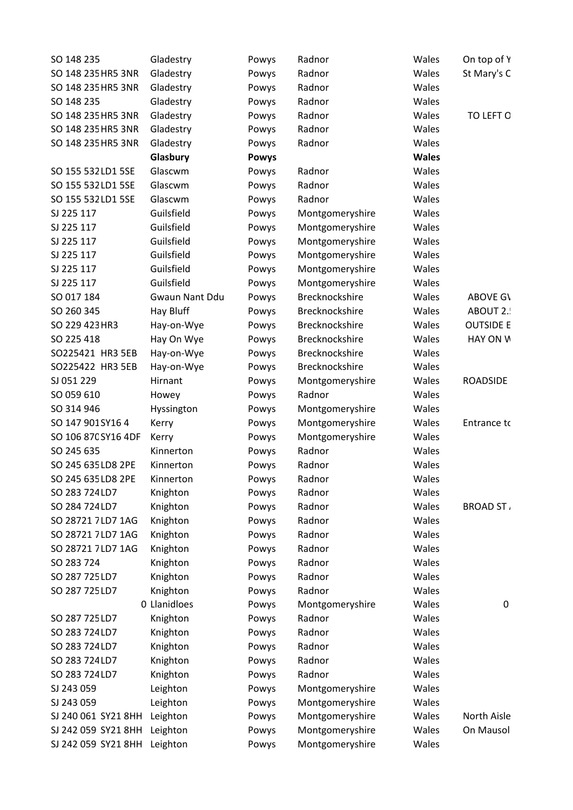| SO 148 235                   | Gladestry      | Powys        | Radnor          | Wales        | On top of Y      |
|------------------------------|----------------|--------------|-----------------|--------------|------------------|
| SO 148 235 HR5 3NR           | Gladestry      | Powys        | Radnor          | Wales        | St Mary's C      |
| SO 148 235 HR5 3NR           | Gladestry      | Powys        | Radnor          | Wales        |                  |
| SO 148 235                   | Gladestry      | Powys        | Radnor          | Wales        |                  |
| SO 148 235 HR5 3NR           | Gladestry      | Powys        | Radnor          | Wales        | TO LEFT O        |
| SO 148 235 HR5 3NR           | Gladestry      | Powys        | Radnor          | Wales        |                  |
| SO 148 235 HR5 3NR           | Gladestry      | Powys        | Radnor          | Wales        |                  |
|                              | Glasbury       | <b>Powys</b> |                 | <b>Wales</b> |                  |
| SO 155 532 LD1 5SE           | Glascwm        | Powys        | Radnor          | Wales        |                  |
| SO 155 532 LD1 5SE           | Glascwm        |              | Radnor          | Wales        |                  |
|                              |                | Powys        |                 | Wales        |                  |
| SO 155 532 LD1 5SE           | Glascwm        | Powys        | Radnor          |              |                  |
| SJ 225 117                   | Guilsfield     | Powys        | Montgomeryshire | Wales        |                  |
| SJ 225 117                   | Guilsfield     | Powys        | Montgomeryshire | Wales        |                  |
| SJ 225 117                   | Guilsfield     | Powys        | Montgomeryshire | Wales        |                  |
| SJ 225 117                   | Guilsfield     | Powys        | Montgomeryshire | Wales        |                  |
| SJ 225 117                   | Guilsfield     | Powys        | Montgomeryshire | Wales        |                  |
| SJ 225 117                   | Guilsfield     | Powys        | Montgomeryshire | Wales        |                  |
| SO 017 184                   | Gwaun Nant Ddu | Powys        | Brecknockshire  | Wales        | ABOVE GV         |
| SO 260 345                   | Hay Bluff      | Powys        | Brecknockshire  | Wales        | ABOUT 2.         |
| SO 229 423 HR3               | Hay-on-Wye     | Powys        | Brecknockshire  | Wales        | <b>OUTSIDE E</b> |
| SO 225 418                   | Hay On Wye     | Powys        | Brecknockshire  | Wales        | HAY ON W         |
| SO225421 HR3 5EB             | Hay-on-Wye     | Powys        | Brecknockshire  | Wales        |                  |
| SO225422 HR3 5EB             | Hay-on-Wye     | Powys        | Brecknockshire  | Wales        |                  |
| SJ 051 229                   | Hirnant        | Powys        | Montgomeryshire | Wales        | <b>ROADSIDE</b>  |
| SO 059 610                   | Howey          | Powys        | Radnor          | Wales        |                  |
| SO 314 946                   | Hyssington     | Powys        | Montgomeryshire | Wales        |                  |
| SO 147 901 SY 164            | Kerry          | Powys        | Montgomeryshire | Wales        | Entrance to      |
| SO 106 87C SY16 4DF          | Kerry          | Powys        | Montgomeryshire | Wales        |                  |
| SO 245 635                   | Kinnerton      | Powys        | Radnor          | Wales        |                  |
| SO 245 635 LD8 2PE           | Kinnerton      | Powys        | Radnor          | Wales        |                  |
| SO 245 635 LD8 2PE           | Kinnerton      | Powys        | Radnor          | Wales        |                  |
| SO 283 724 LD7               | Knighton       | Powys        | Radnor          | Wales        |                  |
| SO 284 724 LD7               | Knighton       | Powys        | Radnor          | Wales        | <b>BROAD ST</b>  |
| SO 28721 7LD7 1AG            | Knighton       | Powys        | Radnor          | Wales        |                  |
| SO 28721 7LD7 1AG            | Knighton       | Powys        | Radnor          | Wales        |                  |
| SO 28721 7LD7 1AG            | Knighton       | Powys        | Radnor          | Wales        |                  |
| SO 283 724                   | Knighton       | Powys        | Radnor          | Wales        |                  |
| SO 287 725 LD7               | Knighton       | Powys        | Radnor          | Wales        |                  |
| SO 287 725 LD7               | Knighton       |              | Radnor          | Wales        |                  |
|                              |                | Powys        |                 |              |                  |
|                              | 0 Llanidloes   | Powys        | Montgomeryshire | Wales        | 0                |
| SO 287 725 LD7               | Knighton       | Powys        | Radnor          | Wales        |                  |
| SO 283 724 LD7               | Knighton       | Powys        | Radnor          | Wales        |                  |
| SO 283 724 LD7               | Knighton       | Powys        | Radnor          | Wales        |                  |
| SO 283 724 LD7               | Knighton       | Powys        | Radnor          | Wales        |                  |
| SO 283 724 LD7               | Knighton       | Powys        | Radnor          | Wales        |                  |
| SJ 243 059                   | Leighton       | Powys        | Montgomeryshire | Wales        |                  |
| SJ 243 059                   | Leighton       | Powys        | Montgomeryshire | Wales        |                  |
| SJ 240 061 SY21 8HH Leighton |                | Powys        | Montgomeryshire | Wales        | North Aisle      |
| SJ 242 059 SY21 8HH Leighton |                | Powys        | Montgomeryshire | Wales        | On Mausol        |
| SJ 242 059 SY21 8HH Leighton |                | Powys        | Montgomeryshire | Wales        |                  |
|                              |                |              |                 |              |                  |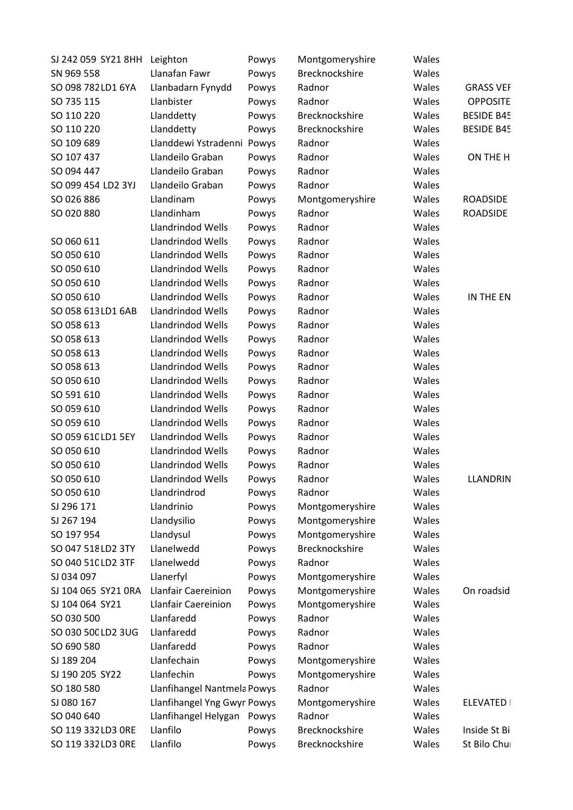| SJ 242 059 SY21 8HH Leighton |                             | Powys | Montgomeryshire | Wales |                   |
|------------------------------|-----------------------------|-------|-----------------|-------|-------------------|
| SN 969 558                   | Llanafan Fawr               | Powys | Brecknockshire  | Wales |                   |
| SO 098 782 LD1 6YA           | Llanbadarn Fynydd           | Powys | Radnor          | Wales | <b>GRASS VEF</b>  |
| SO 735 115                   | Llanbister                  | Powys | Radnor          | Wales | <b>OPPOSITE</b>   |
| SO 110 220                   | Llanddetty                  | Powys | Brecknockshire  | Wales | <b>BESIDE B45</b> |
| SO 110 220                   | Llanddetty                  | Powys | Brecknockshire  | Wales | <b>BESIDE B45</b> |
| SO 109 689                   | Llanddewi Ystradenni Powys  |       | Radnor          | Wales |                   |
| SO 107 437                   | Llandeilo Graban            | Powys | Radnor          | Wales | ON THE H          |
| SO 094 447                   | Llandeilo Graban            | Powys | Radnor          | Wales |                   |
| SO 099 454 LD2 3YJ           | Llandeilo Graban            | Powys | Radnor          | Wales |                   |
| SO 026 886                   | Llandinam                   | Powys | Montgomeryshire | Wales | <b>ROADSIDE</b>   |
| SO 020 880                   | Llandinham                  | Powys | Radnor          | Wales | <b>ROADSIDE</b>   |
|                              | Llandrindod Wells           | Powys | Radnor          | Wales |                   |
| SO 060 611                   | Llandrindod Wells           | Powys | Radnor          | Wales |                   |
| SO 050 610                   | Llandrindod Wells           | Powys | Radnor          | Wales |                   |
| SO 050 610                   | Llandrindod Wells           | Powys | Radnor          | Wales |                   |
| SO 050 610                   | Llandrindod Wells           | Powys | Radnor          | Wales |                   |
| SO 050 610                   | Llandrindod Wells           | Powys | Radnor          | Wales | IN THE EN         |
| SO 058 613 LD1 6AB           | Llandrindod Wells           | Powys | Radnor          | Wales |                   |
| SO 058 613                   | Llandrindod Wells           | Powys | Radnor          | Wales |                   |
| SO 058 613                   | Llandrindod Wells           | Powys | Radnor          | Wales |                   |
| SO 058 613                   | Llandrindod Wells           | Powys | Radnor          | Wales |                   |
| SO 058 613                   | Llandrindod Wells           | Powys | Radnor          | Wales |                   |
| SO 050 610                   | Llandrindod Wells           | Powys | Radnor          | Wales |                   |
| SO 591 610                   | Llandrindod Wells           | Powys | Radnor          | Wales |                   |
| SO 059 610                   | Llandrindod Wells           | Powys | Radnor          | Wales |                   |
| SO 059 610                   | Llandrindod Wells           | Powys | Radnor          | Wales |                   |
| SO 059 61C LD1 5EY           | Llandrindod Wells           | Powys | Radnor          | Wales |                   |
| SO 050 610                   | Llandrindod Wells           |       | Radnor          | Wales |                   |
|                              |                             | Powys |                 |       |                   |
| SO 050 610                   | Llandrindod Wells           | Powys | Radnor          | Wales |                   |
| SO 050 610                   | Llandrindod Wells           | Powys | Radnor          | Wales | <b>LLANDRIN</b>   |
| SO 050 610                   | Llandrindrod                | Powys | Radnor          | Wales |                   |
| SJ 296 171                   | Llandrinio                  | Powys | Montgomeryshire | Wales |                   |
| SJ 267 194                   | Llandysilio                 | Powys | Montgomeryshire | Wales |                   |
| SO 197 954                   | Llandysul                   | Powys | Montgomeryshire | Wales |                   |
| SO 047 518 LD2 3TY           | Llanelwedd                  | Powys | Brecknockshire  | Wales |                   |
| SO 040 510 LD2 3TF           | Llanelwedd                  | Powys | Radnor          | Wales |                   |
| SJ 034 097                   | Llanerfyl                   | Powys | Montgomeryshire | Wales |                   |
| SJ 104 065 SY21 0RA          | <b>Llanfair Caereinion</b>  | Powys | Montgomeryshire | Wales | On roadsid        |
| SJ 104 064 SY21              | Llanfair Caereinion         | Powys | Montgomeryshire | Wales |                   |
| SO 030 500                   | Llanfaredd                  | Powys | Radnor          | Wales |                   |
| SO 030 500 LD2 3UG           | Llanfaredd                  | Powys | Radnor          | Wales |                   |
| SO 690 580                   | Llanfaredd                  | Powys | Radnor          | Wales |                   |
| SJ 189 204                   | Llanfechain                 | Powys | Montgomeryshire | Wales |                   |
| SJ 190 205 SY22              | Llanfechin                  | Powys | Montgomeryshire | Wales |                   |
| SO 180 580                   | Llanfihangel Nantmela Powys |       | Radnor          | Wales |                   |
| SJ 080 167                   | Llanfihangel Yng Gwyn Powys |       | Montgomeryshire | Wales | <b>ELEVATED  </b> |
| SO 040 640                   | Llanfihangel Helygan        | Powys | Radnor          | Wales |                   |
| SO 119 332 LD3 ORE           | Llanfilo                    | Powys | Brecknockshire  | Wales | Inside St Bi      |
| SO 119 332 LD3 ORE           | Llanfilo                    | Powys | Brecknockshire  | Wales | St Bilo Chui      |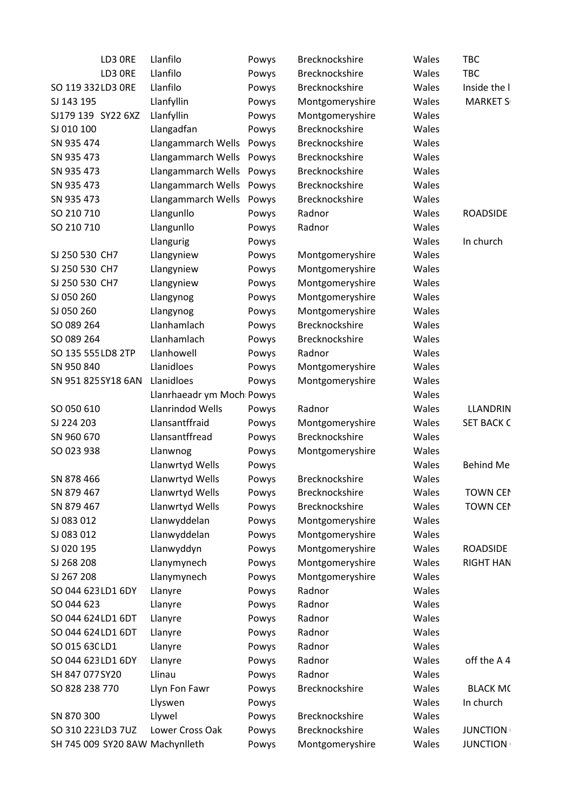| LD3 ORE                                               | Llanfilo                  | Powys | Brecknockshire  | Wales          | <b>TBC</b>                         |
|-------------------------------------------------------|---------------------------|-------|-----------------|----------------|------------------------------------|
| LD3 ORE                                               | Llanfilo                  | Powys | Brecknockshire  | Wales          | <b>TBC</b>                         |
| SO 119 332 LD3 ORE                                    | Llanfilo                  | Powys | Brecknockshire  | Wales          | Inside the I                       |
| SJ 143 195                                            | Llanfyllin                | Powys | Montgomeryshire | Wales          | <b>MARKET S</b>                    |
| SJ179 139 SY22 6XZ                                    | Llanfyllin                | Powys | Montgomeryshire | Wales          |                                    |
| SJ 010 100                                            | Llangadfan                | Powys | Brecknockshire  | Wales          |                                    |
| SN 935 474                                            | Llangammarch Wells        | Powys | Brecknockshire  | Wales          |                                    |
| SN 935 473                                            | Llangammarch Wells        | Powys | Brecknockshire  | Wales          |                                    |
| SN 935 473                                            | Llangammarch Wells        | Powys | Brecknockshire  | Wales          |                                    |
| SN 935 473                                            | Llangammarch Wells        | Powys | Brecknockshire  | Wales          |                                    |
| SN 935 473                                            | Llangammarch Wells        | Powys | Brecknockshire  | Wales          |                                    |
| SO 210 710                                            | Llangunllo                | Powys | Radnor          | Wales          | <b>ROADSIDE</b>                    |
| SO 210 710                                            | Llangunllo                | Powys | Radnor          | Wales          |                                    |
|                                                       | Llangurig                 | Powys |                 | Wales          | In church                          |
| SJ 250 530 CH7                                        | Llangyniew                | Powys | Montgomeryshire | Wales          |                                    |
| SJ 250 530 CH7                                        | Llangyniew                | Powys | Montgomeryshire | Wales          |                                    |
| SJ 250 530 CH7                                        | Llangyniew                | Powys | Montgomeryshire | Wales          |                                    |
| SJ 050 260                                            | Llangynog                 | Powys | Montgomeryshire | Wales          |                                    |
| SJ 050 260                                            | Llangynog                 | Powys | Montgomeryshire | Wales          |                                    |
| SO 089 264                                            | Llanhamlach               | Powys | Brecknockshire  | Wales          |                                    |
| SO 089 264                                            | Llanhamlach               | Powys | Brecknockshire  | Wales          |                                    |
| SO 135 555 LD8 2TP                                    | Llanhowell                | Powys | Radnor          | Wales          |                                    |
| SN 950 840                                            | Llanidloes                | Powys | Montgomeryshire | Wales          |                                    |
| SN 951 825 SY18 6AN                                   | Llanidloes                | Powys | Montgomeryshire | Wales          |                                    |
|                                                       | Llanrhaeadr ym Moch Powys |       |                 | Wales          |                                    |
| SO 050 610                                            | Llanrindod Wells          | Powys | Radnor          | Wales          | LLANDRIN                           |
| SJ 224 203                                            | Llansantffraid            | Powys | Montgomeryshire | Wales          | <b>SET BACK C</b>                  |
| SN 960 670                                            | Llansantffread            | Powys | Brecknockshire  | Wales          |                                    |
| SO 023 938                                            | Llanwnog                  | Powys | Montgomeryshire | Wales          |                                    |
|                                                       | Llanwrtyd Wells           | Powys |                 | Wales          | <b>Behind Me</b>                   |
| SN 878 466                                            | Llanwrtyd Wells           | Powys | Brecknockshire  | Wales          |                                    |
| SN 879 467                                            | Llanwrtyd Wells           | Powys | Brecknockshire  | Wales          | <b>TOWN CEN</b>                    |
| SN 879 467                                            | Llanwrtyd Wells           | Powys | Brecknockshire  | Wales          | <b>TOWN CEN</b>                    |
| SJ 083 012                                            | Llanwyddelan              | Powys | Montgomeryshire | Wales          |                                    |
| SJ 083 012                                            | Llanwyddelan              | Powys | Montgomeryshire | Wales          |                                    |
| SJ 020 195                                            | Llanwyddyn                | Powys | Montgomeryshire | Wales          | <b>ROADSIDE</b>                    |
| SJ 268 208                                            | Llanymynech               | Powys | Montgomeryshire | Wales          | <b>RIGHT HAN</b>                   |
| SJ 267 208                                            | Llanymynech               | Powys | Montgomeryshire | Wales          |                                    |
| SO 044 623 LD1 6DY                                    | Llanyre                   | Powys | Radnor          | Wales          |                                    |
| SO 044 623                                            | Llanyre                   | Powys | Radnor          | Wales          |                                    |
| SO 044 624 LD1 6DT                                    | Llanyre                   | Powys | Radnor          | Wales          |                                    |
| SO 044 624 LD1 6DT                                    | Llanyre                   | Powys | Radnor          | Wales          |                                    |
| SO 015 63C LD1                                        | Llanyre                   | Powys | Radnor          | Wales          |                                    |
| SO 044 623 LD1 6DY                                    | Llanyre                   | Powys | Radnor          | Wales          | off the A4                         |
| SH 847 077 SY20                                       | Llinau                    | Powys | Radnor          | Wales          |                                    |
| SO 828 238 770                                        | Llyn Fon Fawr             | Powys | Brecknockshire  | Wales          | <b>BLACK MC</b>                    |
|                                                       | Llyswen                   | Powys |                 | Wales          | In church                          |
| SN 870 300                                            |                           |       | Brecknockshire  | Wales          |                                    |
|                                                       | Llywel<br>Lower Cross Oak | Powys | Brecknockshire  |                |                                    |
| SO 310 223 LD3 7UZ<br>SH 745 009 SY20 8AW Machynlleth |                           | Powys |                 | Wales<br>Wales | <b>JUNCTION</b><br><b>JUNCTION</b> |
|                                                       |                           | Powys | Montgomeryshire |                |                                    |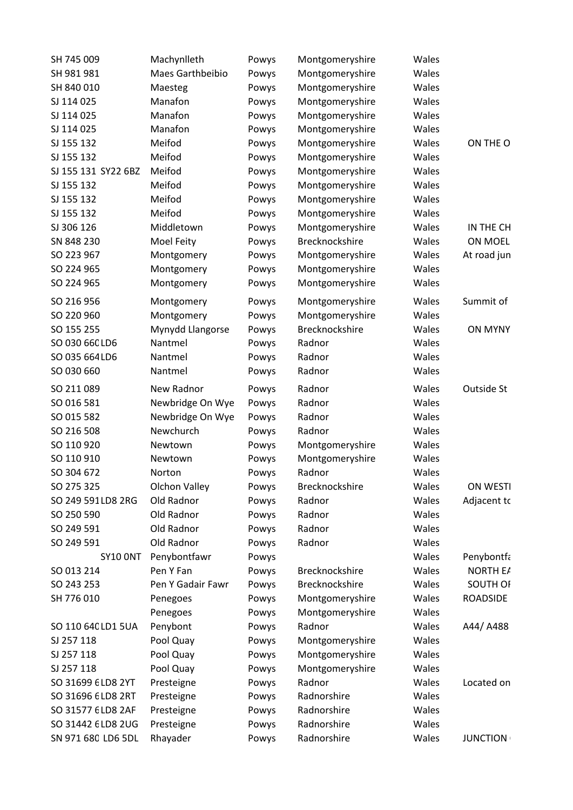| SH 745 009          | Machynlleth       | Powys | Montgomeryshire | Wales |                 |
|---------------------|-------------------|-------|-----------------|-------|-----------------|
| SH 981 981          | Maes Garthbeibio  | Powys | Montgomeryshire | Wales |                 |
| SH 840 010          | Maesteg           | Powys | Montgomeryshire | Wales |                 |
| SJ 114 025          | Manafon           | Powys | Montgomeryshire | Wales |                 |
| SJ 114 025          | Manafon           | Powys | Montgomeryshire | Wales |                 |
| SJ 114 025          | Manafon           | Powys | Montgomeryshire | Wales |                 |
| SJ 155 132          | Meifod            | Powys | Montgomeryshire | Wales | ON THE O        |
| SJ 155 132          | Meifod            | Powys | Montgomeryshire | Wales |                 |
| SJ 155 131 SY22 6BZ | Meifod            | Powys | Montgomeryshire | Wales |                 |
| SJ 155 132          | Meifod            | Powys | Montgomeryshire | Wales |                 |
| SJ 155 132          | Meifod            | Powys | Montgomeryshire | Wales |                 |
| SJ 155 132          | Meifod            | Powys | Montgomeryshire | Wales |                 |
| SJ 306 126          | Middletown        | Powys | Montgomeryshire | Wales | IN THE CH       |
| SN 848 230          | Moel Feity        | Powys | Brecknockshire  | Wales | <b>ON MOEL</b>  |
| SO 223 967          | Montgomery        | Powys | Montgomeryshire | Wales | At road jun     |
| SO 224 965          |                   |       |                 | Wales |                 |
|                     | Montgomery        | Powys | Montgomeryshire |       |                 |
| SO 224 965          | Montgomery        | Powys | Montgomeryshire | Wales |                 |
| SO 216 956          | Montgomery        | Powys | Montgomeryshire | Wales | Summit of       |
| SO 220 960          | Montgomery        | Powys | Montgomeryshire | Wales |                 |
| SO 155 255          | Mynydd Llangorse  | Powys | Brecknockshire  | Wales | <b>ON MYNY</b>  |
| SO 030 660 LD6      | Nantmel           | Powys | Radnor          | Wales |                 |
| SO 035 664 LD6      | Nantmel           | Powys | Radnor          | Wales |                 |
| SO 030 660          | Nantmel           | Powys | Radnor          | Wales |                 |
| SO 211 089          | New Radnor        | Powys | Radnor          | Wales | Outside St      |
| SO 016 581          | Newbridge On Wye  | Powys | Radnor          | Wales |                 |
| SO 015 582          | Newbridge On Wye  | Powys | Radnor          | Wales |                 |
| SO 216 508          | Newchurch         | Powys | Radnor          | Wales |                 |
| SO 110 920          | Newtown           | Powys | Montgomeryshire | Wales |                 |
| SO 110 910          | Newtown           | Powys | Montgomeryshire | Wales |                 |
| SO 304 672          | Norton            |       | Radnor          | Wales |                 |
|                     |                   | Powys | Brecknockshire  |       | ON WESTI        |
| SO 275 325          | Olchon Valley     | Powys |                 | Wales |                 |
| SO 249 591 LD8 2RG  | Old Radnor        | Powys | Radnor          | Wales | Adjacent to     |
| SO 250 590          | Old Radnor        | Powys | Radnor          | Wales |                 |
| SO 249 591          | Old Radnor        | Powys | Radnor          | Wales |                 |
| SO 249 591          | Old Radnor        | Powys | Radnor          | Wales |                 |
| <b>SY10 ONT</b>     | Penybontfawr      | Powys |                 | Wales | Penybontfa      |
| SO 013 214          | Pen Y Fan         | Powys | Brecknockshire  | Wales | NORTH E/        |
| SO 243 253          | Pen Y Gadair Fawr | Powys | Brecknockshire  | Wales | SOUTH OF        |
| SH 776 010          | Penegoes          | Powys | Montgomeryshire | Wales | ROADSIDE        |
|                     | Penegoes          | Powys | Montgomeryshire | Wales |                 |
| SO 110 64C LD1 5UA  | Penybont          | Powys | Radnor          | Wales | A44/A488        |
| SJ 257 118          | Pool Quay         | Powys | Montgomeryshire | Wales |                 |
| SJ 257 118          | Pool Quay         | Powys | Montgomeryshire | Wales |                 |
| SJ 257 118          | Pool Quay         | Powys | Montgomeryshire | Wales |                 |
| SO 31699 6 LD8 2YT  | Presteigne        | Powys | Radnor          | Wales | Located on      |
| SO 31696 6 LD8 2RT  | Presteigne        | Powys | Radnorshire     | Wales |                 |
| SO 31577 6 LD8 2AF  | Presteigne        | Powys | Radnorshire     | Wales |                 |
| SO 31442 6 LD8 2 UG | Presteigne        | Powys | Radnorshire     | Wales |                 |
| SN 971 680 LD6 5DL  | Rhayader          | Powys | Radnorshire     | Wales | <b>JUNCTION</b> |
|                     |                   |       |                 |       |                 |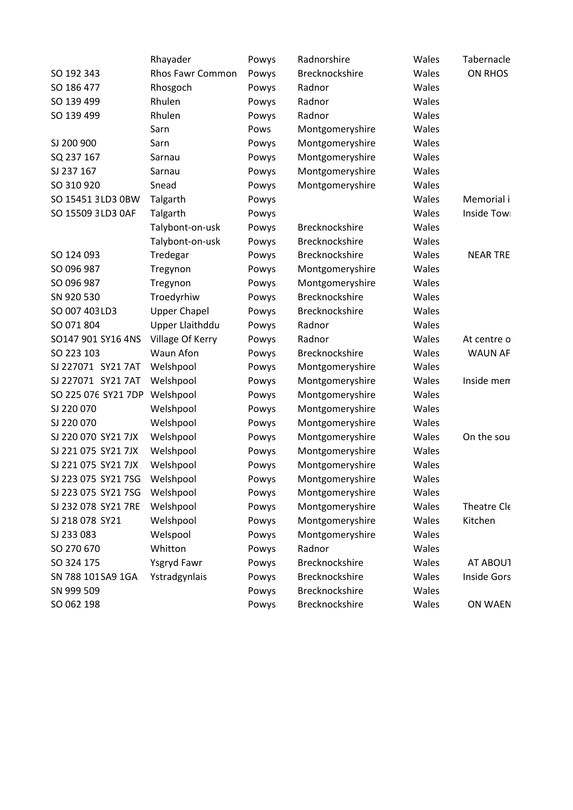|                               | Rhayader            | Powys | Radnorshire     | Wales | Tabernacle         |
|-------------------------------|---------------------|-------|-----------------|-------|--------------------|
| SO 192 343                    | Rhos Fawr Common    | Powys | Brecknockshire  | Wales | <b>ON RHOS</b>     |
| SO 186 477                    | Rhosgoch            | Powys | Radnor          | Wales |                    |
| SO 139 499                    | Rhulen              | Powys | Radnor          | Wales |                    |
| SO 139 499                    | Rhulen              | Powys | Radnor          | Wales |                    |
|                               | Sarn                | Pows  | Montgomeryshire | Wales |                    |
| SJ 200 900                    | Sarn                | Powys | Montgomeryshire | Wales |                    |
| SQ 237 167                    | Sarnau              | Powys | Montgomeryshire | Wales |                    |
| SJ 237 167                    | Sarnau              | Powys | Montgomeryshire | Wales |                    |
| SO 310 920                    | Snead               | Powys | Montgomeryshire | Wales |                    |
| SO 15451 3LD3 0BW             | Talgarth            | Powys |                 | Wales | Memorial i         |
| SO 15509 3LD3 0AF             | Talgarth            | Powys |                 | Wales | Inside Tow         |
|                               | Talybont-on-usk     | Powys | Brecknockshire  | Wales |                    |
|                               | Talybont-on-usk     | Powys | Brecknockshire  | Wales |                    |
| SO 124 093                    | Tredegar            | Powys | Brecknockshire  | Wales | <b>NEAR TRE</b>    |
| SO 096 987                    | Tregynon            | Powys | Montgomeryshire | Wales |                    |
| SO 096 987                    | Tregynon            | Powys | Montgomeryshire | Wales |                    |
| SN 920 530                    | Troedyrhiw          | Powys | Brecknockshire  | Wales |                    |
| SO 007 403 LD3                | <b>Upper Chapel</b> | Powys | Brecknockshire  | Wales |                    |
| SO 071 804                    | Upper Llaithddu     | Powys | Radnor          | Wales |                    |
| SO147 901 SY16 4NS            | Village Of Kerry    | Powys | Radnor          | Wales | At centre o        |
| SO 223 103                    | Waun Afon           | Powys | Brecknockshire  | Wales | <b>WAUN AF</b>     |
| SJ 227071 SY21 7AT            | Welshpool           | Powys | Montgomeryshire | Wales |                    |
| SJ 227071 SY21 7AT            | Welshpool           | Powys | Montgomeryshire | Wales | Inside mem         |
| SO 225 076 SY21 7DP Welshpool |                     | Powys | Montgomeryshire | Wales |                    |
| SJ 220 070                    | Welshpool           | Powys | Montgomeryshire | Wales |                    |
| SJ 220 070                    | Welshpool           | Powys | Montgomeryshire | Wales |                    |
| SJ 220 070 SY21 7JX           | Welshpool           | Powys | Montgomeryshire | Wales | On the sou         |
| SJ 221 075 SY21 7JX           | Welshpool           | Powys | Montgomeryshire | Wales |                    |
| SJ 221 075 SY21 7JX           | Welshpool           | Powys | Montgomeryshire | Wales |                    |
| SJ 223 075 SY21 7SG           | Welshpool           | Powys | Montgomeryshire | Wales |                    |
| SJ 223 075 SY21 7SG           | Welshpool           | Powys | Montgomeryshire | Wales |                    |
| SJ 232 078 SY21 7RE           | Welshpool           | Powys | Montgomeryshire | Wales | Theatre Cle        |
| SJ 218 078 SY21               | Welshpool           | Powys | Montgomeryshire | Wales | Kitchen            |
| SJ 233 083                    | Welspool            | Powys | Montgomeryshire | Wales |                    |
| SO 270 670                    | Whitton             | Powys | Radnor          | Wales |                    |
| SO 324 175                    | <b>Ysgryd Fawr</b>  | Powys | Brecknockshire  | Wales | <b>AT ABOUT</b>    |
| SN 788 101 SA9 1GA            | Ystradgynlais       | Powys | Brecknockshire  | Wales | <b>Inside Gors</b> |
| SN 999 509                    |                     | Powys | Brecknockshire  | Wales |                    |
| SO 062 198                    |                     | Powys | Brecknockshire  | Wales | ON WAEN            |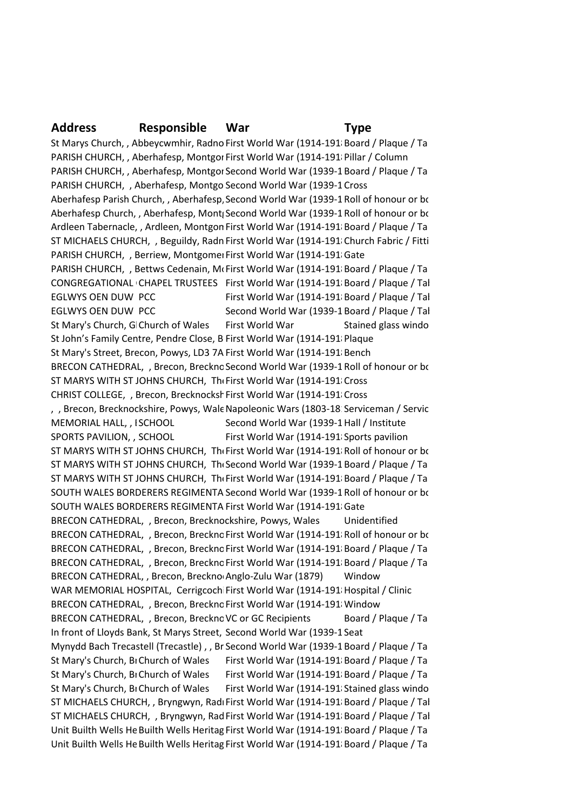#### **Address Responsible War Type**

St Marys Church, , Abbeycwmhir, Radno First World War (1914-191 Board / Plaque / Tablet PARISH CHURCH, , Aberhafesp, Montgor First World War (1914-1918 Pillar / Column PARISH CHURCH, , Aberhafesp, Montgor Second World War (1939-1 Board / Plaque / Ta PARISH CHURCH, , Aberhafesp, Montgo Second World War (1939-1 Cross Aberhafesp Parish Church, , Aberhafesp, Second World War (1939-1 Roll of honour or book Aberhafesp Church, , Aberhafesp, Mont<sub>i</sub> Second World War (1939-1 Roll of honour or book Ardleen Tabernacle, , Ardleen, Montgon First World War (1914-191 Board / Plaque / Ta ST MICHAELS CHURCH, , Beguildy, Radn First World War (1914-191) Church Fabric / Fitti PARISH CHURCH, , Berriew, Montgomer First World War (1914-191/Gate PARISH CHURCH, , Bettws Cedenain, McFirst World War (1914-191 Board / Plaque / Ta CONGREGATIONAL CHAPEL TRUSTEES First World War (1914-191 Board / Plaque / Tal EGLWYS OEN DUW PCC First World War (1914-191 Board / Plaque / Tal EGLWYS OEN DUW PCC Second World War (1939-1 Board / Plaque / Tal St Mary's Church, G Church of Wales. First World War Stained glass window St John's Family Centre, Pendre Close, B First World War (1914-191 Plaque St Mary's Street, Brecon, Powys, LD3 7A First World War (1914-191 Bench BRECON CATHEDRAL, , Brecon, Breckno Second World War (1939-1 Roll of honour or book ST MARYS WITH ST JOHNS CHURCH, The First World War (1914-1918)Cross CHRIST COLLEGE, , Brecon, Brecknockshirst World War (1914-1918) Cross , , Brecon, Brecknockshire, Powys, Wale Napoleonic Wars (1803-18: Serviceman / Servic MEMORIAL HALL, , ISCHOOL Second World War (1939-1 Hall / Institute SPORTS PAVILION, , SCHOOL First World War (1914-1918) Sports pavilion ST MARYS WITH ST JOHNS CHURCH, The First World War (1914-191 Roll of honour or book ST MARYS WITH ST JOHNS CHURCH, The Second World War (1939-1 Board / Plaque / Ta ST MARYS WITH ST JOHNS CHURCH, The First World War (1914-191 Board / Plaque / Ta SOUTH WALES BORDERERS REGIMENTA Second World War (1939-1 Roll of honour or book SOUTH WALES BORDERERS REGIMENTA First World War (1914-1918 Gate BRECON CATHEDRAL, , Brecon, Brecknockshire, Powys, Wales Unidentified BRECON CATHEDRAL, , Brecon, Breckno First World War (1914-191 Roll of honour or book BRECON CATHEDRAL, , Brecon, Breckno First World War (1914-1918 Board / Plaque / Ta BRECON CATHEDRAL, , Brecon, Breckno First World War (1914-1918 Board / Plaque / Ta BRECON CATHEDRAL, , Brecon, Breckno Anglo-Zulu War (1879) Window WAR MEMORIAL HOSPITAL, Cerrigcoch First World War (1914-191 Hospital / Clinic BRECON CATHEDRAL, , Brecon, Breckno First World War (1914-191/ Window BRECON CATHEDRAL, , Brecon, Brecknc VC or GC Recipients Board / Plaque / Ta In front of Lloyds Bank, St Marys Street, Second World War (1939-1 Seat Mynydd Bach Trecastell (Trecastle) , , Br Second World War (1939-1 Board / Plaque / Tal St Mary's Church, Bi Church of Wales First World War (1914-1918) Board / Plaque / Ta St Mary's Church, Bi Church of Wales First World War (1914-1918 Board / Plaque / Ta St Mary's Church, BI Church of Wales First World War (1914-1918) Stained glass windo ST MICHAELS CHURCH, , Bryngwyn, Radı First World War (1914-1918 Board / Plaque / Tal ST MICHAELS CHURCH, , Bryngwyn, Rad First World War (1914-191 Board / Plaque / Tal Unit Builth Wells He Builth Wells Heritag First World War (1914-191 Board / Plaque / Ta Unit Builth Wells He Builth Wells Heritag First World War (1914-1918 Board / Plaque / Ta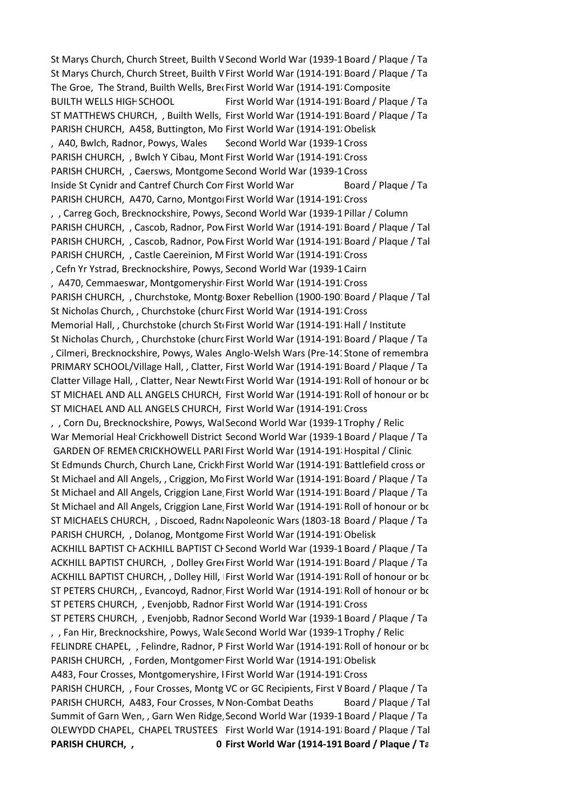St Marys Church, Church Street, Builth V Second World War (1939-1 Board / Plaque / Tablet St Marys Church, Church Street, Builth V First World War (1914-1918 Board / Plaque / Ta The Groe, The Strand, Builth Wells, Brec First World War (1914-1918 Composite BUILTH WELLS HIGH SCHOOL First World War (1914-1918) Board / Plaque / Tablet War (1914-1918) ST MATTHEWS CHURCH, , Builth Wells, First World War (1914-1918 Board / Plaque / Tablet PARISH CHURCH, A458, Buttington, Mo First World War (1914-1918) Obelisk , A40, Bwlch, Radnor, Powys, Wales Second World War (1939-1 Cross PARISH CHURCH, , Bwlch Y Cibau, Mont First World War (1914-191 Cross PARISH CHURCH, , Caersws, Montgome Second World War (1939-1 Cross Inside St Cynidr and Cantref Church Con First World War Board / Plaque / Ta PARISH CHURCH, A470, Carno, Montgol First World War (1914-191 Cross) , , Carreg Goch, Brecknockshire, Powys, Second World War (1939-1 Pillar / Column PARISH CHURCH, , Cascob, Radnor, Pow First World War (1914-1918 Board / Plaque / Tal PARISH CHURCH, , Cascob, Radnor, Pow First World War (1914-191 Board / Plaque / Tal PARISH CHURCH, , Castle Caereinion, M First World War (1914-191 Cross , Cefn Yr Ystrad, Brecknockshire, Powys, Second World War (1939-1 Cairn , A470, Cemmaeswar, Montgomeryshir First World War (1914-191 Cross PARISH CHURCH, , Churchstoke, Montg Boxer Rebellion (1900-1901 Board / Plaque / Tal St Nicholas Church, , Churchstoke (churc First World War (1914-191 Cross Memorial Hall, , Churchstoke (church Sto First World War (1914-1918 Hall / Institute St Nicholas Church, , Churchstoke (churc First World War (1914-1918) Board / Plaque / Tablet , Cilmeri, Brecknockshire, Powys, Wales Anglo-Welsh Wars (Pre-141Stone of remembra PRIMARY SCHOOL/Village Hall, , Clatter, First World War (1914-1918 Board / Plaque / Ta Clatter Village Hall, , Clatter, Near Newto First World War (1914-191 Roll of honour or book ST MICHAEL AND ALL ANGELS CHURCH, First World War (1914-191 Roll of honour or book ST MICHAEL AND ALL ANGELS CHURCH, First World War (1914-191 Cross , , Corn Du, Brecknockshire, Powys, Wal Second World War (1939-1 Trophy / Relic War Memorial Heal Crickhowell District Second World War (1939-1 Board / Plaque / Ta GARDEN OF REMENCRICKHOWELL PARI First World War (1914-191 Hospital / Clinic St Edmunds Church, Church Lane, Crickh First World War (1914-1918 Battlefield cross or St Michael and All Angels, , Criggion, Mo First World War (1914-191 Board / Plaque / Ta St Michael and All Angels, Criggion Lane, First World War (1914-191 Board / Plaque / Ta St Michael and All Angels, Criggion Lane, First World War (1914-1918 Roll of honour or book ST MICHAELS CHURCH, , Discoed, RadnoNapoleonic Wars (1803-18 Board / Plaque / Ta PARISH CHURCH, , Dolanog, Montgome First World War (1914-1918 Obelisk ACKHILL BAPTIST CHACKHILL BAPTIST CHURCH World War (1939-1 Board / Plaque / Tablet ACKHILL BAPTIST CHURCH, , Dolley Gree First World War (1914-191 Board / Plaque / Ta ACKHILL BAPTIST CHURCH, , Dolley Hill, First World War (1914-191 Roll of honour or book ST PETERS CHURCH, , Evancoyd, Radnor, First World War (1914-191 Roll of honour or book ST PETERS CHURCH, , Evenjobb, Radnor First World War (1914-191/Cross ST PETERS CHURCH, , Evenjobb, Radnor Second World War (1939-1 Board / Plaque / Ta , , Fan Hir, Brecknockshire, Powys, Wale Second World War (1939-1 Trophy / Relic FELINDRE CHAPEL, , Felindre, Radnor, P First World War (1914-1918 Roll of honour or book PARISH CHURCH, , Forden, Montgomer First World War (1914-191/Obelisk A483, Four Crosses, Montgomeryshire, I First World War (1914-191 Cross PARISH CHURCH, , Four Crosses, Montg VC or GC Recipients, First V Board / Plaque / Ta PARISH CHURCH, A483, Four Crosses, N Non-Combat Deaths Board / Plaque / Tal Summit of Garn Wen, , Garn Wen Ridge, Second World War (1939-1 Board / Plaque / Ta OLEWYDD CHAPEL, CHAPEL TRUSTEES First World War (1914-191 Board / Plaque / Tal **PARISH CHURCH, , Langue 2008 CHURCH, Montgomery System CHURCH, Inc. Washing Operational Plannership Changes** Par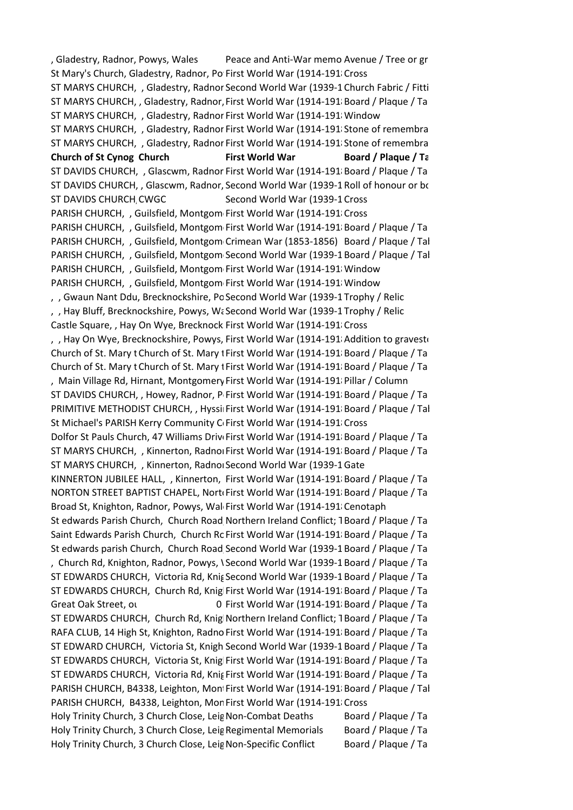, Gladestry, Radnor, Powys, Wales Peace and Anti-War memo Avenue / Tree or gr St Mary's Church, Gladestry, Radnor, Po First World War (1914-191/Cross ST MARYS CHURCH, , Gladestry, Radnor Second World War (1939-1 Church Fabric / Fitti ST MARYS CHURCH, , Gladestry, Radnor, First World War (1914-191 Board / Plaque / Ta ST MARYS CHURCH, , Gladestry, Radnor First World War (1914-1918 Window ST MARYS CHURCH, , Gladestry, Radnor First World War (1914-191 Stone of remembra ST MARYS CHURCH, , Gladestry, Radnor First World War (1914-191 Stone of remembra **Church of St Cynog Church <b>First World War Board / Plaque / Ta** ST DAVIDS CHURCH, , Glascwm, Radnor First World War (1914-191 Board / Plaque / Ta ST DAVIDS CHURCH, , Glascwm, Radnor, Second World War (1939-1 Roll of honour or book ST DAVIDS CHURCH CWGC Second World War (1939-1 Cross PARISH CHURCH, , Guilsfield, Montgom First World War (1914-191 Cross PARISH CHURCH, , Guilsfield, Montgom First World War (1914-1918 Board / Plaque / Ta PARISH CHURCH, , Guilsfield, Montgom Crimean War (1853-1856) Board / Plaque / Tal PARISH CHURCH, , Guilsfield, Montgom Second World War (1939-1 Board / Plaque / Tal PARISH CHURCH, , Guilsfield, Montgom First World War (1914-191 Window PARISH CHURCH, , Guilsfield, Montgom First World War (1914-1918 Window , , Gwaun Nant Ddu, Brecknockshire, Po Second World War (1939-1 Trophy / Relic , Hay Bluff, Brecknockshire, Powys, Walescond World War (1939-1 Trophy / Relic Castle Square, , Hay On Wye, Brecknock First World War (1914-1918)Cross , Hay On Wye, Brecknockshire, Powys, First World War (1914-191 Addition to gravestonely Church of St. Mary t Church of St. Mary I First World War (1914-191 Board / Plaque / Tablet Church of St. Mary t Church of St. Mary t First World War (1914-1918 Board / Plaque / Ta , Main Village Rd, Hirnant, Montgomery First World War (1914-1918 Pillar / Column ST DAVIDS CHURCH, , Howey, Radnor, P First World War (1914-191 Board / Plaque / Ta PRIMITIVE METHODIST CHURCH, , Hyssil First World War (1914-1918 Board / Plaque / Tal St Michael's PARISH Kerry Community C First World War (1914-191 Cross Dolfor St Pauls Church, 47 Williams Driv First World War (1914-191 Board / Plaque / Ta ST MARYS CHURCH, , Kinnerton, Radnor First World War (1914-1918 Board / Plaque / Ta ST MARYS CHURCH, , Kinnerton, Radnor, Second World War (1939-1 Gate KINNERTON JUBILEE HALL, , Kinnerton, First World War (1914-191 Board / Plaque / Ta NORTON STREET BAPTIST CHAPEL, Norto First World War (1914-1918 Board / Plaque / Ta Broad St, Knighton, Radnor, Powys, Wal First World War (1914-191 Cenotaph St edwards Parish Church, Church Road Northern Ireland Conflict; TBoard / Plaque / Ta Saint Edwards Parish Church, Church Rc First World War (1914-191 Board / Plaque / Tablet St edwards parish Church, Church Road Second World War (1939-1 Board / Plaque / Ta , Church Rd, Knighton, Radnor, Powys, \Second World War (1939-1 Board / Plaque / Ta ST EDWARDS CHURCH, Victoria Rd, Knig Second World War (1939-1 Board / Plaque / Ta ST EDWARDS CHURCH, Church Rd, Knig First World War (1914-1918 Board / Plaque / Ta Great Oak Street, outside 1 Town Hall, Los 0 First World War (1914-1918), Board / Plaque / Table ST EDWARDS CHURCH, Church Rd, Knig Northern Ireland Conflict; TBoard / Plaque / Ta RAFA CLUB, 14 High St, Knighton, Radno First World War (1914-1918 Board / Plaque / Ta ST EDWARD CHURCH, Victoria St, Knigh Second World War (1939-1 Board / Plaque / Ta ST EDWARDS CHURCH, Victoria St, Knig First World War (1914-191 Board / Plaque / Ta ST EDWARDS CHURCH, Victoria Rd, Knig First World War (1914-1918 Board / Plaque / Ta PARISH CHURCH, B4338, Leighton, Mon First World War (1914-191 Board / Plaque / Tal PARISH CHURCH, B4338, Leighton, Mor First World War (1914-191 Cross Holy Trinity Church, 3 Church Close, Leig Non-Combat Deaths Board / Plaque / Ta Holy Trinity Church, 3 Church Close, Leig Regimental Memorials Board / Plaque / Ta Holy Trinity Church, 3 Church Close, Leig Non-Specific Conflict Board / Plaque / Ta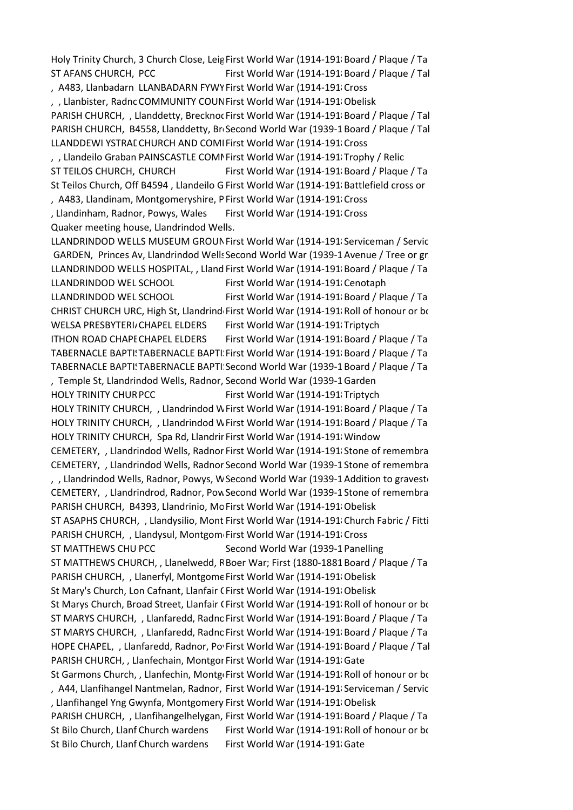Holy Trinity Church, 3 Church Close, Leig First World War (1914-191 Board / Plaque / Tablet ST AFANS CHURCH, PCC First World War (1914-1918) Board / Plaque / Tal , A483, Llanbadarn LLANBADARN FYWY First World War (1914-191 Cross , , Llanbister, Radnc COMMUNITY COUN First World War (1914-1918 Obelisk PARISH CHURCH, , Llanddetty, Brecknoc First World War (1914-1918 Board / Plaque / Tal PARISH CHURCH, B4558, Llanddetty, Br Second World War (1939-1 Board / Plaque / Tal LLANDDEWI YSTRAI CHURCH AND COMI First World War (1914-191 Cross , , Llandeilo Graban PAINSCASTLE COMI First World War (1914-191 Trophy / Relic ST TEILOS CHURCH, CHURCH First World War (1914-1918) Board / Plaque / Ta St Teilos Church, Off B4594, Llandeilo G First World War (1914-191 Battlefield cross or , A483, Llandinam, Montgomeryshire, P First World War (1914-191 Cross , Llandinham, Radnor, Powys, Wales First World War (1914-191 Cross Quaker meeting house, Llandrindod Wells. LLANDRINDOD WELLS MUSEUM GROUN First World War (1914-1918 Serviceman / Servic GARDEN, Princes Av, Llandrindod Wells Second World War (1939-1 Avenue / Tree or gr LLANDRINDOD WELLS HOSPITAL, , Lland First World War (1914-191 Board / Plaque / Ta LLANDRINDOD WEL SCHOOL First World War (1914-1918 Cenotaph LLANDRINDOD WEL SCHOOL First World War (1914-1918 Board / Plaque / Tablet Ann Ro CHRIST CHURCH URC, High St, Llandrind First World War (1914-191 Roll of honour or book WELSA PRESBYTERIJ CHAPEL ELDERS First World War (1914-191 Triptych ITHON ROAD CHAPE CHAPEL ELDERS First World War (1914-1918), Board / Plaque / Table TABERNACLE BAPTI: TABERNACLE BAPTI. First World War (1914-1918 Board / Plaque / Ta TABERNACLE BAPTI: TABERNACLE BAPTI. Second World War (1939-1 Board / Plaque / Ta , Temple St, Llandrindod Wells, Radnor, Second World War (1939-1 Garden HOLY TRINITY CHUR PCC First World War (1914-191 Triptych HOLY TRINITY CHURCH, , Llandrindod Wells, Radio War (1914-191 Board / Plaque / Ta HOLY TRINITY CHURCH, , Llandrindod Wells, Radio War (1914-1918 Board / Plaque / Tablet HOLY TRINITY CHURCH, Spa Rd, Llandrir First World War (1914-191 Window CEMETERY, , Llandrindod Wells, Radnor First World War (1914-191 Stone of remembra CEMETERY, , Llandrindod Wells, Radnor Second World War (1939-1 Stone of remembra , , Llandrindod Wells, Radnor, Powys, W Second World War (1939-1 Addition to gravestonely CEMETERY, , Llandrindrod, Radnor, Pow Second World War (1939-1 Stone of remembra PARISH CHURCH, B4393, Llandrinio, Mc First World War (1914-1918) Obelisk ST ASAPHS CHURCH, , Llandysilio, Mont First World War (1914-1918)Church Fabric / Fitti PARISH CHURCH, , Llandysul, Montgom First World War (1914-1918)Cross ST MATTHEWS CHU PCC Second World War (1939-1 Panelling ST MATTHEWS CHURCH, , Llanelwedd, R Boer War; First (1880-1881 Board / Plaque / Ta PARISH CHURCH, , Llanerfyl, Montgome First World War (1914-1918 Obelisk St Mary's Church, Lon Cafnant, Llanfair CFirst World War (1914-1918 Obelisk St Marys Church, Broad Street, Llanfair CFirst World War (1914-191 Roll of honour or book ST MARYS CHURCH, , Llanfaredd, Radnc First World War (1914-191 Board / Plaque / Ta ST MARYS CHURCH, , Llanfaredd, Radnc First World War (1914-191 Board / Plaque / Ta HOPE CHAPEL, , Llanfaredd, Radnor, Po First World War (1914-191 Board / Plaque / Tal PARISH CHURCH, , Llanfechain, Montgor First World War (1914-191/Gate St Garmons Church, , Llanfechin, Montgo First World War (1914-1918 Roll of honour or book , A44, Llanfihangel Nantmelan, Radnor, First World War (1914-191 Serviceman / Servic , Llanfihangel Yng Gwynfa, Montgomery First World War (1914-1918 Obelisk PARISH CHURCH, , Llanfihangelhelygan, First World War (1914-1918 Board / Plaque / Ta St Bilo Church, Llanf Church wardens First World War (1914-1918), Roll of honour or book Bilo St Bilo Church, Llanf Church wardens First World War (1914-1918)Gate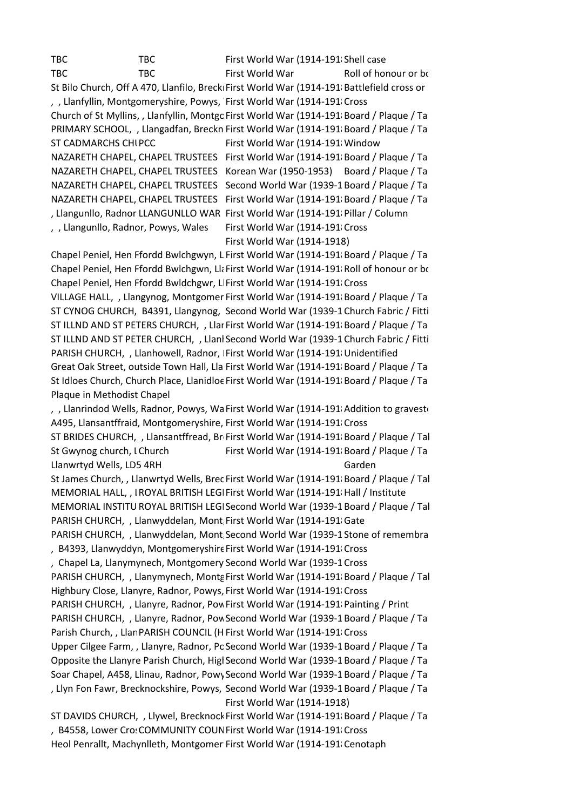TBC TBC First World War (1914-1918) Shell case TBC TBC First World War Roll of honour or book of remember of remember of remembers of remembers of remembers o St Bilo Church, Off A 470, Llanfilo, Brecki First World War (1914-191 Battlefield cross or , , Llanfyllin, Montgomeryshire, Powys, First World War (1914-1918) Cross Church of St Myllins, , Llanfyllin, Montgo First World War (1914-1918 Board / Plaque / Ta PRIMARY SCHOOL, , Llangadfan, Breckn First World War (1914-1918 Board / Plaque / Ta ST CADMARCHS CHUPCC First World War (1914-1918) Window NAZARETH CHAPEL, CHAPEL TRUSTEES First World War (1914-191 Board / Plaque / Ta NAZARETH CHAPEL, CHAPEL TRUSTEES Korean War (1950-1953) Board / Plaque / Ta NAZARETH CHAPEL, CHAPEL TRUSTEES Second World War (1939-1 Board / Plaque / Ta NAZARETH CHAPEL, CHAPEL TRUSTEES First World War (1914-1918 Board / Plaque / Tablet , Llangunllo, Radnor LLANGUNLLO WAR First World War (1914-1918 Pillar / Column , Llangunllo, Radnor, Powys, Wales First World War (1914-191 Cross First World War (1914-1918)

Chapel Peniel, Hen Ffordd Bwlchgwyn, L First World War (1914-191 Board / Plaque / Ta Chapel Peniel, Hen Ffordd Bwlchgwn, Llangynid War (1914-1918 Roll of honour or book of remembers, CH7 First World War (1914-1918) Chapel Peniel, Hen Ffordd Bwldchgwr, Ll First World War (1914-191 Cross VILLAGE HALL, , Llangynog, Montgomer First World War (1914-1918 Board / Plaque / Ta ST CYNOG CHURCH, B4391, Llangynog, Second World War (1939-1 Church Fabric / Fitti ST ILLND AND ST PETERS CHURCH, , Llar First World War (1914-191 Board / Plaque / Ta ST ILLND AND ST PETER CHURCH, , Llanl Second World War (1939-1 Church Fabric / Fitti PARISH CHURCH, , Llanhowell, Radnor, First World War (1914-1918 Unidentified Great Oak Street, outside Town Hall, Lla First World War (1914-1918 Board / Plaque / Ta St Idloes Church, Church Place, Llanidloe First World War (1914-1918 Board / Plaque / Ta Plaque in Methodist Chapel

, Llanrindod Wells, Radnor, Powys, Wa First World War (1914-191 Addition to gravestonely A495, Llansantffraid, Montgomeryshire, First World War (1914-191 Cross ST BRIDES CHURCH, , Llansantffread, Br First World War (1914-191 Board / Plaque / Tal St Gwynog church, I Church First World War (1914-1918) Board / Plaque / Ta Llanwrtyd Wells, LD5 4RH Garden St James Church, , Llanwrtyd Wells, Brec First World War (1914-1918 Board / Plaque / Tal MEMORIAL HALL, , IROYAL BRITISH LEGIFirst World War (1914-1918 Hall / Institute MEMORIAL INSTITU ROYAL BRITISH LEGI Second World War (1939-1 Board / Plaque / Tal PARISH CHURCH, , Llanwyddelan, Mont First World War (1914-1918 Gate PARISH CHURCH, , Llanwyddelan, Mont Second World War (1939-1 Stone of remembra , B4393, Llanwyddyn, Montgomeryshire First World War (1914-191/Cross , Chapel La, Llanymynech, Montgomery Second World War (1939-1 Cross PARISH CHURCH, , Llanymynech, Montg First World War (1914-191 Board / Plaque / Tal Highbury Close, Llanyre, Radnor, Powys, First World War (1914-191 Cross PARISH CHURCH, , Llanyre, Radnor, Pow First World War (1914-191 Painting / Print PARISH CHURCH, , Llanyre, Radnor, Pow Second World War (1939-1 Board / Plaque / Ta Parish Church, , Llan PARISH COUNCIL (H First World War (1914-1918) Cross Upper Cilgee Farm, , Llanyre, Radnor, Pc Second World War (1939-1 Board / Plaque / Ta Opposite the Llanyre Parish Church, Higl Second World War (1939-1 Board / Plaque / Ta Soar Chapel, A458, Llinau, Radnor, Powy Second World War (1939-1 Board / Plaque / Tablet , Llyn Fon Fawr, Brecknockshire, Powys, Second World War (1939-1 Board / Plaque / Ta First World War (1914-1918) ST DAVIDS CHURCH, , Llywel, Brecknock First World War (1914-1918 Board / Plaque / Ta

, B4558, Lower Cro: COMMUNITY COUN First World War (1914-191/Cross Heol Penrallt, Machynlleth, Montgomer First World War (1914-191 Cenotaph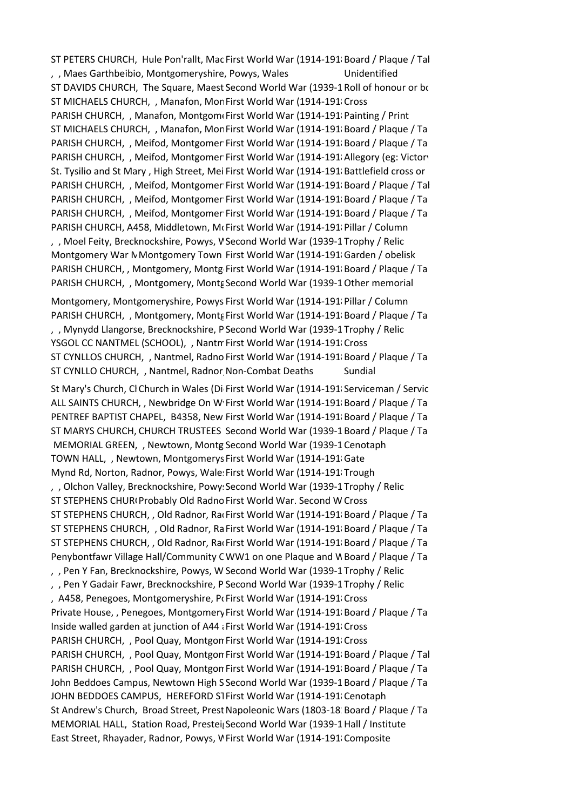ST PETERS CHURCH, Hule Pon'rallt, Mac First World War (1914-1918 Board / Plaque / Tal , , Maes Garthbeibio, Montgomeryshire, Powys, Wales Unidentified ST DAVIDS CHURCH, The Square, Maest Second World War (1939-1 Roll of honour or book ST MICHAELS CHURCH. , Manafon, Mon First World War (1914-191) Cross PARISH CHURCH, , Manafon, Montgomerist World War (1914-1918 Painting / Print ST MICHAELS CHURCH, , Manafon, Mon First World War (1914-191 Board / Plaque / Ta PARISH CHURCH, , Meifod, Montgomer First World War (1914-191 Board / Plaque / Ta PARISH CHURCH, , Meifod, Montgomer First World War (1914-1918 Allegory (eg: Victory) St. Tysilio and St Mary, High Street, Mei First World War (1914-191 Battlefield cross or PARISH CHURCH, , Meifod, Montgomer First World War (1914-191 Board / Plaque / Tal PARISH CHURCH, , Meifod, Montgomer First World War (1914-1918 Board / Plaque / Ta PARISH CHURCH, , Meifod, Montgomer First World War (1914-1918 Board / Plaque / Ta PARISH CHURCH, A458, Middletown, McFirst World War (1914-1918 Pillar / Column , , Moel Feity, Brecknockshire, Powys, V Second World War (1939-1 Trophy / Relic Montgomery War N Montgomery Town First World War (1914-191 Garden / obelisk PARISH CHURCH, , Montgomery, Montg First World War (1914-191 Board / Plaque / Tablet PARISH CHURCH, , Montgomery, Montg Second World War (1939-1 Other memorial

Montgomery, Montgomeryshire, Powys First World War (1914-1918) Pillar / Column PARISH CHURCH, , Montgomery, Monts First World War (1914-191 Board / Plaque / Ta , , Mynydd Llangorse, Brecknockshire, P Second World War (1939-1 Trophy / Relic YSGOL CC NANTMEL (SCHOOL), , Nantmel, First World War (1914-1918) Cross ST CYNLLOS CHURCH, , Nantmel, Radno First World War (1914-191 Board / Plaque / Ta ST CYNLLO CHURCH, , Nantmel, Radnor Non-Combat Deaths Sundial

St Mary's Church, Cl Church in Wales (Di First World War (1914-1918 Serviceman / Servic ALL SAINTS CHURCH, , Newbridge On W First World War (1914-191 Board / Plaque / Ta PENTREF BAPTIST CHAPEL, B4358, New First World War (1914-191 Board / Plaque / Ta ST MARYS CHURCH, CHURCH TRUSTEES Second World War (1939-1 Board / Plaque / Ta MEMORIAL GREEN, , Newtown, Montg Second World War (1939-1 Cenotaph TOWN HALL, , Newtown, Montgomerys First World War (1914-191 Gate Mynd Rd, Norton, Radnor, Powys, Wale: First World War (1914-191; Trough , , Olchon Valley, Brecknockshire, Powy: Second World War (1939-1 Trophy / Relic ST STEPHENS CHURI Probably Old Radno First World War. Second W Cross ST STEPHENS CHURCH, , Old Radnor, RacFirst World War (1914-1918 Board / Plaque / Ta ST STEPHENS CHURCH, , Old Radnor, Ra First World War (1914-191 Board / Plaque / Ta ST STEPHENS CHURCH, , Old Radnor, RacFirst World War (1914-191/Board / Plaque / Tablet (1982) Penybontfawr Village Hall/Community CWW1 on one Plaque and W Board / Plaque / Ta , , Pen Y Fan, Brecknockshire, Powys, W Second World War (1939-1 Trophy / Relic , , Pen Y Gadair Fawr, Brecknockshire, P Second World War (1939-1 Trophy / Relic , A458, Penegoes, Montgomeryshire, Portist World War (1914-1918) Cross Private House, , Penegoes, Montgomery First World War (1914-191 Board / Plaque / Ta Inside walled garden at junction of A44 a First World War (1914-1918) Cross. PARISH CHURCH, , Pool Quay, Montgon First World War (1914-191 Cross PARISH CHURCH, , Pool Quay, Montgon First World War (1914-191 Board / Plaque / Tal PARISH CHURCH, , Pool Quay, Montgon First World War (1914-191 Board / Plaque / Ta John Beddoes Campus, Newtown High S Second World War (1939-1 Board / Plaque / Tablet JOHN BEDDOES CAMPUS, HEREFORD STFirst World War (1914-191 Cenotaph St Andrew's Church, Broad Street, Prest Napoleonic Wars (1803-18 Board / Plaque / Ta MEMORIAL HALL, Station Road, Prestei Second World War (1939-1 Hall / Institute East Street, Rhayader, Radnor, Powys, V First World War (1914-191 Composite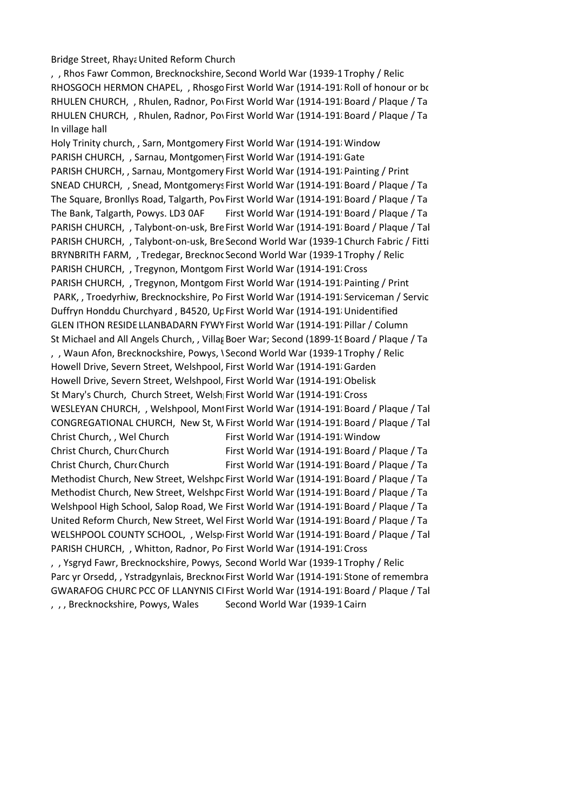Bridge Street, Rhaya United Reform Church

, , Rhos Fawr Common, Brecknockshire, Second World War (1939-1 Trophy / Relic RHOSGOCH HERMON CHAPEL, , Rhosgo First World War (1914-191 Roll of honour or book RHULEN CHURCH, , Rhulen, Radnor, Pow First World War (1914-191 Board / Plaque / Ta RHULEN CHURCH, , Rhulen, Radnor, Pow First World War (1914-1918 Board / Plaque / Tablet In village hall

Holy Trinity church, , Sarn, Montgomery First World War (1914-1918 Window PARISH CHURCH, , Sarnau, Montgomer First World War (1914-191 Gate PARISH CHURCH, , Sarnau, Montgomery First World War (1914-191 Painting / Print SNEAD CHURCH, , Snead, Montgomerys First World War (1914-191 Board / Plaque / Ta The Square, Bronllys Road, Talgarth, Pov First World War (1914-1918), Board / Plaque / Tablet The Bank, Talgarth, Powys. LD3 0AF First World War (1914-191! Board / Plaque / Ta PARISH CHURCH, , Talybont-on-usk, Bre First World War (1914-1918 Board / Plaque / Tal PARISH CHURCH, , Talybont-on-usk, Bre Second World War (1939-1 Church Fabric / Fitti BRYNBRITH FARM, , Tredegar, Brecknoc Second World War (1939-1 Trophy / Relic PARISH CHURCH, , Tregynon, Montgom First World War (1914-191 Cross PARISH CHURCH, , Tregynon, Montgom First World War (1914-191 Painting / Print PARK, , Troedyrhiw, Brecknockshire, Po First World War (1914-191 Serviceman / Servic Duffryn Honddu Churchyard, B4520, Up First World War (1914-1918 Unidentified GLEN ITHON RESIDE LLANBADARN FYWY First World War (1914-1918 Pillar / Column St Michael and All Angels Church, , Villag Boer War; Second (1899-19 Board / Plaque / Ta , , Waun Afon, Brecknockshire, Powys, \Second World War (1939-1Trophy / Relic Howell Drive, Severn Street, Welshpool, First World War (1914-191 Garden Howell Drive, Severn Street, Welshpool, First World War (1914-191/Obelisk St Mary's Church, Church Street, Welsh First World War (1914-1918) Cross WESLEYAN CHURCH, , Welshpool, Mont First World War (1914-1918 Board / Plaque / Tal CONGREGATIONAL CHURCH, New St, W First World War (1914-191 Board / Plaque / Tal Christ Church, , Wel Church First World War (1914-1918 Window Christ Church, Churc Church **Road, Montgomery, Power Church Plague / Tablet** First World War (1914-1918) Board / Plaque / Table Christ Church, Church Road, Montgomery, Power Road, 2014-1918 First World War (1914-1918) Board / Plaque / Ta Methodist Church, New Street, Welshpc First World War (1914-191 Board / Plaque / Ta Methodist Church, New Street, Welshpc First World War (1914-191 Board / Plaque / Ta Welshpool High School, Salop Road, We First World War (1914-1918), Board / Plaque / Ta United Reform Church, New Street, Wel First World War (1914-191 Board / Plaque / Ta WELSHPOOL COUNTY SCHOOL, , Welsp First World War (1914-191 Board / Plaque / Tal PARISH CHURCH, , Whitton, Radnor, Po First World War (1914-191 Cross , Ysgryd Fawr, Brecknockshire, Powys, Second World War (1939-1 Trophy / Relic Parc yr Orsedd, , Ystradgynlais, Breckno First World War (1914-1918) Stone of remembra GWARAFOG CHURC PCC OF LLANYNIS CI First World War (1914-191 Board / Plaque / Tal , , , Brecknockshire, Powys, Wales Second World War (1939-1 Cairn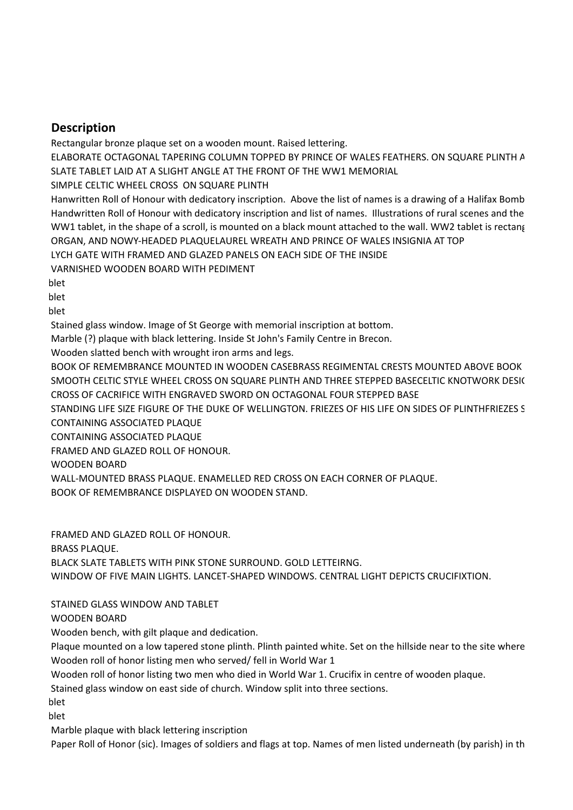# **Description**

Rectangular bronze plaque set on a wooden mount. Raised lettering.

ELABORATE OCTAGONAL TAPERING COLUMN TOPPED BY PRINCE OF WALES FEATHERS. ON SQUARE PLINTH A SLATE TABLET LAID AT A SLIGHT ANGLE AT THE FRONT OF THE WW1 MEMORIAL

SIMPLE CELTIC WHEEL CROSS ON SQUARE PLINTH

Hanwritten Roll of Honour with dedicatory inscription. Above the list of names is a drawing of a Halifax Bomb Handwritten Roll of Honour with dedicatory inscription and list of names. Illustrations of rural scenes and the WW1 tablet, in the shape of a scroll, is mounted on a black mount attached to the wall. WW2 tablet is rectang ORGAN, AND NOWY-HEADED PLAQUELAUREL WREATH AND PRINCE OF WALES INSIGNIA AT TOP

LYCH GATE WITH FRAMED AND GLAZED PANELS ON EACH SIDE OF THE INSIDE

VARNISHED WOODEN BOARD WITH PEDIMENT

blet

blet

blet

Stained glass window. Image of St George with memorial inscription at bottom.

Marble (?) plaque with black lettering. Inside St John's Family Centre in Brecon.

Wooden slatted bench with wrought iron arms and legs.

BOOK OF REMEMBRANCE MOUNTED IN WOODEN CASEBRASS REGIMENTAL CRESTS MOUNTED ABOVE BOOK SMOOTH CELTIC STYLE WHEEL CROSS ON SQUARE PLINTH AND THREE STEPPED BASECELTIC KNOTWORK DESIC CROSS OF CACRIFICE WITH ENGRAVED SWORD ON OCTAGONAL FOUR STEPPED BASE

STANDING LIFE SIZE FIGURE OF THE DUKE OF WELLINGTON. FRIEZES OF HIS LIFE ON SIDES OF PLINTHFRIEZES S CONTAINING ASSOCIATED PLAQUE

CONTAINING ASSOCIATED PLAQUE

FRAMED AND GLAZED ROLL OF HONOUR.

WOODEN BOARD

WALL-MOUNTED BRASS PLAQUE. ENAMELLED RED CROSS ON EACH CORNER OF PLAQUE.

BOOK OF REMEMBRANCE DISPLAYED ON WOODEN STAND.

FRAMED AND GLAZED ROLL OF HONOUR. BRASS PLAQUE. BLACK SLATE TABLETS WITH PINK STONE SURROUND. GOLD LETTEIRNG. WINDOW OF FIVE MAIN LIGHTS. LANCET-SHAPED WINDOWS. CENTRAL LIGHT DEPICTS CRUCIFIXTION.

STAINED GLASS WINDOW AND TABLET

WOODEN BOARD

Wooden bench, with gilt plaque and dedication.

Plaque mounted on a low tapered stone plinth. Plinth painted white. Set on the hillside near to the site where Wooden roll of honor listing men who served/ fell in World War 1

Wooden roll of honor listing two men who died in World War 1. Crucifix in centre of wooden plaque.

Stained glass window on east side of church. Window split into three sections.

blet

blet

Marble plaque with black lettering inscription

Paper Roll of Honor (sic). Images of soldiers and flags at top. Names of men listed underneath (by parish) in th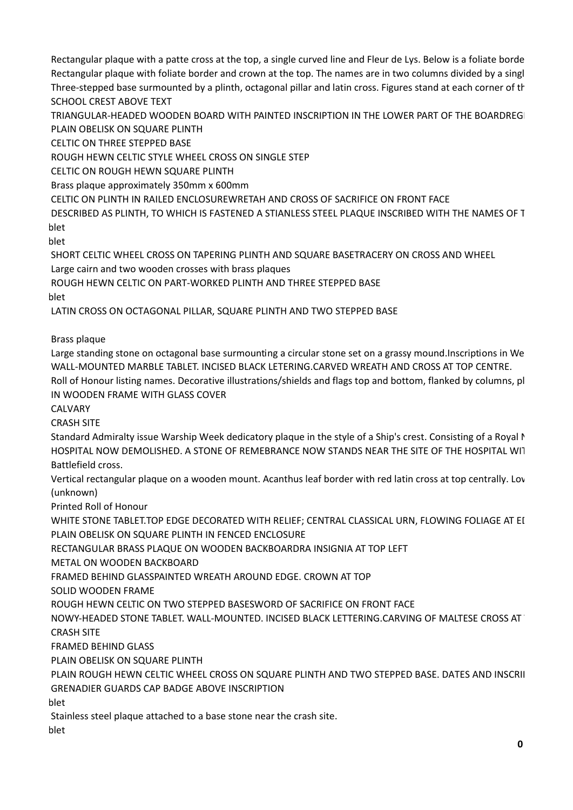Rectangular plaque with a patte cross at the top, a single curved line and Fleur de Lys. Below is a foliate borde Rectangular plaque with foliate border and crown at the top. The names are in two columns divided by a single Three-stepped base surmounted by a plinth, octagonal pillar and latin cross. Figures stand at each corner of th SCHOOL CREST ABOVE TEXT

TRIANGULAR-HEADED WOODEN BOARD WITH PAINTED INSCRIPTION IN THE LOWER PART OF THE BOARDREGI PLAIN OBELISK ON SQUARE PLINTH

CELTIC ON THREE STEPPED BASE

ROUGH HEWN CELTIC STYLE WHEEL CROSS ON SINGLE STEP

CELTIC ON ROUGH HEWN SQUARE PLINTH

Brass plaque approximately 350mm x 600mm

CELTIC ON PLINTH IN RAILED ENCLOSURE WRETAH AND CROSS OF SACRIFICE ON FRONT FACE

DESCRIBED AS PLINTH, TO WHICH IS FASTENED A STIANLESS STEEL PLAQUE INSCRIBED WITH THE NAMES OF T blet

hlet

SHORT CELTIC WHEEL CROSS ON TAPERING PLINTH AND SQUARE BASETRACERY ON CROSS AND WHEEL Large cairn and two wooden crosses with brass plaques

ROUGH HEWN CELTIC ON PART-WORKED PLINTH AND THREE STEPPED BASE

blet

LATIN CROSS ON OCTAGONAL PILLAR, SQUARE PLINTH AND TWO STEPPED BASE

Brass plaque

Large standing stone on octagonal base surmounting a circular stone set on a grassy mound. Inscriptions in We WALL-MOUNTED MARBLE TABLET. INCISED BLACK LETERING. CARVED WREATH AND CROSS AT TOP CENTRE. Roll of Honour listing names. Decorative illustrations/shields and flags top and bottom, flanked by columns, pl IN WOODEN FRAME WITH GLASS COVER

CALVARY

CRASH SITE

Standard Admiralty issue Warship Week dedicatory plaque in the style of a Ship's crest. Consisting of a Royal N HOSPITAL NOW DEMOLISHED. A STONE OF REMEBRANCE NOW STANDS NEAR THE SITE OF THE HOSPITAL WIT Battlefield cross.

Vertical rectangular plaque on a wooden mount. Acanthus leaf border with red latin cross at top centrally. Lov (unknown)

Printed Roll of Honour

WHITE STONE TABLET. TOP EDGE DECORATED WITH RELIEF; CENTRAL CLASSICAL URN, FLOWING FOLIAGE AT EI PLAIN OBELISK ON SQUARE PLINTH IN FENCED ENCLOSURE

RECTANGULAR BRASS PLAQUE ON WOODEN BACKBOARDRA INSIGNIA AT TOP LEFT

METAL ON WOODEN BACKBOARD

FRAMED BEHIND GLASS PAINTED WREATH AROUND EDGE. CROWN AT TOP

SOLID WOODEN FRAME

ROUGH HEWN CELTIC ON TWO STEPPED BASESWORD OF SACRIFICE ON FRONT FACE

NOWY-HEADED STONE TABLET. WALL-MOUNTED. INCISED BLACK LETTERING.CARVING OF MALTESE CROSS AT CRASH SITE

FRAMED BEHIND GLASS

PLAIN OBELISK ON SQUARE PLINTH

PLAIN ROUGH HEWN CELTIC WHEEL CROSS ON SQUARE PLINTH AND TWO STEPPED BASE. DATES AND INSCRII GRENADIER GUARDS CAP BADGE ABOVE INSCRIPTION

blet

Stainless steel plaque attached to a base stone near the crash site.

blet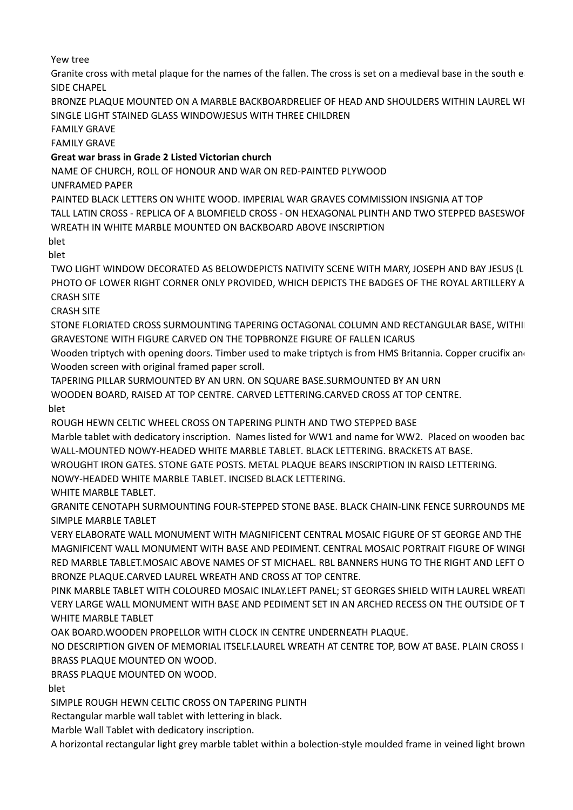Yew tree

Granite cross with metal plaque for the names of the fallen. The cross is set on a medieval base in the south e SIDE CHAPEL

BRONZE PLAQUE MOUNTED ON A MARBLE BACKBOARDRELIEF OF HEAD AND SHOULDERS WITHIN LAUREL WE SINGLE LIGHT STAINED GLASS WINDOWJESUS WITH THREE CHILDREN

FAMILY GRAVE

FAMILY GRAVE

# **Great war brass in Grade 2 Listed Victorian church**

NAME OF CHURCH, ROLL OF HONOUR AND WAR ON RED-PAINTED PLYWOOD

UNFRAMED PAPER

PAINTED BLACK LETTERS ON WHITE WOOD. IMPERIAL WAR GRAVES COMMISSION INSIGNIA AT TOP

TALL LATIN CROSS - REPLICA OF A BLOMFIELD CROSS - ON HEXAGONAL PLINTH AND TWO STEPPED BASESWOF WREATH IN WHITE MARBLE MOUNTED ON BACKBOARD ABOVE INSCRIPTION

blet

blet

TWO LIGHT WINDOW DECORATED AS BELOWDEPICTS NATIVITY SCENE WITH MARY, JOSEPH AND BAY JESUS (LI PHOTO OF LOWER RIGHT CORNER ONLY PROVIDED, WHICH DEPICTS THE BADGES OF THE ROYAL ARTILLERY A CRASH SITE

CRASH SITE

STONE FLORIATED CROSS SURMOUNTING TAPERING OCTAGONAL COLUMN AND RECTANGULAR BASE, WITHI GRAVESTONE WITH FIGURE CARVED ON THE TOPBRONZE FIGURE OF FALLEN ICARUS

Wooden triptych with opening doors. Timber used to make triptych is from HMS Britannia. Copper crucifix and Wooden screen with original framed paper scroll.

TAPERING PILLAR SURMOUNTED BY AN URN. ON SQUARE BASE. SURMOUNTED BY AN URN WOODEN BOARD, RAISED AT TOP CENTRE. CARVED LETTERING. CARVED CROSS AT TOP CENTRE. hlet

ROUGH HEWN CELTIC WHEEL CROSS ON TAPERING PLINTH AND TWO STEPPED BASE

Marble tablet with dedicatory inscription. Names listed for WW1 and name for WW2. Placed on wooden bac WALL-MOUNTED NOWY-HEADED WHITE MARBLE TABLET. BLACK LETTERING. BRACKETS AT BASE.

WROUGHT IRON GATES. STONE GATE POSTS. METAL PLAQUE BEARS INSCRIPTION IN RAISD LETTERING.

NOWY-HEADED WHITE MARBLE TABLET. INCISED BLACK LETTERING.

WHITE MARBLE TABLET.

GRANITE CENOTAPH SURMOUNTING FOUR-STEPPED STONE BASE. BLACK CHAIN-LINK FENCE SURROUNDS ME SIMPLE MARBLE TABLET

VERY ELABORATE WALL MONUMENT WITH MAGNIFICENT CENTRAL MOSAIC FIGURE OF ST GEORGE AND THE MAGNIFICENT WALL MONUMENT WITH BASE AND PEDIMENT. CENTRAL MOSAIC PORTRAIT FIGURE OF WINGI RED MARBLE TABLET. MOSAIC ABOVE NAMES OF ST MICHAEL. RBL BANNERS HUNG TO THE RIGHT AND LEFT O BRONZE PLAQUE. CARVED LAUREL WREATH AND CROSS AT TOP CENTRE.

PINK MARBLE TABLET WITH COLOURED MOSAIC INLAY. LEFT PANEL; ST GEORGES SHIELD WITH LAUREL WREATI VERY LARGE WALL MONUMENT WITH BASE AND PEDIMENT SET IN AN ARCHED RECESS ON THE OUTSIDE OF T WHITE MARBLE TABLET

OAK BOARD. WOODEN PROPELLOR WITH CLOCK IN CENTRE UNDERNEATH PLAQUE.

NO DESCRIPTION GIVEN OF MEMORIAL ITSELF. LAUREL WREATH AT CENTRE TOP, BOW AT BASE. PLAIN CROSS II BRASS PLAQUE MOUNTED ON WOOD.

BRASS PLAQUE MOUNTED ON WOOD.

blet

SIMPLE ROUGH HEWN CELTIC CROSS ON TAPERING PLINTH

Rectangular marble wall tablet with lettering in black.

Marble Wall Tablet with dedicatory inscription.

A horizontal rectangular light grey marble tablet within a bolection-style moulded frame in veined light brown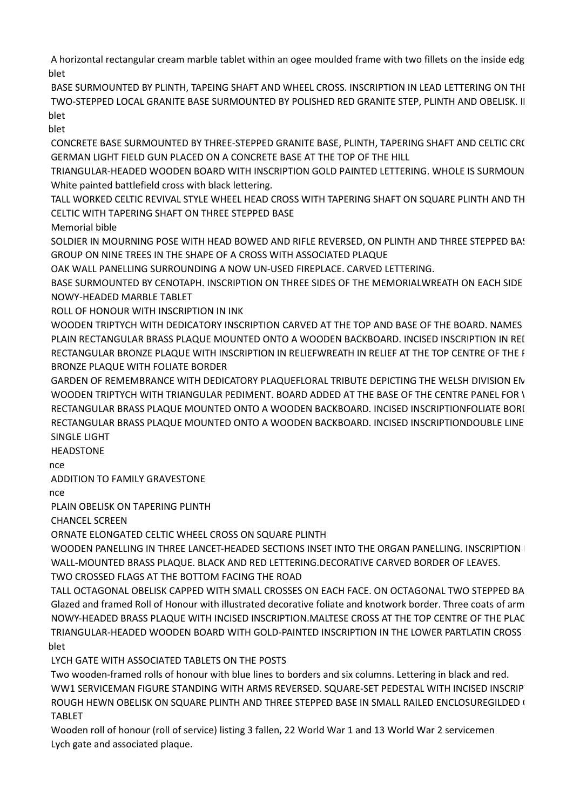A horizontal rectangular cream marble tablet within an ogee moulded frame with two fillets on the inside edg blet

BASE SURMOUNTED BY PLINTH, TAPEING SHAFT AND WHEEL CROSS. INSCRIPTION IN LEAD LETTERING ON THE TWO-STEPPED LOCAL GRANITE BASE SURMOUNTED BY POLISHED RED GRANITE STEP. PLINTH AND OBELISK. II blet

blet

CONCRETE BASE SURMOUNTED BY THREE-STEPPED GRANITE BASE, PLINTH, TAPERING SHAFT AND CELTIC CR( GERMAN LIGHT FIELD GUN PLACED ON A CONCRETE BASE AT THE TOP OF THE HILL

TRIANGULAR-HEADED WOODEN BOARD WITH INSCRIPTION GOLD PAINTED LETTERING. WHOLE IS SURMOUN White painted battlefield cross with black lettering.

TALL WORKED CELTIC REVIVAL STYLE WHEEL HEAD CROSS WITH TAPERING SHAFT ON SQUARE PLINTH AND TH CELTIC WITH TAPERING SHAFT ON THREE STEPPED BASE

Memorial bible

SOLDIER IN MOURNING POSE WITH HEAD BOWED AND RIFLE REVERSED, ON PLINTH AND THREE STEPPED BAS GROUP ON NINE TREES IN THE SHAPE OF A CROSS WITH ASSOCIATED PLAQUE

OAK WALL PANELLING SURROUNDING A NOW UN-USED FIREPLACE. CARVED LETTERING.

BASE SURMOUNTED BY CENOTAPH. INSCRIPTION ON THREE SIDES OF THE MEMORIAL WREATH ON EACH SIDE NOWY-HEADED MARBLE TABLET

ROLL OF HONOUR WITH INSCRIPTION IN INK

WOODEN TRIPTYCH WITH DEDICATORY INSCRIPTION CARVED AT THE TOP AND BASE OF THE BOARD. NAMES PLAIN RECTANGULAR BRASS PLAQUE MOUNTED ONTO A WOODEN BACKBOARD. INCISED INSCRIPTION IN REI RECTANGULAR BRONZE PLAQUE WITH INSCRIPTION IN RELIEFWREATH IN RELIEF AT THE TOP CENTRE OF THE F BRONZE PLAQUE WITH FOLIATE BORDER

GARDEN OF REMEMBRANCE WITH DEDICATORY PLAQUEFLORAL TRIBUTE DEPICTING THE WELSH DIVISION EN WOODEN TRIPTYCH WITH TRIANGULAR PEDIMENT. BOARD ADDED AT THE BASE OF THE CENTRE PANEL FOR \ RECTANGULAR BRASS PLAQUE MOUNTED ONTO A WOODEN BACKBOARD. INCISED INSCRIPTIONFOLIATE BORI RECTANGULAR BRASS PLAQUE MOUNTED ONTO A WOODEN BACKBOARD. INCISED INSCRIPTIONDOUBLE LINE SINGLE LIGHT

HEADSTONE

Stone of remember of  $r$ 

ADDITION TO FAMILY GRAVESTONE

Stone of remember of  $r$ 

PLAIN OBELISK ON TAPERING PLINTH

CHANCEL SCREEN

ORNATE ELONGATED CELTIC WHEEL CROSS ON SQUARE PLINTH

WOODEN PANELLING IN THREE LANCET-HEADED SECTIONS INSET INTO THE ORGAN PANELLING. INSCRIPTION I WALL-MOUNTED BRASS PLAQUE. BLACK AND RED LETTERING. DECORATIVE CARVED BORDER OF LEAVES.

TWO CROSSED FLAGS AT THE BOTTOM FACING THE ROAD

TALL OCTAGONAL OBELISK CAPPED WITH SMALL CROSSES ON EACH FACE. ON OCTAGONAL TWO STEPPED BA Glazed and framed Roll of Honour with illustrated decorative foliate and knotwork border. Three coats of arm NOWY-HEADED BRASS PLAQUE WITH INCISED INSCRIPTION. MALTESE CROSS AT THE TOP CENTRE OF THE PLAQUE TRIANGULAR-HEADED WOODEN BOARD WITH GOLD-PAINTED INSCRIPTION IN THE LOWER PARTLATIN CROSS SURFACE blet

LYCH GATE WITH ASSOCIATED TABLETS ON THE POSTS

Two wooden-framed rolls of honour with blue lines to borders and six columns. Lettering in black and red. WW1 SERVICEMAN FIGURE STANDING WITH ARMS REVERSED. SQUARE-SET PEDESTAL WITH INCISED INSCRIP ROUGH HEWN OBELISK ON SQUARE PLINTH AND THREE STEPPED BASE IN SMALL RAILED ENCLOSUREGILDED ( TABLET

Wooden roll of honour (roll of service) listing 3 fallen, 22 World War 1 and 13 World War 2 servicemen Lych gate and associated plaque.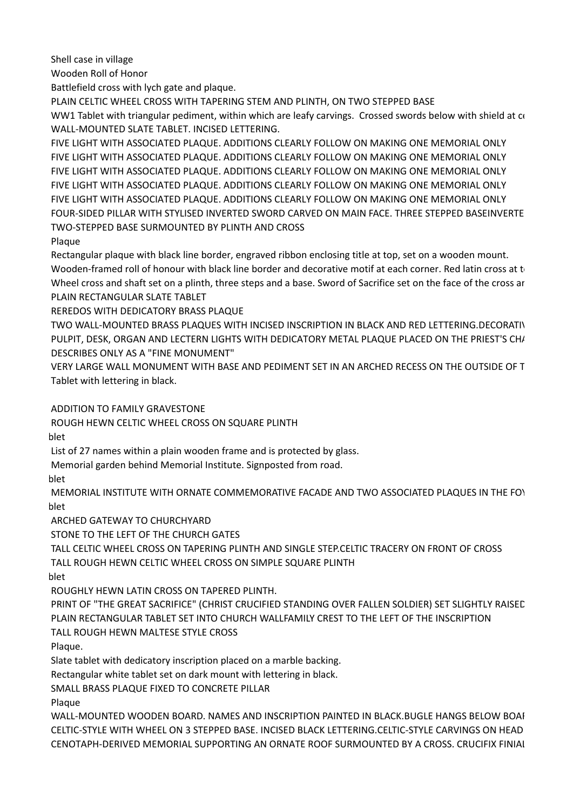Shell case in village

Wooden Roll of Honor

Battlefield cross with lych gate and plaque.

PLAIN CELTIC WHEEL CROSS WITH TAPERING STEM AND PLINTH, ON TWO STEPPED BASE

WW1 Tablet with triangular pediment, within which are leafy carvings. Crossed swords below with shield at com-WALL-MOUNTED SLATE TABLET. INCISED LETTERING.

FIVE LIGHT WITH ASSOCIATED PLAQUE. ADDITIONS CLEARLY FOLLOW ON MAKING ONE MEMORIAL ONLY FIVE LIGHT WITH ASSOCIATED PLAQUE. ADDITIONS CLEARLY FOLLOW ON MAKING ONE MEMORIAL ONLY FIVE LIGHT WITH ASSOCIATED PLAQUE. ADDITIONS CLEARLY FOLLOW ON MAKING ONE MEMORIAL ONLY FIVE LIGHT WITH ASSOCIATED PLAQUE. ADDITIONS CLEARLY FOLLOW ON MAKING ONE MEMORIAL ONLY FIVE LIGHT WITH ASSOCIATED PLAQUE. ADDITIONS CLEARLY FOLLOW ON MAKING ONE MEMORIAL ONLY FOUR-SIDED PILLAR WITH STYLISED INVERTED SWORD CARVED ON MAIN FACE. THREE STEPPED BASEINVERTE TWO-STEPPED BASE SURMOUNTED BY PLINTH AND CROSS

Plaque

Rectangular plaque with black line border, engraved ribbon enclosing title at top, set on a wooden mount. Wooden-framed roll of honour with black line border and decorative motif at each corner. Red latin cross at to Wheel cross and shaft set on a plinth, three steps and a base. Sword of Sacrifice set on the face of the cross ar PLAIN RECTANGULAR SLATE TABLET

REREDOS WITH DEDICATORY BRASS PLAQUE

TWO WALL-MOUNTED BRASS PLAQUES WITH INCISED INSCRIPTION IN BLACK AND RED LETTERING. DECORATIV PULPIT, DESK, ORGAN AND LECTERN LIGHTS WITH DEDICATORY METAL PLAQUE PLACED ON THE PRIEST'S CH/ DESCRIBES ONLY AS A "FINE MONUMENT"

VERY LARGE WALL MONUMENT WITH BASE AND PEDIMENT SET IN AN ARCHED RECESS ON THE OUTSIDE OF T Tablet with lettering in black.

ADDITION TO FAMILY GRAVESTONE

ROUGH HEWN CELTIC WHEEL CROSS ON SQUARE PLINTH

blet

List of 27 names within a plain wooden frame and is protected by glass.

Memorial garden behind Memorial Institute. Signposted from road.

blet

MEMORIAL INSTITUTE WITH ORNATE COMMEMORATIVE FACADE AND TWO ASSOCIATED PLAQUES IN THE FOY hlet

ARCHED GATEWAY TO CHURCHYARD

STONE TO THE LEFT OF THE CHURCH GATES

TALL CELTIC WHEEL CROSS ON TAPERING PLINTH AND SINGLE STEP. CELTIC TRACERY ON FRONT OF CROSS TALL ROUGH HEWN CELTIC WHEEL CROSS ON SIMPLE SQUARE PLINTH

hlet

ROUGHLY HEWN LATIN CROSS ON TAPERED PLINTH.

PRINT OF "THE GREAT SACRIFICE" (CHRIST CRUCIFIED STANDING OVER FALLEN SOLDIER) SET SLIGHTLY RAISED PLAIN RECTANGULAR TABLET SET INTO CHURCH WALLFAMILY CREST TO THE LEFT OF THE INSCRIPTION TALL ROUGH HEWN MALTESE STYLE CROSS

Plaque.

Slate tablet with dedicatory inscription placed on a marble backing.

Rectangular white tablet set on dark mount with lettering in black.

SMALL BRASS PLAQUE FIXED TO CONCRETE PILLAR

Plaque

WALL-MOUNTED WOODEN BOARD. NAMES AND INSCRIPTION PAINTED IN BLACK. BUGLE HANGS BELOW BOARD CELTIC-STYLE WITH WHEEL ON 3 STEPPED BASE. INCISED BLACK LETTERING. CELTIC-STYLE CARVINGS ON HEAD CENOTAPH-DERIVED MEMORIAL SUPPORTING AN ORNATE ROOF SURMOUNTED BY A CROSS. CRUCIFIX FINIAL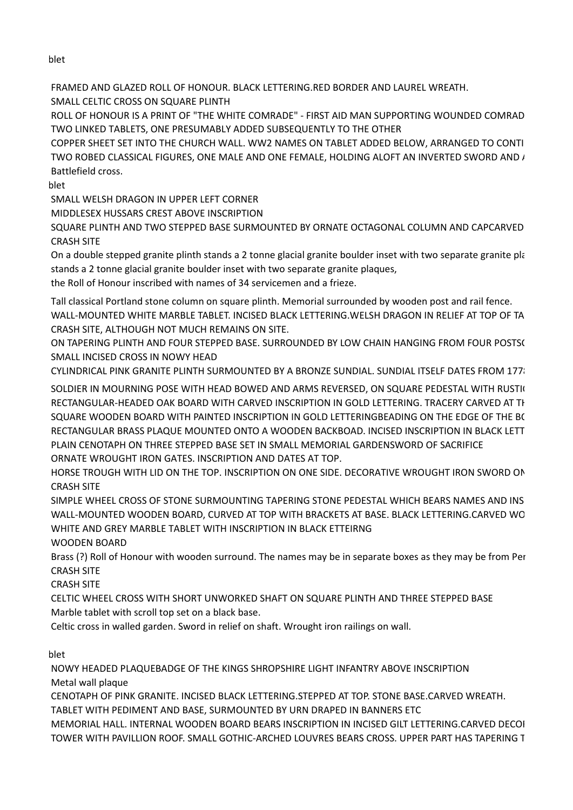blet

FRAMED AND GLAZED ROLL OF HONOUR. BLACK LETTERING. RED BORDER AND LAUREL WREATH. SMALL CELTIC CROSS ON SOUARE PLINTH

ROLL OF HONOUR IS A PRINT OF "THE WHITE COMRADE" - FIRST AID MAN SUPPORTING WOUNDED COMRAD TWO LINKED TABLETS, ONE PRESUMABLY ADDED SUBSEQUENTLY TO THE OTHER

COPPER SHEET SET INTO THE CHURCH WALL. WW2 NAMES ON TABLET ADDED BELOW, ARRANGED TO CONTI TWO ROBED CLASSICAL FIGURES, ONE MALE AND ONE FEMALE, HOLDING ALOFT AN INVERTED SWORD AND  $I$ Battlefield cross.

blet

SMALL WELSH DRAGON IN UPPER LEFT CORNER

MIDDLESEX HUSSARS CREST ABOVE INSCRIPTION

SQUARE PLINTH AND TWO STEPPED BASE SURMOUNTED BY ORNATE OCTAGONAL COLUMN AND CAPCARVED CRASH SITE

On a double stepped granite plinth stands a 2 tonne glacial granite boulder inset with two separate granite pla stands a 2 tonne glacial granite boulder inset with two separate granite plaques,

the Roll of Honour inscribed with names of 34 servicemen and a frieze.

Tall classical Portland stone column on square plinth. Memorial surrounded by wooden post and rail fence. WALL-MOUNTED WHITE MARBLE TABLET. INCISED BLACK LETTERING. WELSH DRAGON IN RELIEF AT TOP OF TA CRASH SITE, ALTHOUGH NOT MUCH REMAINS ON SITE.

ON TAPERING PLINTH AND FOUR STEPPED BASE. SURROUNDED BY LOW CHAIN HANGING FROM FOUR POSTS( SMALL INCISED CROSS IN NOWY HEAD

CYLINDRICAL PINK GRANITE PLINTH SURMOUNTED BY A BRONZE SUNDIAL. SUNDIAL ITSELF DATES FROM 1778.

SOLDIER IN MOURNING POSE WITH HEAD BOWED AND ARMS REVERSED, ON SQUARE PEDESTAL WITH RUSTIC RECTANGULAR-HEADED OAK BOARD WITH CARVED INSCRIPTION IN GOLD LETTERING. TRACERY CARVED AT TH SQUARE WOODEN BOARD WITH PAINTED INSCRIPTION IN GOLD LETTERINGBEADING ON THE EDGE OF THE BC RECTANGULAR BRASS PLAQUE MOUNTED ONTO A WOODEN BACKBOAD. INCISED INSCRIPTION IN BLACK LETT PLAIN CENOTAPH ON THREE STEPPED BASE SET IN SMALL MEMORIAL GARDENSWORD OF SACRIFICE ORNATE WROUGHT IRON GATES. INSCRIPTION AND DATES AT TOP.

HORSE TROUGH WITH LID ON THE TOP. INSCRIPTION ON ONE SIDE. DECORATIVE WROUGHT IRON SWORD ON THE TOP CRASH SITE

SIMPLE WHEEL CROSS OF STONE SURMOUNTING TAPERING STONE PEDESTAL WHICH BEARS NAMES AND INS WALL-MOUNTED WOODEN BOARD, CURVED AT TOP WITH BRACKETS AT BASE. BLACK LETTERING.CARVED WO WHITE AND GREY MARBLE TABLET WITH INSCRIPTION IN BLACK ETTEIRNG

WOODEN BOARD

Brass (?) Roll of Honour with wooden surround. The names may be in separate boxes as they may be from Per CRASH SITE

CRASH SITE

CELTIC WHEEL CROSS WITH SHORT UNWORKED SHAFT ON SQUARE PLINTH AND THREE STEPPED BASE Marble tablet with scroll top set on a black base.

Celtic cross in walled garden. Sword in relief on shaft. Wrought iron railings on wall.

blet

NOWY HEADED PLAQUE BADGE OF THE KINGS SHROPSHIRE LIGHT INFANTRY ABOVE INSCRIPTION Metal wall plaque

CENOTAPH OF PINK GRANITE. INCISED BLACK LETTERING.STEPPED AT TOP. STONE BASE. CARVED WREATH. TABLET WITH PEDIMENT AND BASE, SURMOUNTED BY URN DRAPED IN BANNERS ETC

MEMORIAL HALL. INTERNAL WOODEN BOARD BEARS INSCRIPTION IN INCISED GILT LETTERING.CARVED DECOR TOWER WITH PAVILLION ROOF. SMALL GOTHIC-ARCHED LOUVRES BEARS CROSS. UPPER PART HAS TAPERING T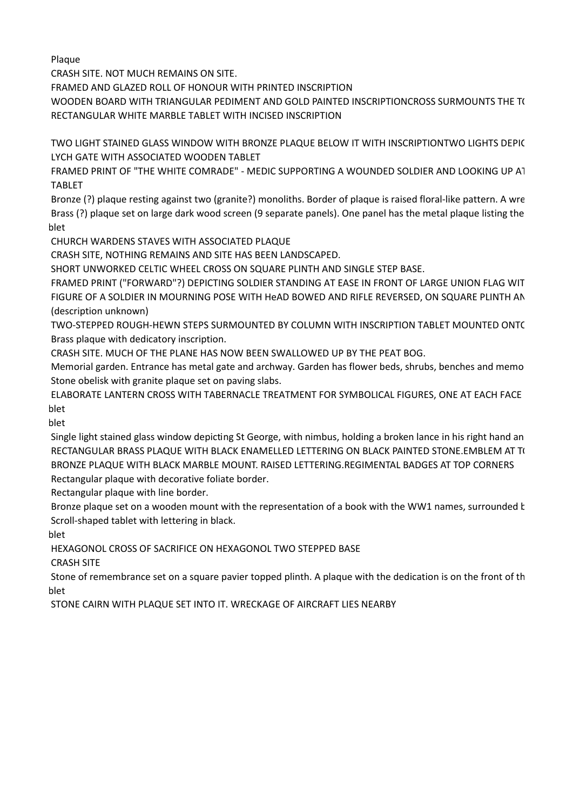Plaque

CRASH SITE. NOT MUCH REMAINS ON SITE.

FRAMED AND GLAZED ROLL OF HONOUR WITH PRINTED INSCRIPTION

WOODEN BOARD WITH TRIANGULAR PEDIMENT AND GOLD PAINTED INSCRIPTIONCROSS SURMOUNTS THE TO RECTANGULAR WHITE MARBLE TABLET WITH INCISED INSCRIPTION

TWO LIGHT STAINED GLASS WINDOW WITH BRONZE PLAQUE BELOW IT WITH INSCRIPTIONTWO LIGHTS DEPIC LYCH GATE WITH ASSOCIATED WOODEN TABLET

FRAMED PRINT OF "THE WHITE COMRADE" - MEDIC SUPPORTING A WOUNDED SOLDIER AND LOOKING UP AT TABLET

Bronze (?) plaque resting against two (granite?) monoliths. Border of plaque is raised floral-like pattern. A wre Brass (?) plaque set on large dark wood screen (9 separate panels). One panel has the metal plaque listing the blet

CHURCH WARDENS STAVES WITH ASSOCIATED PLAQUE

CRASH SITE, NOTHING REMAINS AND SITE HAS BEEN LANDSCAPED.

SHORT UNWORKED CELTIC WHEEL CROSS ON SQUARE PLINTH AND SINGLE STEP BASE.

FRAMED PRINT ("FORWARD"?) DEPICTING SOLDIER STANDING AT EASE IN FRONT OF LARGE UNION FLAG WIT FIGURE OF A SOLDIER IN MOURNING POSE WITH HeAD BOWED AND RIFLE REVERSED, ON SQUARE PLINTH AN (description unknown)

TWO-STEPPED ROUGH-HEWN STEPS SURMOUNTED BY COLUMN WITH INSCRIPTION TABLET MOUNTED ONTC Brass plaque with dedicatory inscription.

CRASH SITE. MUCH OF THE PLANE HAS NOW BEEN SWALLOWED UP BY THE PEAT BOG.

Memorial garden. Entrance has metal gate and archway. Garden has flower beds, shrubs, benches and memo Stone obelisk with granite plaque set on paving slabs.

ELABORATE LANTERN CROSS WITH TABERNACLE TREATMENT FOR SYMBOLICAL FIGURES, ONE AT EACH FACE blet

blet

Single light stained glass window depicting St George, with nimbus, holding a broken lance in his right hand an RECTANGULAR BRASS PLAQUE WITH BLACK ENAMELLED LETTERING ON BLACK PAINTED STONE.EMBLEM AT TO BRONZE PLAQUE WITH BLACK MARBLE MOUNT. RAISED LETTERING. REGIMENTAL BADGES AT TOP CORNERS Rectangular plaque with decorative foliate border.

Rectangular plaque with line border.

Bronze plaque set on a wooden mount with the representation of a book with the WW1 names, surrounded k Scroll-shaped tablet with lettering in black.

blet

HEXAGONOL CROSS OF SACRIFICE ON HEXAGONOL TWO STEPPED BASE

CRASH SITE

Stone of remembrance set on a square pavier topped plinth. A plaque with the dedication is on the front of th blet

STONE CAIRN WITH PLAQUE SET INTO IT. WRECKAGE OF AIRCRAFT LIES NEARBY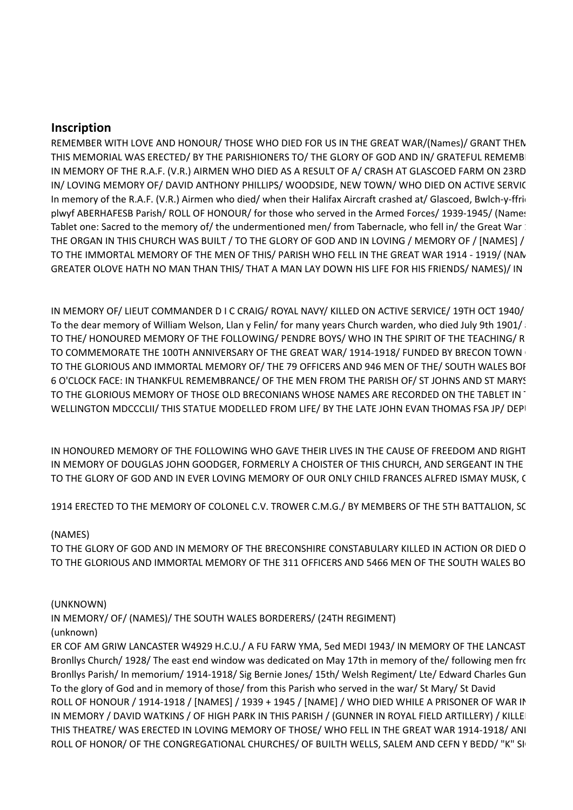# **Inscription**

REMEMBER WITH LOVE AND HONOUR/ THOSE WHO DIED FOR US IN THE GREAT WAR/(Names)/ GRANT THEN THIS MEMORIAL WAS ERECTED/ BY THE PARISHIONERS TO/ THE GLORY OF GOD AND IN/ GRATEFUL REMEMBI IN MEMORY OF THE R.A.F. (V.R.) AIRMEN WHO DIED AS A RESULT OF A/ CRASH AT GLASCOED FARM ON 23RD IN/ LOVING MEMORY OF/ DAVID ANTHONY PHILLIPS/ WOODSIDE, NEW TOWN/ WHO DIED ON ACTIVE SERVIC In memory of the R.A.F. (V.R.) Airmen who died/ when their Halifax Aircraft crashed at/ Glascoed, Bwlch-y-ffrio plwyf ABERHAFESB Parish/ROLL OF HONOUR/ for those who served in the Armed Forces/1939-1945/ (Names Tablet one: Sacred to the memory of/ the undermentioned men/ from Tabernacle, who fell in/ the Great War: THE ORGAN IN THIS CHURCH WAS BUILT / TO THE GLORY OF GOD AND IN LOVING / MEMORY OF / [NAMES] / TO THE IMMORTAL MEMORY OF THE MEN OF THIS/ PARISH WHO FELL IN THE GREAT WAR 1914 - 1919/ (NAN GREATER OLOVE HATH NO MAN THAN THIS/ THAT A MAN LAY DOWN HIS LIFE FOR HIS FRIENDS/ NAMES)/ IN

IN MEMORY OF/ LIEUT COMMANDER D I C CRAIG/ ROYAL NAVY/ KILLED ON ACTIVE SERVICE/ 19TH OCT 1940/ To the dear memory of William Welson, Llan y Felin/ for many years Church warden, who died July 9th 1901/ TO THE/ HONOURED MEMORY OF THE FOLLOWING/ PENDRE BOYS/ WHO IN THE SPIRIT OF THE TEACHING/ R TO COMMEMORATE THE 100TH ANNIVERSARY OF THE GREAT WAR/ 1914-1918/ FUNDED BY BRECON TOWN TO THE GLORIOUS AND IMMORTAL MEMORY OF/ THE 79 OFFICERS AND 946 MEN OF THE/ SOUTH WALES BOF 6 O'CLOCK FACE: IN THANKFUL REMEMBRANCE/ OF THE MEN FROM THE PARISH OF/ ST JOHNS AND ST MARYS TO THE GLORIOUS MEMORY OF THOSE OLD BRECONIANS WHOSE NAMES ARE RECORDED ON THE TABLET IN WELLINGTON MDCCCLII/ THIS STATUE MODELLED FROM LIFE/ BY THE LATE JOHN EVAN THOMAS FSA JP/ DEPITY

IN HONOURED MEMORY OF THE FOLLOWING WHO GAVE THEIR LIVES IN THE CAUSE OF FREEDOM AND RIGHT IN MEMORY OF DOUGLAS JOHN GOODGER, FORMERLY A CHOISTER OF THIS CHURCH, AND SERGEANT IN THE TO THE GLORY OF GOD AND IN EVER LOVING MEMORY OF OUR ONLY CHILD FRANCES ALFRED ISMAY MUSK, C

1914 ERECTED TO THE MEMORY OF COLONEL C.V. TROWER C.M.G./ BY MEMBERS OF THE 5TH BATTALION, SC

### (NAMES)

TO THE GLORY OF GOD AND IN MEMORY OF THE BRECONSHIRE CONSTABULARY KILLED IN ACTION OR DIED O TO THE GLORIOUS AND IMMORTAL MEMORY OF THE 311 OFFICERS AND 5466 MEN OF THE SOUTH WALES BO

#### (UNKNOWN)

IN MEMORY/ OF/ (NAMES)/ THE SOUTH WALES BORDERERS/ (24TH REGIMENT) (unknown)

ER COF AM GRIW LANCASTER W4929 H.C.U./ A FU FARW YMA, 5ed MEDI 1943/ IN MEMORY OF THE LANCAST Bronllys Church/ 1928/ The east end window was dedicated on May 17th in memory of the/ following men from Bronllys Parish/ In memorium/ 1914-1918/ Sig Bernie Jones/ 15th/ Welsh Regiment/ Lte/ Edward Charles Gun To the glory of God and in memory of those/ from this Parish who served in the war/ St Mary/ St David ROLL OF HONOUR / 1914-1918 / [NAMES] / 1939 + 1945 / [NAME] / WHO DIED WHILE A PRISONER OF WAR IN IN MEMORY / DAVID WATKINS / OF HIGH PARK IN THIS PARISH / (GUNNER IN ROYAL FIELD ARTILLERY) / KILLE THIS THEATRE/ WAS ERECTED IN LOVING MEMORY OF THOSE/ WHO FELL IN THE GREAT WAR 1914-1918/ ANI ROLL OF HONOR/ OF THE CONGREGATIONAL CHURCHES/ OF BUILTH WELLS, SALEM AND CEFN Y BEDD/ "K" SI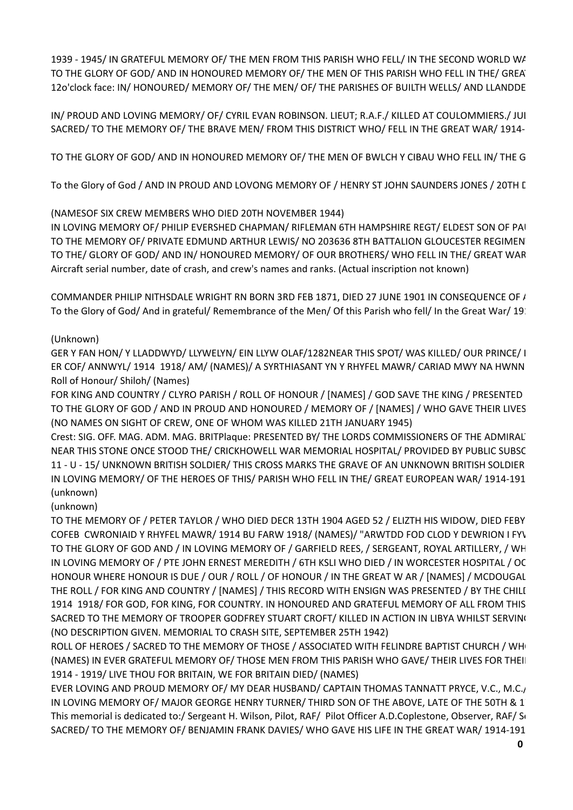1939 - 1945/ IN GRATEFUL MEMORY OF/ THE MEN FROM THIS PARISH WHO FELL/ IN THE SECOND WORLD WA TO THE GLORY OF GOD/ AND IN HONOURED MEMORY OF/ THE MEN OF THIS PARISH WHO FELL IN THE/ GREA 12o'clock face: IN/ HONOURED/ MEMORY OF/ THE MEN/ OF/ THE PARISHES OF BUILTH WELLS/ AND LLANDDE

IN/ PROUD AND LOVING MEMORY/ OF/ CYRIL EVAN ROBINSON. LIEUT; R.A.F./ KILLED AT COULOMMIERS./ JUI SACRED/ TO THE MEMORY OF/ THE BRAVE MEN/ FROM THIS DISTRICT WHO/ FELL IN THE GREAT WAR/ 1914-

TO THE GLORY OF GOD/ AND IN HONOURED MEMORY OF/ THE MEN OF BWLCH Y CIBAU WHO FELL IN/ THE G

To the Glory of God / AND IN PROUD AND LOVONG MEMORY OF / HENRY ST JOHN SAUNDERS JONES / 20TH L

(NAMESOF SIX CREW MEMBERS WHO DIED 20TH NOVEMBER 1944)

IN LOVING MEMORY OF/ PHILIP EVERSHED CHAPMAN/ RIFLEMAN 6TH HAMPSHIRE REGT/ ELDEST SON OF PAI TO THE MEMORY OF/ PRIVATE EDMUND ARTHUR LEWIS/ NO 203636 8TH BATTALION GLOUCESTER REGIMEN TO THE/ GLORY OF GOD/ AND IN/ HONOURED MEMORY/ OF OUR BROTHERS/ WHO FELL IN THE/ GREAT WAR Aircraft serial number, date of crash, and crew's names and ranks. (Actual inscription not known)

COMMANDER PHILIP NITHSDALE WRIGHT RN BORN 3RD FEB 1871, DIED 27 JUNE 1901 IN CONSEQUENCE OF / To the Glory of God/ And in grateful/ Remembrance of the Men/ Of this Parish who fell/ In the Great War/ 1911

# (Unknown)

GER Y FAN HON/ Y LLADDWYD/ LLYWELYN/ EIN LLYW OLAF/1282NEAR THIS SPOT/ WAS KILLED/ OUR PRINCE/ I ER COF/ ANNWYL/ 1914 1918/ AM/ (NAMES)/ A SYRTHIASANT YN Y RHYFEL MAWR/ CARIAD MWY NA HWNN Roll of Honour/ Shiloh/ (Names)

FOR KING AND COUNTRY / CLYRO PARISH / ROLL OF HONOUR / [NAMES] / GOD SAVE THE KING / PRESENTED TO THE GLORY OF GOD / AND IN PROUD AND HONOURED / MEMORY OF / [NAMES] / WHO GAVE THEIR LIVES (NO NAMES ON SIGHT OF CREW, ONE OF WHOM WAS KILLED 21TH JANUARY 1945)

Crest: SIG. OFF. MAG. ADM. MAG. BRITPlaque: PRESENTED BY/ THE LORDS COMMISSIONERS OF THE ADMIRAL NEAR THIS STONE ONCE STOOD THE/ CRICKHOWELL WAR MEMORIAL HOSPITAL/ PROVIDED BY PUBLIC SUBSC 11 - U - 15/ UNKNOWN BRITISH SOLDIER/ THIS CROSS MARKS THE GRAVE OF AN UNKNOWN BRITISH SOLDIER IN LOVING MEMORY/ OF THE HEROES OF THIS/ PARISH WHO FELL IN THE/ GREAT EUROPEAN WAR/ 1914-191 (unknown)

(unknown)

TO THE MEMORY OF / PETER TAYLOR / WHO DIED DECR 13TH 1904 AGED 52 / ELIZTH HIS WIDOW, DIED FEBY COFEB CWRONIAID Y RHYFEL MAWR/ 1914 BU FARW 1918/ (NAMES)/ "ARWTDD FOD CLOD Y DEWRION I FYV TO THE GLORY OF GOD AND / IN LOVING MEMORY OF / GARFIELD REES, / SERGEANT, ROYAL ARTILLERY, / WH IN LOVING MEMORY OF / PTE JOHN ERNEST MEREDITH / 6TH KSLI WHO DIED / IN WORCESTER HOSPITAL / OC HONOUR WHERE HONOUR IS DUE / OUR / ROLL / OF HONOUR / IN THE GREAT W AR / [NAMES] / MCDOUGAL THE ROLL / FOR KING AND COUNTRY / [NAMES] / THIS RECORD WITH ENSIGN WAS PRESENTED / BY THE CHILI 1914 1918/ FOR GOD, FOR KING, FOR COUNTRY. IN HONOURED AND GRATEFUL MEMORY OF ALL FROM THIS SACRED TO THE MEMORY OF TROOPER GODFREY STUART CROFT/ KILLED IN ACTION IN LIBYA WHILST SERVING (NO DESCRIPTION GIVEN. MEMORIAL TO CRASH SITE, SEPTEMBER 25TH 1942)

ROLL OF HEROES / SACRED TO THE MEMORY OF THOSE / ASSOCIATED WITH FELINDRE BAPTIST CHURCH / WH (NAMES) IN EVER GRATEFUL MEMORY OF/ THOSE MEN FROM THIS PARISH WHO GAVE/ THEIR LIVES FOR THEII 1914 - 1919/ LIVE THOU FOR BRITAIN, WE FOR BRITAIN DIED/ (NAMES)

EVER LOVING AND PROUD MEMORY OF/ MY DEAR HUSBAND/ CAPTAIN THOMAS TANNATT PRYCE, V.C., M.C., IN LOVING MEMORY OF/ MAJOR GEORGE HENRY TURNER/ THIRD SON OF THE ABOVE, LATE OF THE 50TH & 1 This memorial is dedicated to:/ Sergeant H. Wilson, Pilot, RAF/ Pilot Officer A.D.Coplestone, Observer, RAF/ St SACRED/ TO THE MEMORY OF/ BENJAMIN FRANK DAVIES/ WHO GAVE HIS LIFE IN THE GREAT WAR/ 1914-191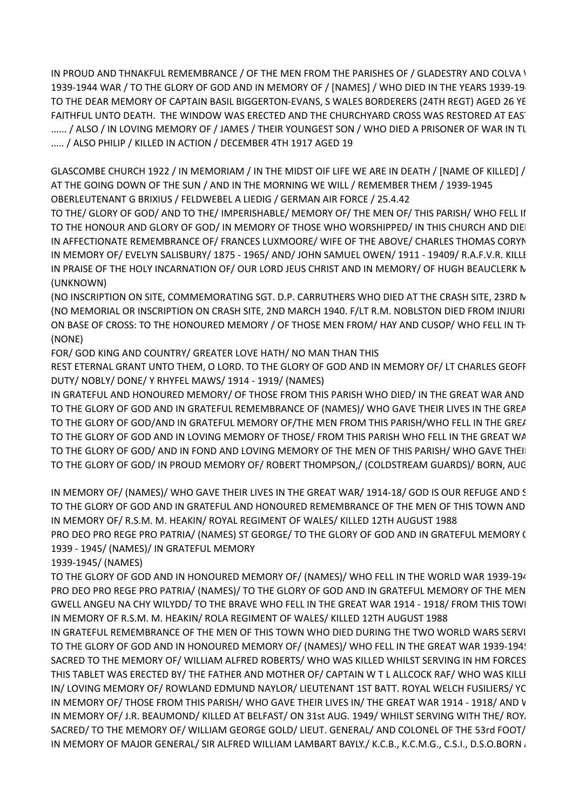IN PROUD AND THNAKFUL REMEMBRANCE / OF THE MEN FROM THE PARISHES OF / GLADESTRY AND COLVA \ 1939-1944 WAR / TO THE GLORY OF GOD AND IN MEMORY OF / [NAMES] / WHO DIED IN THE YEARS 1939-19 TO THE DEAR MEMORY OF CAPTAIN BASIL BIGGERTON-EVANS. S WALES BORDERERS (24TH REGT) AGED 26 YE FAITHFUL UNTO DEATH. THE WINDOW WAS ERECTED AND THE CHURCHYARD CROSS WAS RESTORED AT EAS' ...... / ALSO / IN LOVING MEMORY OF / JAMES / THEIR YOUNGEST SON / WHO DIED A PRISONER OF WAR IN TU ..... / ALSO PHILIP / KILLED IN ACTION / DECEMBER 4TH 1917 AGED 19

GLASCOMBE CHURCH 1922 / IN MEMORIAM / IN THE MIDST OIF LIFE WE ARE IN DEATH / [NAME OF KILLED] / AT THE GOING DOWN OF THE SUN / AND IN THE MORNING WE WILL / REMEMBER THEM / 1939-1945 OBERLEUTENANT G BRIXIUS / FELDWEBEL A LIEDIG / GERMAN AIR FORCE / 25.4.42

TO THE/ GLORY OF GOD/ AND TO THE/ IMPERISHABLE/ MEMORY OF/ THE MEN OF/ THIS PARISH/ WHO FELL II TO THE HONOUR AND GLORY OF GOD/ IN MEMORY OF THOSE WHO WORSHIPPED/ IN THIS CHURCH AND DIEI IN AFFECTIONATE REMEMBRANCE OF/ FRANCES LUXMOORE/ WIFE OF THE ABOVE/ CHARLES THOMAS CORYN IN MEMORY OF/ EVELYN SALISBURY/ 1875 - 1965/ AND/ JOHN SAMUEL OWEN/ 1911 - 19409/ R.A.F.V.R. KILLI IN PRAISE OF THE HOLY INCARNATION OF/ OUR LORD JEUS CHRIST AND IN MEMORY/ OF HUGH BEAUCLERK N (UNKNOWN)

(NO INSCRIPTION ON SITE, COMMEMORATING SGT. D.P. CARRUTHERS WHO DIED AT THE CRASH SITE, 23RD N (NO MEMORIAL OR INSCRIPTION ON CRASH SITE, 2ND MARCH 1940. F/LT R.M. NOBLSTON DIED FROM INJURI ON BASE OF CROSS: TO THE HONOURED MEMORY / OF THOSE MEN FROM/ HAY AND CUSOP/ WHO FELL IN TH (NONE)

FOR/ GOD KING AND COUNTRY/ GREATER LOVE HATH/ NO MAN THAN THIS

REST ETERNAL GRANT UNTO THEM, O LORD. TO THE GLORY OF GOD AND IN MEMORY OF/ LT CHARLES GEOFF DUTY/ NOBLY/ DONE/ Y RHYFEL MAWS/ 1914 - 1919/ (NAMES)

IN GRATEFUL AND HONOURED MEMORY/ OF THOSE FROM THIS PARISH WHO DIED/ IN THE GREAT WAR AND TO THE GLORY OF GOD AND IN GRATEFUL REMEMBRANCE OF (NAMES)/ WHO GAVE THEIR LIVES IN THE GREAT TO THE GLORY OF GOD/AND IN GRATEFUL MEMORY OF/THE MEN FROM THIS PARISH/WHO FELL IN THE GREAT TO THE GLORY OF GOD AND IN LOVING MEMORY OF THOSE/ FROM THIS PARISH WHO FELL IN THE GREAT WA TO THE GLORY OF GOD/ AND IN FOND AND LOVING MEMORY OF THE MEN OF THIS PARISH/ WHO GAVE THEIL TO THE GLORY OF GOD/ IN PROUD MEMORY OF/ ROBERT THOMPSON,/ (COLDSTREAM GUARDS)/ BORN, AUG

IN MEMORY OF/ (NAMES)/ WHO GAVE THEIR LIVES IN THE GREAT WAR/ 1914-18/ GOD IS OUR REFUGE AND STRENGTH. TO THE GLORY OF GOD AND IN GRATEFUL AND HONOURED REMEMBRANCE OF THE MEN OF THIS TOWN AND IN MEMORY OF/ R.S.M. M. HEAKIN/ ROYAL REGIMENT OF WALES/ KILLED 12TH AUGUST 1988

PRO DEO PRO REGE PRO PATRIA/ (NAMES) ST GEORGE/ TO THE GLORY OF GOD AND IN GRATEFUL MEMORY ( 1939 - 1945/ (NAMES)/ IN GRATEFUL MEMORY

1939-1945/ (NAMES)

TO THE GLORY OF GOD AND IN HONOURED MEMORY OF/ (NAMES)/ WHO FELL IN THE WORLD WAR 1939-194 PRO DEO PRO REGE PRO PATRIA/ (NAMES)/ TO THE GLORY OF GOD AND IN GRATEFUL MEMORY OF THE MEN GWELL ANGEU NA CHY WILYDD/ TO THE BRAVE WHO FELL IN THE GREAT WAR 1914 - 1918/ FROM THIS TOWI IN MEMORY OF R.S.M. M. HEAKIN/ ROLA REGIMENT OF WALES/ KILLED 12TH AUGUST 1988

IN GRATEFUL REMEMBRANCE OF THE MEN OF THIS TOWN WHO DIED DURING THE TWO WORLD WARS SERVI TO THE GLORY OF GOD AND IN HONOURED MEMORY OF/ (NAMES)/ WHO FELL IN THE GREAT WAR 1939-194! SACRED TO THE MEMORY OF/ WILLIAM ALFRED ROBERTS/ WHO WAS KILLED WHILST SERVING IN HM FORCES THIS TABLET WAS ERECTED BY/ THE FATHER AND MOTHER OF/ CAPTAIN W T L ALLCOCK RAF/ WHO WAS KILLI IN/ LOVING MEMORY OF/ ROWLAND EDMUND NAYLOR/ LIEUTENANT 1ST BATT. ROYAL WELCH FUSILIERS/ YC IN MEMORY OF/ THOSE FROM THIS PARISH/ WHO GAVE THEIR LIVES IN/ THE GREAT WAR 1914 - 1918/ AND V IN MEMORY OF/ J.R. BEAUMOND/ KILLED AT BELFAST/ ON 31st AUG. 1949/ WHILST SERVING WITH THE/ ROY, SACRED/ TO THE MEMORY OF/ WILLIAM GEORGE GOLD/ LIEUT. GENERAL/ AND COLONEL OF THE 53rd FOOT/ IN MEMORY OF MAJOR GENERAL/ SIR ALFRED WILLIAM LAMBART BAYLY./ K.C.B., K.C.M.G., C.S.I., D.S.O. BORN  $\overline{\overline{I}}$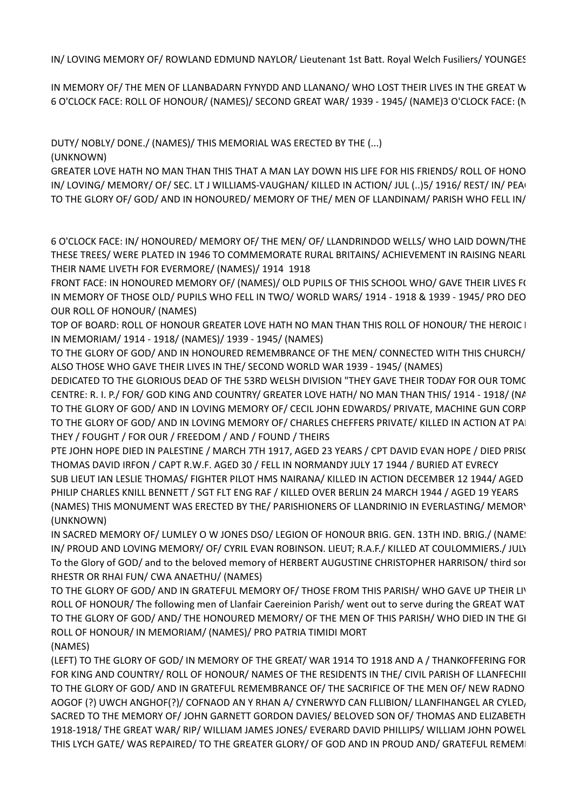IN/LOVING MEMORY OF/ROWLAND EDMUND NAYLOR/Lieutenant 1st Batt. Royal Welch Fusiliers/YOUNGES

IN MEMORY OF/ THE MEN OF LLANBADARN FYNYDD AND LLANANO/ WHO LOST THEIR LIVES IN THE GREAT W 6 O'CLOCK FACE: ROLL OF HONOUR/ (NAMES)/ SECOND GREAT WAR/ 1939 - 1945/ (NAME)3 O'CLOCK FACE: (N

DUTY/ NOBLY/ DONE./ (NAMES)/ THIS MEMORIAL WAS ERECTED BY THE (...)

(UNKNOWN)

GREATER LOVE HATH NO MAN THAN THIS THAT A MAN LAY DOWN HIS LIFE FOR HIS FRIENDS/ ROLL OF HONO IN/ LOVING/ MEMORY/ OF/ SEC. LT J WILLIAMS-VAUGHAN/ KILLED IN ACTION/ JUL (..)5/ 1916/ REST/ IN/ PEAC TO THE GLORY OF/ GOD/ AND IN HONOURED/ MEMORY OF THE/ MEN OF LLANDINAM/ PARISH WHO FELL IN/

6 O'CLOCK FACE: IN/ HONOURED/ MEMORY OF/ THE MEN/ OF/ LLANDRINDOD WELLS/ WHO LAID DOWN/THE THESE TREES/ WERE PLATED IN 1946 TO COMMEMORATE RURAL BRITAINS/ ACHIEVEMENT IN RAISING NEARL THEIR NAME LIVETH FOR EVERMORE/ (NAMES)/ 1914 1918

FRONT FACE: IN HONOURED MEMORY OF/ (NAMES)/ OLD PUPILS OF THIS SCHOOL WHO/ GAVE THEIR LIVES F( IN MEMORY OF THOSE OLD/ PUPILS WHO FELL IN TWO/ WORLD WARS/ 1914 - 1918 & 1939 - 1945/ PRO DEO OUR ROLL OF HONOUR/ (NAMES)

TOP OF BOARD: ROLL OF HONOUR GREATER LOVE HATH NO MAN THAN THIS ROLL OF HONOUR/ THE HEROIC I IN MEMORIAM/ 1914 - 1918/ (NAMES)/ 1939 - 1945/ (NAMES)

TO THE GLORY OF GOD/ AND IN HONOURED REMEMBRANCE OF THE MEN/ CONNECTED WITH THIS CHURCH/ ALSO THOSE WHO GAVE THEIR LIVES IN THE/ SECOND WORLD WAR 1939 - 1945/ (NAMES)

DEDICATED TO THE GLORIOUS DEAD OF THE 53RD WELSH DIVISION "THEY GAVE THEIR TODAY FOR OUR TOMC CENTRE: R. I. P./ FOR/ GOD KING AND COUNTRY/ GREATER LOVE HATH/ NO MAN THAN THIS/ 1914 - 1918/ (NA TO THE GLORY OF GOD/ AND IN LOVING MEMORY OF/ CECIL JOHN EDWARDS/ PRIVATE, MACHINE GUN CORP TO THE GLORY OF GOD/ AND IN LOVING MEMORY OF/ CHARLES CHEFFERS PRIVATE/ KILLED IN ACTION AT PAI THEY / FOUGHT / FOR OUR / FREEDOM / AND / FOUND / THEIRS

PTE JOHN HOPE DIED IN PALESTINE / MARCH 7TH 1917, AGED 23 YEARS / CPT DAVID EVAN HOPE / DIED PRISC THOMAS DAVID IRFON / CAPT R.W.F. AGED 30 / FELL IN NORMANDY JULY 17 1944 / BURIED AT EVRECY SUB LIEUT IAN LESLIE THOMAS/ FIGHTER PILOT HMS NAIRANA/ KILLED IN ACTION DECEMBER 12 1944/ AGED PHILIP CHARLES KNILL BENNETT / SGT FLT ENG RAF / KILLED OVER BERLIN 24 MARCH 1944 / AGED 19 YEARS (NAMES) THIS MONUMENT WAS ERECTED BY THE/ PARISHIONERS OF LLANDRINIO IN EVERLASTING/ MEMORY (UNKNOWN)

IN SACRED MEMORY OF/ LUMLEY O W JONES DSO/ LEGION OF HONOUR BRIG. GEN. 13TH IND. BRIG./ (NAME! IN/ PROUD AND LOVING MEMORY/ OF/ CYRIL EVAN ROBINSON. LIEUT; R.A.F./ KILLED AT COULOMMIERS./ JULY To the Glory of GOD/ and to the beloved memory of HERBERT AUGUSTINE CHRISTOPHER HARRISON/ third sor RHESTR OR RHAI FUN/ CWA ANAETHU/ (NAMES)

TO THE GLORY OF GOD/ AND IN GRATEFUL MEMORY OF/ THOSE FROM THIS PARISH/ WHO GAVE UP THEIR LIV ROLL OF HONOUR/ The following men of Llanfair Caereinion Parish/ went out to serve during the GREAT WAT TO THE GLORY OF GOD/AND/THE HONOURED MEMORY/ OF THE MEN OF THIS PARISH/WHO DIED IN THE GI ROLL OF HONOUR/ IN MEMORIAM/ (NAMES)/ PRO PATRIA TIMIDI MORT (NAMES)

(LEFT) TO THE GLORY OF GOD/ IN MEMORY OF THE GREAT/ WAR 1914 TO 1918 AND A / THANKOFFERING FOR FOR KING AND COUNTRY/ ROLL OF HONOUR/ NAMES OF THE RESIDENTS IN THE/ CIVIL PARISH OF LLANFECHII TO THE GLORY OF GOD/ AND IN GRATEFUL REMEMBRANCE OF/ THE SACRIFICE OF THE MEN OF/ NEW RADNO AOGOF (?) UWCH ANGHOF(?)/ COFNAOD AN Y RHAN A/ CYNERWYD CAN FLLIBION/ LLANFIHANGEL AR CYLED, SACRED TO THE MEMORY OF/ JOHN GARNETT GORDON DAVIES/ BELOVED SON OF/ THOMAS AND ELIZABETH 1918-1918/ THE GREAT WAR/ RIP/ WILLIAM JAMES JONES/ EVERARD DAVID PHILLIPS/ WILLIAM JOHN POWELL THIS LYCH GATE/ WAS REPAIRED/ TO THE GREATER GLORY/ OF GOD AND IN PROUD AND/ GRATEFUL REMEMI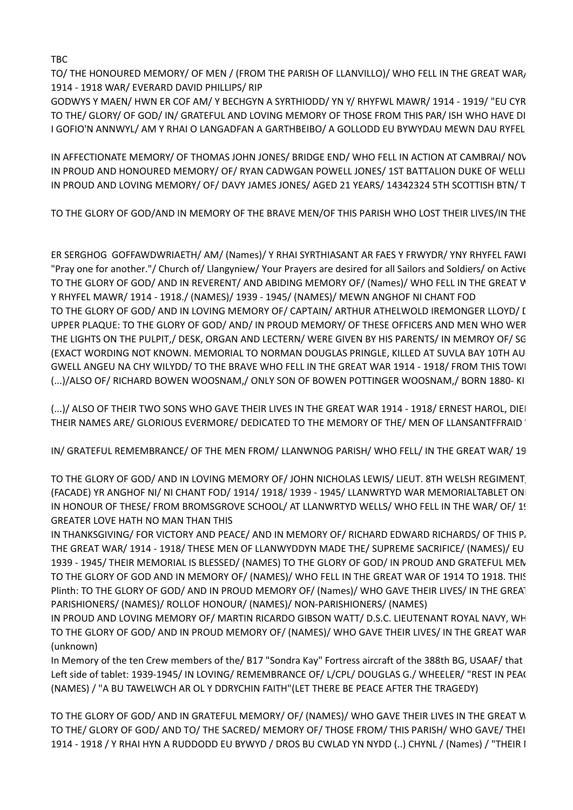TBC

TO/ THE HONOURED MEMORY/ OF MEN / (FROM THE PARISH OF LLANVILLO)/ WHO FELL IN THE GREAT WAR, 1914 - 1918 WAR/ EVERARD DAVID PHILLIPS/ RIP

GODWYS Y MAEN/HWN ER COF AM/Y BECHGYN A SYRTHIODD/YN Y/RHYFWL MAWR/1914 - 1919/ "EU CYR TO THE/ GLORY/ OF GOD/ IN/ GRATEFUL AND LOVING MEMORY OF THOSE FROM THIS PAR/ ISH WHO HAVE DI I GOFIO'N ANNWYL/ AM Y RHAI O LANGADFAN A GARTHBEIBO/ A GOLLODD EU BYWYDAU MEWN DAU RYFEL

IN AFFECTIONATE MEMORY/ OF THOMAS JOHN JONES/ BRIDGE END/ WHO FELL IN ACTION AT CAMBRAI/ NOV IN PROUD AND HONOURED MEMORY/ OF/ RYAN CADWGAN POWELL JONES/ 1ST BATTALION DUKE OF WELLI IN PROUD AND LOVING MEMORY/ OF/ DAVY JAMES JONES/ AGED 21 YEARS/ 14342324 5TH SCOTTISH BTN/ T

TO THE GLORY OF GOD/AND IN MEMORY OF THE BRAVE MEN/OF THIS PARISH WHO LOST THEIR LIVES/IN THE

ER SERGHOG GOFFAWDWRIAETH/ AM/ (Names)/ Y RHAI SYRTHIASANT AR FAES Y FRWYDR/ YNY RHYFEL FAWI "Pray one for another."/ Church of/ Llangyniew/ Your Prayers are desired for all Sailors and Soldiers/ on Active TO THE GLORY OF GOD/ AND IN REVERENT/ AND ABIDING MEMORY OF/ (Names)/ WHO FELL IN THE GREAT W Y RHYFEL MAWR/ 1914 - 1918./ (NAMES)/ 1939 - 1945/ (NAMES)/ MEWN ANGHOF NI CHANT FOD TO THE GLORY OF GOD/ AND IN LOVING MEMORY OF/ CAPTAIN/ ARTHUR ATHELWOLD IREMONGER LLOYD/ [. UPPER PLAQUE: TO THE GLORY OF GOD/ AND/ IN PROUD MEMORY/ OF THESE OFFICERS AND MEN WHO WER THE LIGHTS ON THE PULPIT,/ DESK, ORGAN AND LECTERN/ WERE GIVEN BY HIS PARENTS/ IN MEMROY OF/ SG (EXACT WORDING NOT KNOWN. MEMORIAL TO NORMAN DOUGLAS PRINGLE, KILLED AT SUVLA BAY 10TH AU GWELL ANGEU NA CHY WILYDD/ TO THE BRAVE WHO FELL IN THE GREAT WAR 1914 - 1918/ FROM THIS TOWI (...)/ALSO OF/ RICHARD BOWEN WOOSNAM,/ ONLY SON OF BOWEN POTTINGER WOOSNAM,/ BORN 1880- KII

(...)/ ALSO OF THEIR TWO SONS WHO GAVE THEIR LIVES IN THE GREAT WAR 1914 - 1918/ ERNEST HAROL, DIEI THEIR NAMES ARE/ GLORIOUS EVERMORE/ DEDICATED TO THE MEMORY OF THE/ MEN OF LLANSANTFFRAID '

IN/ GRATEFUL REMEMBRANCE/ OF THE MEN FROM/ LLANWNOG PARISH/ WHO FELL/ IN THE GREAT WAR/ 19

TO THE GLORY OF GOD/ AND IN LOVING MEMORY OF/ JOHN NICHOLAS LEWIS/ LIEUT. 8TH WELSH REGIMENT (FACADE) YR ANGHOF NI/ NI CHANT FOD/ 1914/ 1918/ 1939 - 1945/ LLANWRTYD WAR MEMORIALTABLET ON IN HONOUR OF THESE/ FROM BROMSGROVE SCHOOL/ AT LLANWRTYD WELLS/ WHO FELL IN THE WAR/ OF/ 1! GREATER LOVE HATH NO MAN THAN THIS

IN THANKSGIVING/ FOR VICTORY AND PEACE/ AND IN MEMORY OF/ RICHARD EDWARD RICHARDS/ OF THIS P. THE GREAT WAR/ 1914 - 1918/ THESE MEN OF LLANWYDDYN MADE THE/ SUPREME SACRIFICE/ (NAMES)/ EU 1939 - 1945/ THEIR MEMORIAL IS BLESSED/ (NAMES) TO THE GLORY OF GOD/ IN PROUD AND GRATEFUL MEN TO THE GLORY OF GOD AND IN MEMORY OF/ (NAMES)/ WHO FELL IN THE GREAT WAR OF 1914 TO 1918. THIS Plinth: TO THE GLORY OF GOD/ AND IN PROUD MEMORY OF/ (Names)/ WHO GAVE THEIR LIVES/ IN THE GREAT PARISHIONERS/ (NAMES)/ ROLLOF HONOUR/ (NAMES)/ NON-PARISHIONERS/ (NAMES)

IN PROUD AND LOVING MEMORY OF/ MARTIN RICARDO GIBSON WATT/ D.S.C. LIEUTENANT ROYAL NAVY, WH TO THE GLORY OF GOD/ AND IN PROUD MEMORY OF/ (NAMES)/ WHO GAVE THEIR LIVES/ IN THE GREAT WAR (unknown)

In Memory of the ten Crew members of the/ B17 "Sondra Kay" Fortress aircraft of the 388th BG, USAAF/ that Left side of tablet: 1939-1945/ IN LOVING/ REMEMBRANCE OF/ L/CPL/ DOUGLAS G./ WHEELER/ "REST IN PEA( (NAMES) / "A BU TAWELWCH AR OL Y DDRYCHIN FAITH" (LET THERE BE PEACE AFTER THE TRAGEDY)

TO THE GLORY OF GOD/ AND IN GRATEFUL MEMORY/ OF/ (NAMES)/ WHO GAVE THEIR LIVES IN THE GREAT W TO THE/ GLORY OF GOD/ AND TO/ THE SACRED/ MEMORY OF/ THOSE FROM/ THIS PARISH/ WHO GAVE/ THEI 1914 - 1918 / Y RHAI HYN A RUDDODD EU BYWYD / DROS BU CWLAD YN NYDD (..) CHYNL / (Names) / "THEIR I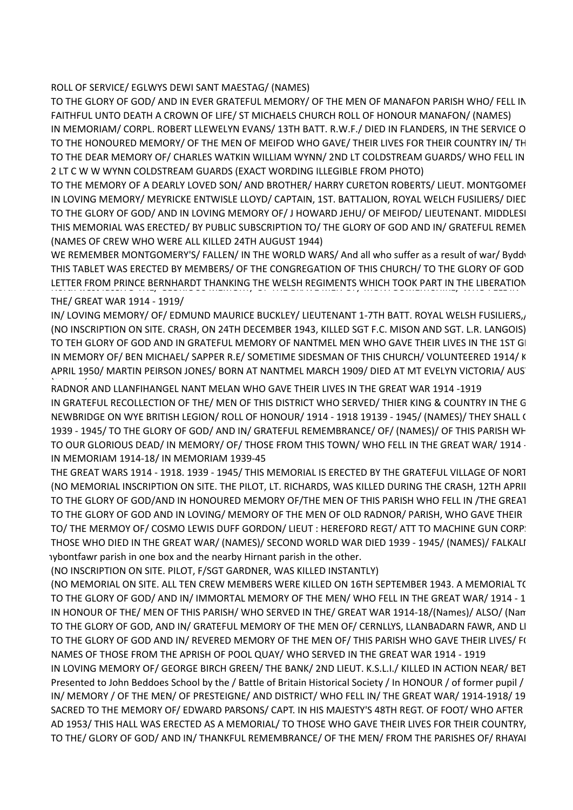#### ROLL OF SERVICE/ EGLWYS DEWI SANT MAESTAG/ (NAMES)

TO THE GLORY OF GOD/ AND IN EVER GRATEFUL MEMORY/ OF THE MEN OF MANAFON PARISH WHO/ FELL IN FAITHFUL UNTO DEATH A CROWN OF LIFE/ ST MICHAELS CHURCH ROLL OF HONOUR MANAFON/ (NAMES) IN MEMORIAM/ CORPL. ROBERT LLEWELYN EVANS/ 13TH BATT. R.W.F./ DIED IN FLANDERS, IN THE SERVICE O TO THE HONOURED MEMORY/ OF THE MEN OF MEIFOD WHO GAVE/ THEIR LIVES FOR THEIR COUNTRY IN/ TH TO THE DEAR MEMORY OF/ CHARLES WATKIN WILLIAM WYNN/ 2ND LT COLDSTREAM GUARDS/ WHO FELL IN 2 LT C W W WYNN COLDSTREAM GUARDS (EXACT WORDING ILLEGIBLE FROM PHOTO)

TO THE MEMORY OF A DEARLY LOVED SON/ AND BROTHER/ HARRY CURETON ROBERTS/ LIEUT. MONTGOMEI IN LOVING MEMORY/ MEYRICKE ENTWISLE LLOYD/ CAPTAIN, 1ST. BATTALION, ROYAL WELCH FUSILIERS/ DIED TO THE GLORY OF GOD/ AND IN LOVING MEMORY OF/ J HOWARD JEHU/ OF MEIFOD/ LIEUTENANT. MIDDLESI THIS MEMORIAL WAS ERECTED/ BY PUBLIC SUBSCRIPTION TO/ THE GLORY OF GOD AND IN/ GRATEFUL REMEN (NAMES OF CREW WHO WERE ALL KILLED 24TH AUGUST 1944)

WE REMEMBER MONTGOMERY'S/ FALLEN/ IN THE WORLD WARS/ And all who suffer as a result of war/ Byddv THIS TABLET WAS ERECTED BY MEMBERS/ OF THE CONGREGATION OF THIS CHURCH/ TO THE GLORY OF GOD LETTER FROM PRINCE BERNHARDT THANKING THE WELSH REGIMENTS WHICH TOOK PART IN THE LIBERATION THE/ GREAT WAR 1914 - 1919/

IN/LOVING MEMORY/OF/EDMUND MAURICE BUCKLEY/LIEUTENANT 1-7TH BATT. ROYAL WELSH FUSILIERS, (NO INSCRIPTION ON SITE. CRASH, ON 24TH DECEMBER 1943, KILLED SGT F.C. MISON AND SGT. L.R. LANGOIS) TO TEH GLORY OF GOD AND IN GRATEFUL MEMORY OF NANTMEL MEN WHO GAVE THEIR LIVES IN THE 1ST GI IN MEMORY OF/ BEN MICHAEL/ SAPPER R.E/ SOMETIME SIDESMAN OF THIS CHURCH/ VOLUNTEERED 1914/ K APRIL 1950/ MARTIN PEIRSON JONES/ BORN AT NANTMEL MARCH 1909/ DIED AT MT EVELYN VICTORIA/ AUS

RADNOR AND LLANFIHANGEL NANT MELAN WHO GAVE THEIR LIVES IN THE GREAT WAR 1914 -1919 IN GRATEFUL RECOLLECTION OF THE/ MEN OF THIS DISTRICT WHO SERVED/ THIER KING & COUNTRY IN THE G NEWBRIDGE ON WYE BRITISH LEGION/ ROLL OF HONOUR/ 1914 - 1918 19139 - 1945/ (NAMES)/ THEY SHALL ( 1939 - 1945/ TO THE GLORY OF GOD/ AND IN/ GRATEFUL REMEMBRANCE/ OF/ (NAMES)/ OF THIS PARISH WH TO OUR GLORIOUS DEAD/ IN MEMORY/ OF/ THOSE FROM THIS TOWN/ WHO FELL IN THE GREAT WAR/ 1914 -IN MEMORIAM 1914-18/ IN MEMORIAM 1939-45

THE GREAT WARS 1914 - 1918. 1939 - 1945/ THIS MEMORIAL IS ERECTED BY THE GRATEFUL VILLAGE OF NORT (NO MEMORIAL INSCRIPTION ON SITE. THE PILOT, LT. RICHARDS, WAS KILLED DURING THE CRASH, 12TH APRII TO THE GLORY OF GOD/AND IN HONOURED MEMORY OF/THE MEN OF THIS PARISH WHO FELL IN /THE GREAT TO THE GLORY OF GOD AND IN LOVING/ MEMORY OF THE MEN OF OLD RADNOR/ PARISH, WHO GAVE THEIR TO/ THE MERMOY OF/ COSMO LEWIS DUFF GORDON/ LIEUT: HEREFORD REGT/ ATT TO MACHINE GUN CORP! THOSE WHO DIED IN THE GREAT WAR/ (NAMES)/ SECOND WORLD WAR DIED 1939 - 1945/ (NAMES)/ FALKALI ary bont fawr parish in one box and the nearby Hirnant parish in the other.

(NO INSCRIPTION ON SITE. PILOT, F/SGT GARDNER, WAS KILLED INSTANTLY)

(NO MEMORIAL ON SITE. ALL TEN CREW MEMBERS WERE KILLED ON 16TH SEPTEMBER 1943. A MEMORIAL TO TO THE GLORY OF GOD/ AND IN/ IMMORTAL MEMORY OF THE MEN/ WHO FELL IN THE GREAT WAR/ 1914 - 1 IN HONOUR OF THE/ MEN OF THIS PARISH/ WHO SERVED IN THE/ GREAT WAR 1914-18/(Names)/ ALSO/ (Name) TO THE GLORY OF GOD, AND IN/ GRATEFUL MEMORY OF THE MEN OF/ CERNLLYS, LLANBADARN FAWR, AND LI TO THE GLORY OF GOD AND IN/ REVERED MEMORY OF THE MEN OF/ THIS PARISH WHO GAVE THEIR LIVES/ F( NAMES OF THOSE FROM THE APRISH OF POOL QUAY/ WHO SERVED IN THE GREAT WAR 1914 - 1919

IN LOVING MEMORY OF/ GEORGE BIRCH GREEN/ THE BANK/ 2ND LIEUT. K.S.L.I./ KILLED IN ACTION NEAR/ BET Presented to John Beddoes School by the / Battle of Britain Historical Society / In HONOUR / of former pupil / IN/ MEMORY / OF THE MEN/ OF PRESTEIGNE/ AND DISTRICT/ WHO FELL IN/ THE GREAT WAR/ 1914-1918/ 19 SACRED TO THE MEMORY OF/EDWARD PARSONS/CAPT. IN HIS MAJESTY'S 48TH REGT. OF FOOT/WHO AFTER AD 1953/ THIS HALL WAS ERECTED AS A MEMORIAL/ TO THOSE WHO GAVE THEIR LIVES FOR THEIR COUNTRY, TO THE/ GLORY OF GOD/ AND IN/ THANKFUL REMEMBRANCE/ OF THE MEN/ FROM THE PARISHES OF/ RHAYAI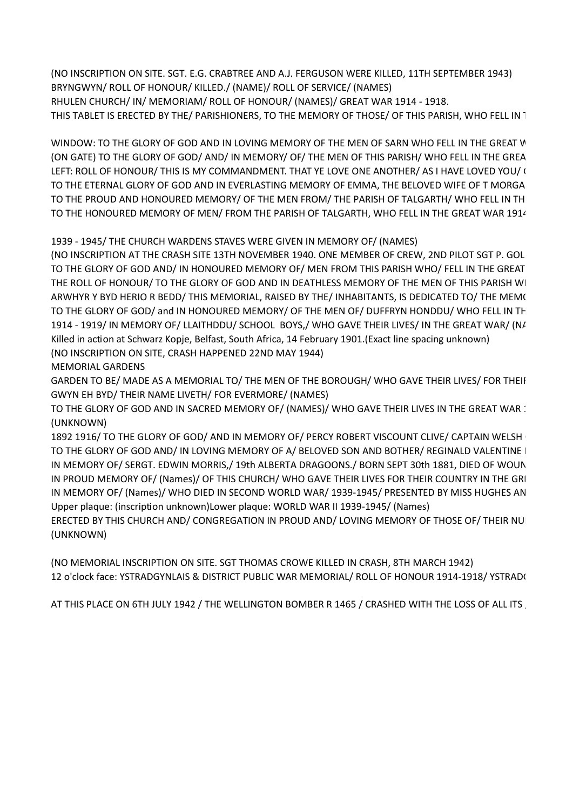(NO INSCRIPTION ON SITE. SGT. E.G. CRABTREE AND A.J. FERGUSON WERE KILLED, 11TH SEPTEMBER 1943) BRYNGWYN/ ROLL OF HONOUR/ KILLED./ (NAME)/ ROLL OF SERVICE/ (NAMES) RHULEN CHURCH/ IN/ MEMORIAM/ ROLL OF HONOUR/ (NAMES)/ GREAT WAR 1914 - 1918. THIS TABLET IS ERECTED BY THE/ PARISHIONERS, TO THE MEMORY OF THOSE/ OF THIS PARISH, WHO FELL IN 1

WINDOW: TO THE GLORY OF GOD AND IN LOVING MEMORY OF THE MEN OF SARN WHO FELL IN THE GREAT V (ON GATE) TO THE GLORY OF GOD/ AND/ IN MEMORY/ OF/ THE MEN OF THIS PARISH/ WHO FELL IN THE GREA LEFT: ROLL OF HONOUR/ THIS IS MY COMMANDMENT. THAT YE LOVE ONE ANOTHER/ AS I HAVE LOVED YOU/ ( TO THE ETERNAL GLORY OF GOD AND IN EVERLASTING MEMORY OF EMMA, THE BELOVED WIFE OF T MORGA TO THE PROUD AND HONOURED MEMORY/ OF THE MEN FROM/ THE PARISH OF TALGARTH/ WHO FELL IN TH TO THE HONOURED MEMORY OF MEN/ FROM THE PARISH OF TALGARTH, WHO FELL IN THE GREAT WAR 1914

1939 - 1945/ THE CHURCH WARDENS STAVES WERE GIVEN IN MEMORY OF/ (NAMES)

(NO INSCRIPTION AT THE CRASH SITE 13TH NOVEMBER 1940. ONE MEMBER OF CREW, 2ND PILOT SGT P. GOL TO THE GLORY OF GOD AND/ IN HONOURED MEMORY OF/ MEN FROM THIS PARISH WHO/ FELL IN THE GREAT THE ROLL OF HONOUR/ TO THE GLORY OF GOD AND IN DEATHLESS MEMORY OF THE MEN OF THIS PARISH WI ARWHYR Y BYD HERIO R BEDD/ THIS MEMORIAL, RAISED BY THE/ INHABITANTS, IS DEDICATED TO/ THE MEM( TO THE GLORY OF GOD/ and IN HONOURED MEMORY/ OF THE MEN OF/ DUFFRYN HONDDU/ WHO FELL IN TH 1914 - 1919/ IN MEMORY OF/ LLAITHDDU/ SCHOOL BOYS,/ WHO GAVE THEIR LIVES/ IN THE GREAT WAR/ (N/ Killed in action at Schwarz Kopje, Belfast, South Africa, 14 February 1901. (Exact line spacing unknown) (NO INSCRIPTION ON SITE, CRASH HAPPENED 22ND MAY 1944)

MEMORIAL GARDENS

GARDEN TO BE/ MADE AS A MEMORIAL TO/ THE MEN OF THE BOROUGH/ WHO GAVE THEIR LIVES/ FOR THEIF GWYN EH BYD/ THEIR NAME LIVETH/ FOR EVERMORE/ (NAMES)

TO THE GLORY OF GOD AND IN SACRED MEMORY OF/ (NAMES)/ WHO GAVE THEIR LIVES IN THE GREAT WAR : (UNKNOWN)

1892 1916/ TO THE GLORY OF GOD/ AND IN MEMORY OF/ PERCY ROBERT VISCOUNT CLIVE/ CAPTAIN WELSH TO THE GLORY OF GOD AND/ IN LOVING MEMORY OF A/ BELOVED SON AND BOTHER/ REGINALD VALENTINE I IN MEMORY OF/ SERGT. EDWIN MORRIS,/ 19th ALBERTA DRAGOONS./ BORN SEPT 30th 1881, DIED OF WOUN IN PROUD MEMORY OF/ (Names)/ OF THIS CHURCH/ WHO GAVE THEIR LIVES FOR THEIR COUNTRY IN THE GRI IN MEMORY OF/ (Names)/ WHO DIED IN SECOND WORLD WAR/ 1939-1945/ PRESENTED BY MISS HUGHES AN Upper plaque: (inscription unknown) Lower plaque: WORLD WAR II 1939-1945/ (Names)

ERECTED BY THIS CHURCH AND/ CONGREGATION IN PROUD AND/ LOVING MEMORY OF THOSE OF/ THEIR NUI (UNKNOWN)

(NO MEMORIAL INSCRIPTION ON SITE. SGT THOMAS CROWE KILLED IN CRASH, 8TH MARCH 1942) 12 o'clock face: YSTRADGYNLAIS & DISTRICT PUBLIC WAR MEMORIAL/ ROLL OF HONOUR 1914-1918/ YSTRAD(

AT THIS PLACE ON 6TH JULY 1942 / THE WELLINGTON BOMBER R 1465 / CRASHED WITH THE LOSS OF ALL ITS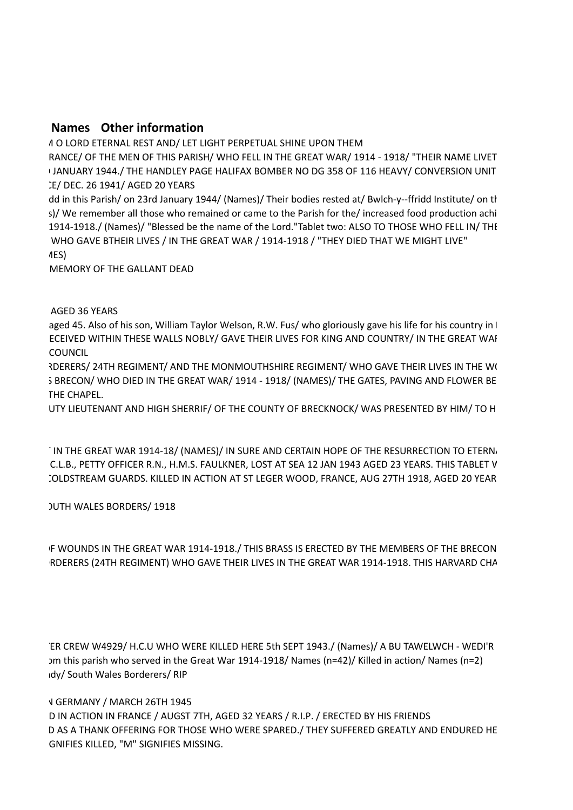# **Names Other information**

A O LORD ETERNAL REST AND/ LET LIGHT PERPETUAL SHINE UPON THEM

RANCE/ OF THE MEN OF THIS PARISH/ WHO FELL IN THE GREAT WAR/ 1914 - 1918/ "THEIR NAME LIVET I JANUARY 1944./ THE HANDLEY PAGE HALIFAX BOMBER NO DG 358 OF 116 HEAVY/ CONVERSION UNIT IE/ DEC. 26 1941/ AGED 20 YEARS

dd in this Parish/ on 23rd January 1944/ (Names)/ Their bodies rested at/ Bwlch-y--ffridd Institute/ on th s)/ We remember all those who remained or came to the Parish for the/ increased food production achi 1914-1918. (Names) / "Blessed be the name of the Lord."Tablet two: ALSO TO THOSE WHO FELL IN / THE WHO GAVE BTHEIR LIVES / IN THE GREAT WAR / 1914-1918 / "THEY DIED THAT WE MIGHT LIVE" TO THE IMMORTAL MEST

MEMORY OF THE GALLANT DEAD

AGED 36 YEARS

aged 45. Also of his son, William Taylor Welson, R.W. Fus/ who gloriously gave his life for his country in | ECEIVED WITHIN THESE WALLS NOBLY/ GAVE THEIR LIVES FOR KING AND COUNTRY/ IN THE GREAT WAI TO COUNCIL

**ROERERS/ 24TH REGIMENT/ AND THE MONMOUTHSHIRE REGIMENT/ WHO GAVE THEIR LIVES IN THE W(** S BRECON/ WHO DIED IN THE GREAT WAR/ 1914 - 1918/ (NAMES)/ THE GATES, PAVING AND FLOWER BE THE CHAPEL.

UTY LIEUTENANT AND HIGH SHERRIF/ OF THE COUNTY OF BRECKNOCK/ WAS PRESENTED BY HIM/ TO H

IN THE GREAT WAR 1914-18/ (NAMES)/ IN SURE AND CERTAIN HOPE OF THE RESURRECTION TO ETERN. C.L.B., PETTY OFFICER R.N., H.M.S. FAULKNER, LOST AT SEA 12 JAN 1943 AGED 23 YEARS. THIS TABLET V COLDSTREAM GUARDS. KILLED IN ACTION AT ST LEGER WOOD, FRANCE, AUG 27TH 1918, AGED 20 YEAR

# **JUTH WALES BORDERS/ 1918**

F WOUNDS IN THE GREAT WAR 1914-1918./ THIS BRASS IS ERECTED BY THE MEMBERS OF THE BRECON RDERERS (24TH REGIMENT) WHO GAVE THEIR LIVES IN THE GREAT WAR 1914-1918. THIS HARVARD CHA

ER CREW W4929/H.C.U WHO WERE KILLED HERE 5th SEPT 1943./ (Names)/ A BU TAWELWCH - WEDI'R Im this parish who served in the Great War 1914-1918/ Names (n=42)/ Killed in action/ Names (n=2) Idy/ South Wales Borderers/ RIP

# **V GERMANY / MARCH 26TH 1945**

D IN ACTION IN FRANCE / AUGST 7TH, AGED 32 YEARS / R.I.P. / ERECTED BY HIS FRIENDS D AS A THANK OFFERING FOR THOSE WHO WERE SPARED./ THEY SUFFERED GREATLY AND ENDURED HE GNIFIES KILLED, "M" SIGNIFIES MISSING.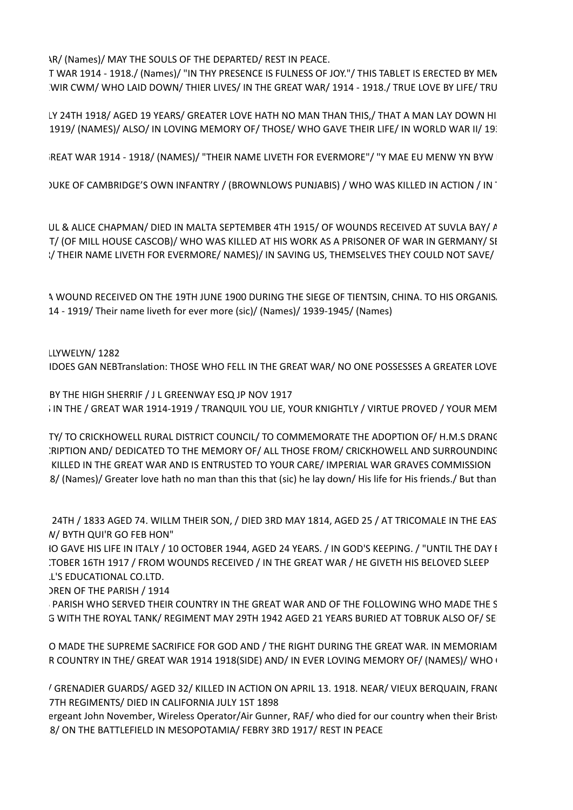**IR/ (Names)/ MAY THE SOULS OF THE DEPARTED/ REST IN PEACE.** 

T WAR 1914 - 1918. / (Names)/ "IN THY PRESENCE IS FULNESS OF JOY." / THIS TABLET IS ERECTED BY MEN WIR CWM/ WHO LAID DOWN/ THIER LIVES/ IN THE GREAT WAR/ 1914 - 1918./ TRUE LOVE BY LIFE/ TRU

LY 24TH 1918/ AGED 19 YEARS/ GREATER LOVE HATH NO MAN THAN THIS,/ THAT A MAN LAY DOWN HI 1919/ (NAMES)/ ALSO/ IN LOVING MEMORY OF/ THOSE/ WHO GAVE THEIR LIFE/ IN WORLD WAR II/ 19.

TO THE GLORY OF GOD/ AND IN HONOURED MEMORY OF/ THE MEN OF BWLCH Y CIBAU WHO FELL IN/ THE GREAT WAR 1914 - 1918/ (NAMES)/ "THEIR NAME LIVETH FOR EVERMORE"/ "Y MAE EU MENW YN BYW BYTH"/ 1939 - 1945 (NAME)

10 ) UKE OF CAMBRIDGE'S OWN INFANTRY / (BROWNLOWS PUNJABIS) / WHO WAS KILLED IN ACTION / IN

UL & ALICE CHAPMAN/ DIED IN MALTA SEPTEMBER 4TH 1915/ OF WOUNDS RECEIVED AT SUVLA BAY/ A T/ (OF MILL HOUSE CASCOB)/ WHO WAS KILLED AT HIS WORK AS A PRISONER OF WAR IN GERMANY/ SI :/ THEIR NAME LIVETH FOR EVERMORE/ NAMES)/ IN SAVING US, THEMSELVES THEY COULD NOT SAVE/

A WOUND RECEIVED ON THE 19TH JUNE 1900 DURING THE SIEGE OF TIENTSIN, CHINA. TO HIS ORGANIS. 14 - 1919/ Their name liveth for ever more (sic)/ (Names)/ 1939-1945/ (Names)

LLYWELYN/ 1282

IDOES GAN NEBTranslation: THOSE WHO FELL IN THE GREAT WAR/ NO ONE POSSESSES A GREATER LOVE

BY THE HIGH SHERRIF / J L GREENWAY ESQ JP NOV 1917 IN THE / GREAT WAR 1914-1919 / TRANQUIL YOU LIE, YOUR KNIGHTLY / VIRTUE PROVED / YOUR MEM

TY/ TO CRICKHOWELL RURAL DISTRICT COUNCIL/ TO COMMEMORATE THE ADOPTION OF/ H.M.S DRANG :RIPTION AND/ DEDICATED TO THE MEMORY OF/ ALL THOSE FROM/ CRICKHOWELL AND SURROUNDING KILLED IN THE GREAT WAR AND IS ENTRUSTED TO YOUR CARE/ IMPERIAL WAR GRAVES COMMISSION 8/ (Names)/ Greater love hath no man than this that (sic) he lay down/ His life for His friends./ But than

24TH / 1833 AGED 74. WILLM THEIR SON, / DIED 3RD MAY 1814, AGED 25 / AT TRICOMALE IN THE EAS **N/ BYTH QUI'R GO FEB HON"** 

IO GAVE HIS LIFE IN ITALY / 10 OCTOBER 1944, AGED 24 YEARS. / IN GOD'S KEEPING. / "UNTIL THE DAY I ITOBER 16TH 1917 / FROM WOUNDS RECEIVED / IN THE GREAT WAR / HE GIVETH HIS BELOVED SLEEP L'S EDUCATIONAL CO.LTD.

DREN OF THE PARISH / 1914

PARISH WHO SERVED THEIR COUNTRY IN THE GREAT WAR AND OF THE FOLLOWING WHO MADE THE S G WITH THE ROYAL TANK/ REGIMENT MAY 29TH 1942 AGED 21 YEARS BURIED AT TOBRUK ALSO OF/ SE

O MADE THE SUPREME SACRIFICE FOR GOD AND / THE RIGHT DURING THE GREAT WAR. IN MEMORIAM R COUNTRY IN THE/ GREAT WAR 1914 1918(SIDE) AND/ IN EVER LOVING MEMORY OF/ (NAMES)/ WHO (

/ GRENADIER GUARDS/ AGED 32/ KILLED IN ACTION ON APRIL 13. 1918. NEAR/ VIEUX BERQUAIN, FRAN( 7TH REGIMENTS/ DIED IN CALIFORNIA JULY 1ST 1898

ergeant John November, Wireless Operator/Air Gunner, RAF/ who died for our country when their Brist 8/ ON THE BATTLEFIELD IN MESOPOTAMIA/ FEBRY 3RD 1917/ REST IN PEACE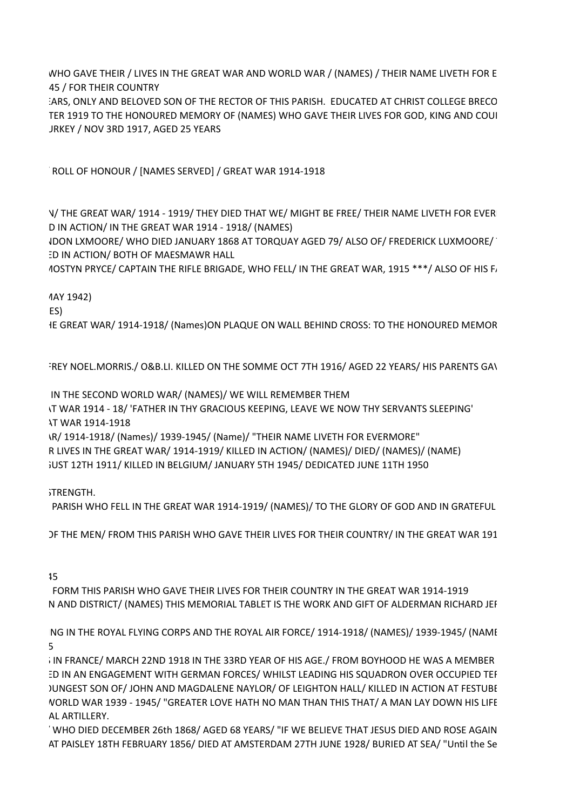WHO GAVE THEIR / LIVES IN THE GREAT WAR AND WORLD WAR / (NAMES) / THEIR NAME LIVETH FOR E 45 / FOR THEIR COUNTRY ARS, ONLY AND BELOVED SON OF THE RECTOR OF THIS PARISH. EDUCATED AT CHRIST COLLEGE BRECO TER 1919 TO THE HONOURED MEMORY OF (NAMES) WHO GAVE THEIR LIVES FOR GOD, KING AND COUI

JRKEY / NOV 3RD 1917, AGED 25 YEARS

ROLL OF HONOUR / [NAMES SERVED] / GREAT WAR 1914-1918

V/THE GREAT WAR/1914 - 1919/THEY DIED THAT WE/MIGHT BE FREE/THEIR NAME LIVETH FOR EVER D IN ACTION/ IN THE GREAT WAR 1914 - 1918/ (NAMES)

IDON LXMOORE/ WHO DIED JANUARY 1868 AT TORQUAY AGED 79/ ALSO OF/ FREDERICK LUXMOORE/ ID IN ACTION/ BOTH OF MAESMAWR HALL

10STYN PRYCE/ CAPTAIN THE RIFLE BRIGADE, WHO FELL/ IN THE GREAT WAR, 1915 \*\*\*/ ALSO OF HIS F,

1AY 1942)

 $ES)$ 

IE GREAT WAR/1914-1918/(Names)ON PLAQUE ON WALL BEHIND CROSS: TO THE HONOURED MEMOR

FREY NOEL.MORRIS./ O&B.LI. KILLED ON THE SOMME OCT 7TH 1916/ AGED 22 YEARS/ HIS PARENTS GAV

IN THE SECOND WORLD WAR/ (NAMES)/ WE WILL REMEMBER THEM

IT WAR 1914 - 18/ 'FATHER IN THY GRACIOUS KEEPING, LEAVE WE NOW THY SERVANTS SLEEPING' \T WAR 1914-1918

\R/ 1914-1918/ (Names)/ 1939-1945/ (Name)/ "THEIR NAME LIVETH FOR EVERMORE"

R LIVES IN THE GREAT WAR/ 1914-1919/ KILLED IN ACTION/ (NAMES)/ DIED/ (NAMES)/ (NAME)  $T$  JUST 12TH 1911/ KILLED IN BELGIUM/ JANUARY 5TH 1945/ DEDICATED JUNE 11TH 1950

 $S$ TRENGTH.

PARISH WHO FELL IN THE GREAT WAR 1914-1919/ (NAMES)/ TO THE GLORY OF GOD AND IN GRATEFUL

DE THE MEN/ FROM THIS PARISH WHO GAVE THEIR LIVES FOR THEIR COUNTRY/ IN THE GREAT WAR 191

 $T_{\text{H}}$  and  $T_{\text{H}}$ 

FORM THIS PARISH WHO GAVE THEIR LIVES FOR THEIR COUNTRY IN THE GREAT WAR 1914-1919 N AND DISTRICT/ (NAMES) THIS MEMORIAL TABLET IS THE WORK AND GIFT OF ALDERMAN RICHARD JEF

NG IN THE ROYAL FLYING CORPS AND THE ROYAL AIR FORCE/ 1914-1918/ (NAMES)/ 1939-1945/ (NAMI THE GLORY OF GOD AND  $5$ 

IN FRANCE/ MARCH 22ND 1918 IN THE 33RD YEAR OF HIS AGE./ FROM BOYHOOD HE WAS A MEMBER ED IN AN ENGAGEMENT WITH GERMAN FORCES/ WHILST LEADING HIS SQUADRON OVER OCCUPIED TEF JUNGEST SON OF/JOHN AND MAGDALENE NAYLOR/ OF LEIGHTON HALL/ KILLED IN ACTION AT FESTUBE VORLD WAR 1939 - 1945/ "GREATER LOVE HATH NO MAN THAN THIS THAT/ A MAN LAY DOWN HIS LIFE AL ARTILLERY.

WHO DIED DECEMBER 26th 1868/ AGED 68 YEARS/ "IF WE BELIEVE THAT JESUS DIED AND ROSE AGAIN AT PAISLEY 18TH FEBRUARY 1856/ DIED AT AMSTERDAM 27TH JUNE 1928/ BURIED AT SEA/ "Until the Se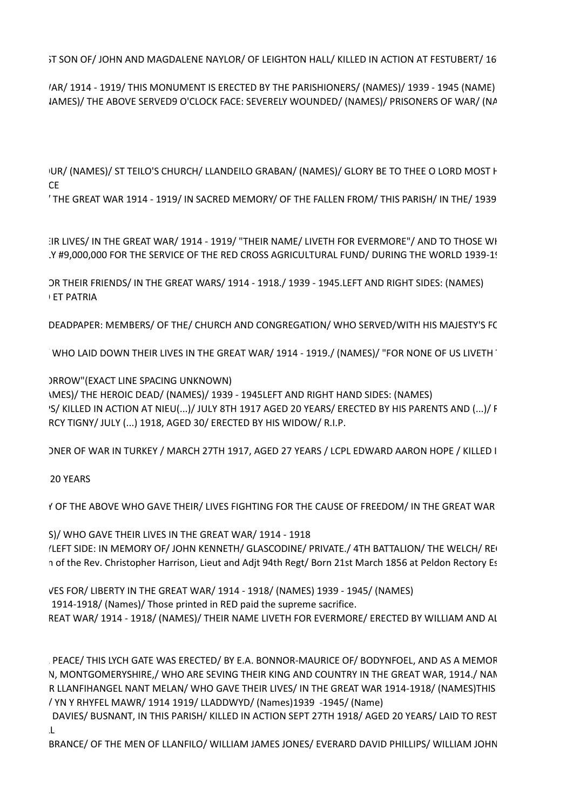5T SON OF/JOHN AND MAGDALENE NAYLOR/ OF LEIGHTON HALL/ KILLED IN ACTION AT FESTUBERT/ 16

IAR/ 1914 - 1919/ THIS MONUMENT IS ERECTED BY THE PARISHIONERS/ (NAMES)/ 1939 - 1945 (NAME) IAMES)/ THE ABOVE SERVED9 O'CLOCK FACE: SEVERELY WOUNDED/ (NAMES)/ PRISONERS OF WAR/ (NA

UR/ (NAMES)/ ST TEILO'S CHURCH/ LLANDEILO GRABAN/ (NAMES)/ GLORY BE TO THEE O LORD MOST H IN/ LOVING/ OF/ SEC. LT J WILLIAMS-VAUGHAN/ SEC. LT J WILLIAMS-VAUGHAN/ SEC. LT J WILLIAMS-VAUGHAN/ SEC. LT J

THE GREAT WAR 1914 - 1919/ IN SACRED MEMORY/ OF THE FALLEN FROM/ THIS PARISH/ IN THE/ 1939

IR LIVES/ IN THE GREAT WAR/ 1914 - 1919/ "THEIR NAME/ LIVETH FOR EVERMORE"/ AND TO THOSE WH Y #9,000,000 FOR THE SERVICE OF THE RED CROSS AGRICULTURAL FUND/ DURING THE WORLD 1939-1!

OR THEIR FRIENDS/ IN THE GREAT WARS/ 1914 - 1918./ 1939 - 1945. LEFT AND RIGHT SIDES: (NAMES) IN ET PATRIA

DEADPAPER: MEMBERS/ OF THE/ CHURCH AND CONGREGATION/ WHO SERVED/WITH HIS MAJESTY'S FC

WHO LAID DOWN THEIR LIVES IN THE GREAT WAR/ 1914 - 1919./ (NAMES)/ "FOR NONE OF US LIVETH"

DEROW" (EXACT LINE SPACING UNKNOWN) IMES)/ THE HEROIC DEAD/ (NAMES)/ 1939 - 1945 LEFT AND RIGHT HAND SIDES: (NAMES) 'S/ KILLED IN ACTION AT NIEU(...)/ JULY 8TH 1917 AGED 20 YEARS/ ERECTED BY HIS PARENTS AND (...)/ F RCY TIGNY/ JULY (...) 1918, AGED 30/ ERECTED BY HIS WIDOW/ R.I.P.

ONER OF WAR IN TURKEY / MARCH 27TH 1917, AGED 27 YEARS / LCPL EDWARD AARON HOPE / KILLED I

SUB LIEUT ISLIE TUDI VEARS

(NAMES) THE ABOVE WHO GAVE THEIR/ LIVES FIGHTING FOR THE CAUSE OF FREEDOM/ IN THE GREAT WAR

S)/ WHO GAVE THEIR LIVES IN THE GREAT WAR/ 1914 - 1918 (LEFT SIDE: IN MEMORY OF/JOHN KENNETH/ GLASCODINE/ PRIVATE./ 4TH BATTALION/ THE WELCH/ RE n of the Rev. Christopher Harrison, Lieut and Adjt 94th Regt/Born 21st March 1856 at Peldon Rectory Es

VES FOR/ LIBERTY IN THE GREAT WAR/ 1914 - 1918/ (NAMES) 1939 - 1945/ (NAMES) 1914-1918/ (Names)/ Those printed in RED paid the supreme sacrifice. REAT WAR/1914 - 1918/ (NAMES)/THEIR NAME LIVETH FOR EVERMORE/ERECTED BY WILLIAM AND AL

PEACE/THIS LYCH GATE WAS ERECTED/ BY E.A. BONNOR-MAURICE OF/BODYNFOEL, AND AS A MEMOR N, MONTGOMERYSHIRE,/ WHO ARE SEVING THEIR KING AND COUNTRY IN THE GREAT WAR, 1914./ NAN R LLANFIHANGEL NANT MELAN/ WHO GAVE THEIR LIVES/ IN THE GREAT WAR 1914-1918/ (NAMES)THIS AOGOF (?) UWCH ANGHOF(?)/ COFNAOD AN Y RHAN A/ CYNERWYD CAN FLLIBION/ LLANFIHANGEL AR CYLED/ YN Y RHYFEL MAWR/ 1914 1919/ LLADDWYD/ (Names)1939 -1945/ (Name)

DAVIES/ BUSNANT, IN THIS PARISH/ KILLED IN ACTION SEPT 27TH 1918/ AGED 20 YEARS/ LAID TO REST 1918-1918/ THE GREAT WAR/ RIP/ WILLIAM JAMES JONES/ EVERARD DAVID PHILLIPS/ WILLIAM JOHN POWELL

BRANCE/ OF THE MEN OF LLANFILO/ WILLIAM JAMES JONES/ EVERARD DAVID PHILLIPS/ WILLIAM JOHN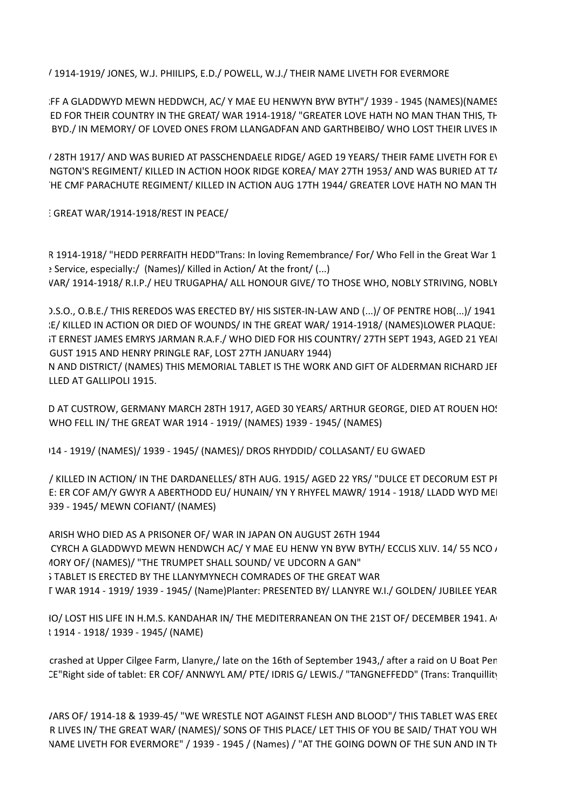/ 1914-1919/ JONES, W.J. PHIILIPS, E.D./ POWELL, W.J./ THEIR NAME LIVETH FOR EVERMORE

FF A GLADDWYD MEWN HEDDWCH, AC/ Y MAE EU HENWYN BYW BYTH"/ 1939 - 1945 (NAMES)(NAMES). ED FOR THEIR COUNTRY IN THE GREAT/ WAR 1914-1918/ "GREATER LOVE HATH NO MAN THAN THIS, TH BYD./ IN MEMORY/ OF LOVED ONES FROM LLANGADFAN AND GARTHBEIBO/ WHO LOST THEIR LIVES IN

I AFFICULTION AND WAS BURIED AT PASSCHENDAELE RIDGE/ AGED 19 YEARS/ THEIR FAME LIVETH FOR EVERT NGTON'S REGIMENT/ KILLED IN ACTION HOOK RIDGE KOREA/ MAY 27TH 1953/ AND WAS BURIED AT T/ IN PARACHUTE REGIMENT/ KILLED IN ACTION AUG 17TH 1944/ GREATER LOVE HATH NO MAN TH

 $T$  GREAT WAR/1914-1918/REST IN PEACE/

R 1914-1918/ "HEDD PERRFAITH HEDD" Trans: In loving Remembrance/ For/ Who Fell in the Great War 1 : Service, especially:/ (Names)/ Killed in Action/ At the front/ (...) VAR/ 1914-1918/ R.I.P./ HEU TRUGAPHA/ ALL HONOUR GIVE/ TO THOSE WHO, NOBLY STRIVING, NOBLY

).S.O., O.B.E./ THIS REREDOS WAS ERECTED BY/ HIS SISTER-IN-LAW AND (...)/ OF PENTRE HOB(...)/ 1941 :E/ KILLED IN ACTION OR DIED OF WOUNDS/ IN THE GREAT WAR/ 1914-1918/ (NAMES)LOWER PLAQUE: IT ERNEST JAMES EMRYS JARMAN R.A.F./ WHO DIED FOR HIS COUNTRY/ 27TH SEPT 1943, AGED 21 YEAL GUST 1915 AND HENRY PRINGLE RAF, LOST 27TH JANUARY 1944)

N AND DISTRICT/ (NAMES) THIS MEMORIAL TABLET IS THE WORK AND GIFT OF ALDERMAN RICHARD JEF LLED AT GALLIPOLI 1915.

D AT CUSTROW, GERMANY MARCH 28TH 1917, AGED 30 YEARS/ ARTHUR GEORGE, DIED AT ROUEN HO! WHO FELL IN/ THE GREAT WAR 1914 - 1919/ (NAMES) 1939 - 1945/ (NAMES)

I14 - 1919/ (NAMES)/ 1939 - 1945/ (NAMES)/ DROS RHYDDID/ COLLASANT/ EU GWAED

/ KILLED IN ACTION/ IN THE DARDANELLES/ 8TH AUG. 1915/ AGED 22 YRS/ "DULCE ET DECORUM EST PI E: ER COF AM/Y GWYR A ABERTHODD EU/ HUNAIN/ YN Y RHYFEL MAWR/ 1914 - 1918/ LLADD WYD MEI 139 - 1945/ MEWN COFIANT/ (NAMES)

ARISH WHO DIED AS A PRISONER OF/ WAR IN JAPAN ON AUGUST 26TH 1944 CYRCH A GLADDWYD MEWN HENDWCH AC/ Y MAE EU HENW YN BYW BYTH/ ECCLIS XLIV. 14/ 55 NCO / 10RY OF/ (NAMES)/ "THE TRUMPET SHALL SOUND/ VE UDCORN A GAN" S TABLET IS ERECTED BY THE LLANYMYNECH COMRADES OF THE GREAT WAR F WAR 1914 - 1919/ 1939 - 1945/ (Name)Planter: PRESENTED BY/ LLANYRE W.I./ GOLDEN/ JUBILEE YEAR

IO/ LOST HIS LIFE IN H.M.S. KANDAHAR IN/ THE MEDITERRANEAN ON THE 21ST OF/ DECEMBER 1941. A t 1914 - 1918/ 1939 - 1945/ (NAME)

crashed at Upper Cilgee Farm, Llanyre,/ late on the 16th of September 1943,/ after a raid on U Boat Pen LE"Right side of tablet: ER COF/ ANNWYL AM/ PTE/ IDRIS G/ LEWIS./ "TANGNEFFEDD" (Trans: Tranquillity)

/ARS OF/ 1914-18 & 1939-45/ "WE WRESTLE NOT AGAINST FLESH AND BLOOD"/ THIS TABLET WAS EREC R LIVES IN/ THE GREAT WAR/ (NAMES)/ SONS OF THIS PLACE/ LET THIS OF YOU BE SAID/ THAT YOU WH NAME LIVETH FOR EVERMORE" / 1939 - 1945 / (Names) / "AT THE GOING DOWN OF THE SUN AND IN TH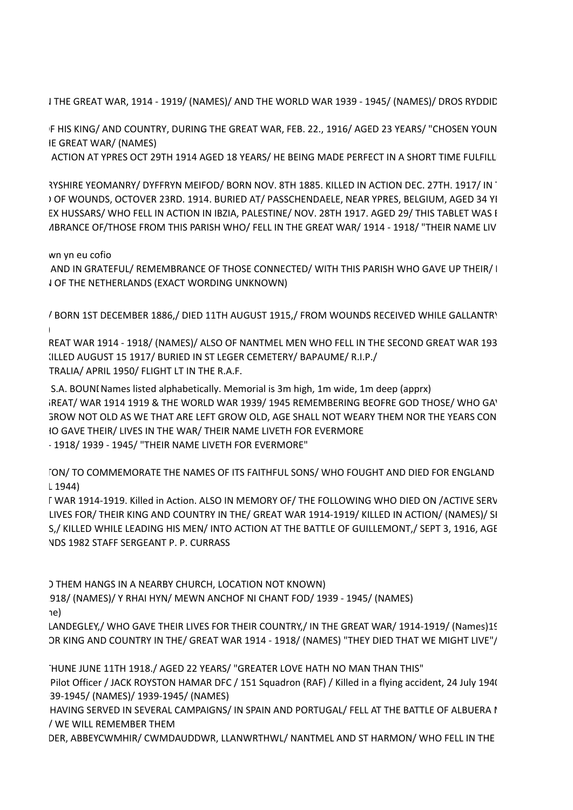I THE GREAT WAR, 1914 - 1919/ (NAMES)/ AND THE WORLD WAR 1939 - 1945/ (NAMES)/ DROS RYDDID

F HIS KING/ AND COUNTRY, DURING THE GREAT WAR, FEB. 22., 1916/ AGED 23 YEARS/ "CHOSEN YOUN IE GREAT WAR/ (NAMES)

ACTION AT YPRES OCT 29TH 1914 AGED 18 YEARS/ HE BEING MADE PERFECT IN A SHORT TIME FULFILL

?YSHIRE YEOMANRY/ DYFFRYN MEIFOD/ BORN NOV. 8TH 1885. KILLED IN ACTION DEC. 27TH. 1917/ IN ) OF WOUNDS, OCTOVER 23RD. 1914. BURIED AT/ PASSCHENDAELE, NEAR YPRES, BELGIUM, AGED 34 YI EX HUSSARS/ WHO FELL IN ACTION IN IBZIA, PALESTINE/ NOV. 28TH 1917. AGED 29/ THIS TABLET WAS I ABRANCE OF/THOSE FROM THIS PARISH WHO/ FELL IN THE GREAT WAR/ 1914 - 1918/ "THEIR NAME LIV

### wn yn eu cofio

AND IN GRATEFUL/ REMEMBRANCE OF THOSE CONNECTED/ WITH THIS PARISH WHO GAVE UP THEIR/ I **LOF THE NETHERLANDS (EXACT WORDING UNKNOWN)** 

/ BORN 1ST DECEMBER 1886,/ DIED 11TH AUGUST 1915,/ FROM WOUNDS RECEIVED WHILE GALLANTRY (NO INSCRIPTION ON SITE. CRASH, ON 24TH DECEMBER 1943, KILLED SGT F.C. MISON AND SGT. L.R. LANGOIS)

> REAT WAR 1914 - 1918/ (NAMES)/ ALSO OF NANTMEL MEN WHO FELL IN THE SECOND GREAT WAR 193 ILLED AUGUST 15 1917/ BURIED IN ST LEGER CEMETERY/ BAPAUME/ R.I.P./ TRALIA/ APRIL 1950/ FLIGHT LT IN THE R.A.F.

> S.A. BOUNI Names listed alphabetically. Memorial is 3m high, 1m wide, 1m deep (apprx) iREAT/ WAR 1914 1919 & THE WORLD WAR 1939/ 1945 REMEMBERING BEOFRE GOD THOSE/ WHO GA' GROW NOT OLD AS WE THAT ARE LEFT GROW OLD, AGE SHALL NOT WEARY THEM NOR THE YEARS CON 10 GAVE THEIR/ LIVES IN THE WAR/ THEIR NAME LIVETH FOR EVERMORE  $-1918/ 1939$  - 1945/ "THEIR NAME LIVETH FOR EVERMORE"

TON/ TO COMMEMORATE THE NAMES OF ITS FAITHFUL SONS/ WHO FOUGHT AND DIED FOR ENGLAND  $\lfloor 1944 \rfloor$ 

> [ WAR 1914-1919. Killed in Action. ALSO IN MEMORY OF/ THE FOLLOWING WHO DIED ON / ACTIVE SERV LIVES FOR/THEIR KING AND COUNTRY IN THE/ GREAT WAR 1914-1919/KILLED IN ACTION/ (NAMES)/ SI S,/ KILLED WHILE LEADING HIS MEN/INTO ACTION AT THE BATTLE OF GUILLEMONT,/ SEPT 3, 1916, AGE **NDS 1982 STAFF SERGEANT P. P. CURRASS**

) THEM HANGS IN A NEARBY CHURCH, LOCATION NOT KNOWN)

918/ (NAMES)/ Y RHAI HYN/ MEWN ANCHOF NI CHANT FOD/ 1939 - 1945/ (NAMES)

IN HONOUR OF THE  $\lambda$ 

LANDEGLEY,/ WHO GAVE THEIR LIVES FOR THEIR COUNTRY,/ IN THE GREAT WAR/ 1914-1919/ (Names) 1939-1945 OR KING AND COUNTRY IN THE/ GREAT WAR 1914 - 1918/ (NAMES) "THEY DIED THAT WE MIGHT LIVE"/

THUNE JUNE 11TH 1918./ AGED 22 YEARS/ "GREATER LOVE HATH NO MAN THAN THIS"

Pilot Officer / JACK ROYSTON HAMAR DFC / 151 Squadron (RAF) / Killed in a flying accident, 24 July 194( 39-1945/ (NAMES)/ 1939-1945/ (NAMES)

HAVING SERVED IN SEVERAL CAMPAIGNS/ IN SPAIN AND PORTUGAL/ FELL AT THE BATTLE OF ALBUERA I / WE WILL REMEMBER THEM

DER, ABBEYCWMHIR/ CWMDAUDDWR, LLANWRTHWL/ NANTMEL AND ST HARMON/ WHO FELL IN THE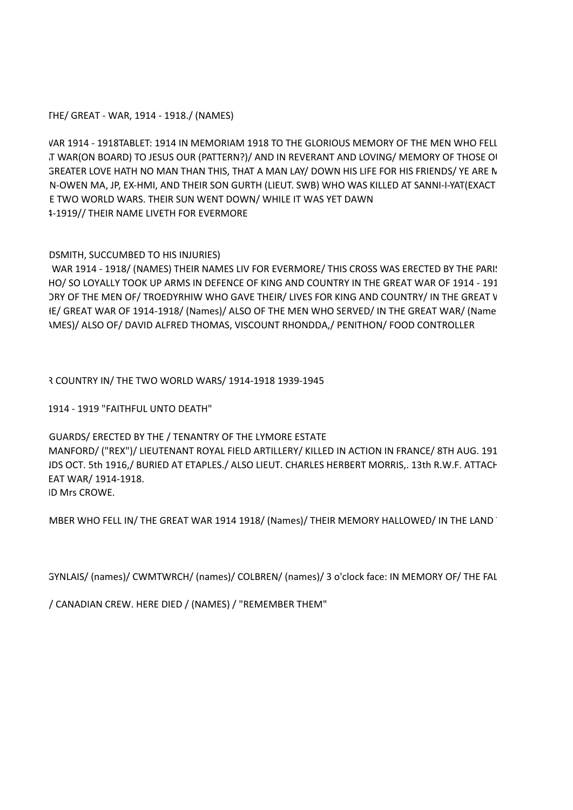THE/ GREAT - WAR, 1914 - 1918./ (NAMES)

VAR 1914 - 1918TABLET: 1914 IN MEMORIAM 1918 TO THE GLORIOUS MEMORY OF THE MEN WHO FELL T WAR(ON BOARD) TO JESUS OUR (PATTERN?)/ AND IN REVERANT AND LOVING/ MEMORY OF THOSE OI SREATER LOVE HATH NO MAN THAN THIS, THAT A MAN LAY/ DOWN HIS LIFE FOR HIS FRIENDS/ YE ARE N N-OWEN MA, JP, EX-HMI, AND THEIR SON GURTH (LIEUT. SWB) WHO WAS KILLED AT SANNI-I-YAT (EXACT E TWO WORLD WARS. THEIR SUN WENT DOWN/ WHILE IT WAS YET DAWN 1-1919// THEIR NAME LIVETH FOR EVERMORE

### DSMITH, SUCCUMBED TO HIS INJURIES)

WAR 1914 - 1918/ (NAMES) THEIR NAMES LIV FOR EVERMORE/ THIS CROSS WAS ERECTED BY THE PARI! HO/ SO LOYALLY TOOK UP ARMS IN DEFENCE OF KING AND COUNTRY IN THE GREAT WAR OF 1914 - 191 DRY OF THE MEN OF/ TROEDYRHIW WHO GAVE THEIR/ LIVES FOR KING AND COUNTRY/ IN THE GREAT V IE/ GREAT WAR OF 1914-1918/ (Names)/ ALSO OF THE MEN WHO SERVED/ IN THE GREAT WAR/ (Name 1MES)/ ALSO OF/ DAVID ALFRED THOMAS, VISCOUNT RHONDDA,/ PENITHON/ FOOD CONTROLLER

R COUNTRY IN/ THE TWO WORLD WARS/ 1914-1918 1939-1945

1914 - 1919 "FAITHFUL UNTO DEATH"

GUARDS/ ERECTED BY THE / TENANTRY OF THE LYMORE ESTATE MANFORD/ ("REX")/ LIEUTENANT ROYAL FIELD ARTILLERY/ KILLED IN ACTION IN FRANCE/ 8TH AUG. 191 IDS OCT. 5th 1916,/ BURIED AT ETAPLES./ ALSO LIEUT. CHARLES HERBERT MORRIS,. 13th R.W.F. ATTACH EAT WAR/ 1914-1918. ID Mrs CROWE.

MBER WHO FELL IN/ THE GREAT WAR 1914 1918/ (Names)/ THEIR MEMORY HALLOWED/ IN THE LAND

3YNLAIS/ (names)/ CWMTWRCH/ (names)/ COLBREN/ (names)/ 3 o'clock face: IN MEMORY OF/ THE FAL

/ CANADIAN CREW. HERE DIED / (NAMES) / "REMEMBER THEM"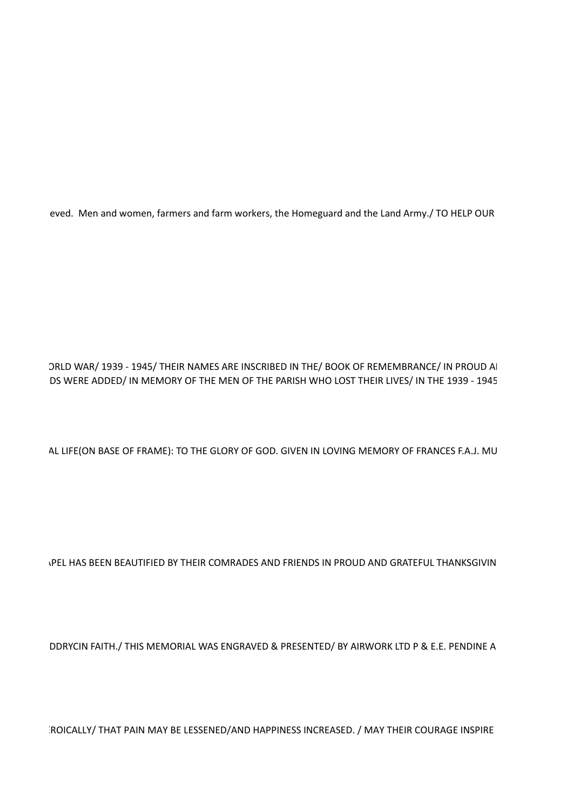eved. Men and women, farmers and farm workers, the Homeguard and the Land Army./ TO HELP OUR

ORLD WAR/ 1939 - 1945/ THEIR NAMES ARE INSCRIBED IN THE/ BOOK OF REMEMBRANCE/ IN PROUD AI DS WERE ADDED/ IN MEMORY OF THE MEN OF THE PARISH WHO LOST THEIR LIVES/ IN THE 1939 - 1945

AL LIFE(ON BASE OF FRAME): TO THE GLORY OF GOD. GIVEN IN LOVING MEMORY OF FRANCES F.A.J. MU

**IPEL HAS BEEN BEAUTIFIED BY THEIR COMRADES AND FRIENDS IN PROUD AND GRATEFUL THANKSGIVIN** 

DDRYCIN FAITH./ THIS MEMORIAL WAS ENGRAVED & PRESENTED/ BY AIRWORK LTD P & E.E. PENDINE A

ROICALLY/ THAT PAIN MAY BE LESSENED/AND HAPPINESS INCREASED. / MAY THEIR COURAGE INSPIRE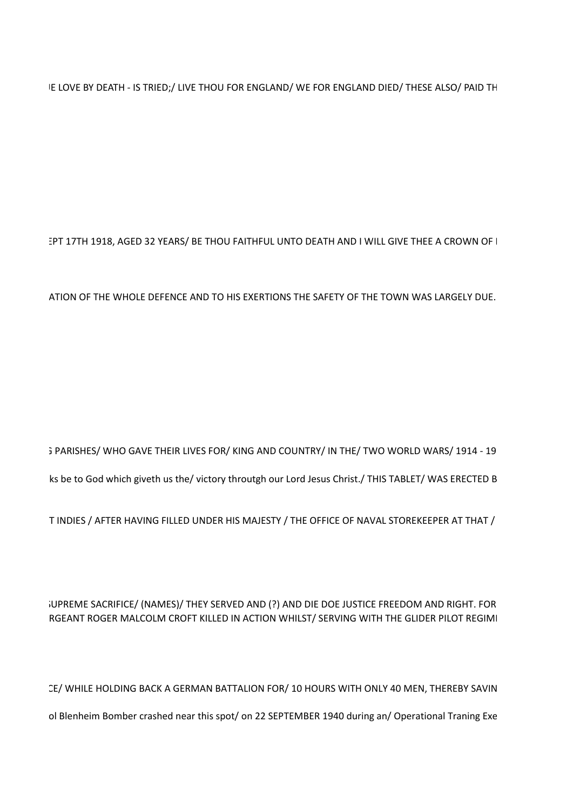IE LOVE BY DEATH - IS TRIED;/ LIVE THOU FOR ENGLAND/ WE FOR ENGLAND DIED/ THESE ALSO/ PAID TH

EPT 17TH 1918, AGED 32 YEARS/ BE THOU FAITHFUL UNTO DEATH AND I WILL GIVE THEE A CROWN OF I

ATION OF THE WHOLE DEFENCE AND TO HIS EXERTIONS THE SAFETY OF THE TOWN WAS LARGELY DUE.

; PARISHES/ WHO GAVE THEIR LIVES FOR/ KING AND COUNTRY/ IN THE/ TWO WORLD WARS/ 1914 - 19 ks be to God which giveth us the/victory throutgh our Lord Jesus Christ./ THIS TABLET/ WAS ERECTED B

T INDIES / AFTER HAVING FILLED UNDER HIS MAJESTY / THE OFFICE OF NAVAL STOREKEEPER AT THAT /

# JUPREME SACRIFICE/ (NAMES)/ THEY SERVED AND (?) AND DIE DOE JUSTICE FREEDOM AND RIGHT. FOR RGEANT ROGER MALCOLM CROFT KILLED IN ACTION WHILST/ SERVING WITH THE GLIDER PILOT REGIMI

CE/ WHILE HOLDING BACK A GERMAN BATTALION FOR/ 10 HOURS WITH ONLY 40 MEN, THEREBY SAVIN ol Blenheim Bomber crashed near this spot/ on 22 SEPTEMBER 1940 during an/ Operational Traning Exe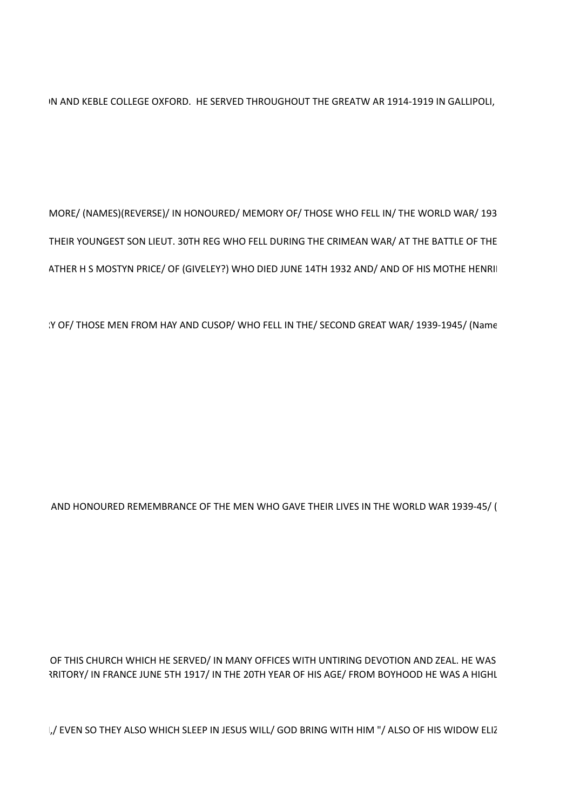IN AND KEBLE COLLEGE OXFORD. HE SERVED THROUGHOUT THE GREATW AR 1914-1919 IN GALLIPOLI,

MORE/ (NAMES)(REVERSE)/ IN HONOURED/ MEMORY OF/ THOSE WHO FELL IN/ THE WORLD WAR/ 193 THEIR YOUNGEST SON LIEUT. 30TH REG WHO FELL DURING THE CRIMEAN WAR/ AT THE BATTLE OF THE ATHER H S MOSTYN PRICE/ OF (GIVELEY?) WHO DIED JUNE 14TH 1932 AND/ AND OF HIS MOTHE HENRII

IY OF/ THOSE MEN FROM HAY AND CUSOP/ WHO FELL IN THE/ SECOND GREAT WAR/ 1939-1945/ (Name

AND HONOURED REMEMBRANCE OF THE MEN WHO GAVE THEIR LIVES IN THE WORLD WAR 1939-45/ (

OF THIS CHURCH WHICH HE SERVED/ IN MANY OFFICES WITH UNTIRING DEVOTION AND ZEAL. HE WAS RITORY/ IN FRANCE JUNE 5TH 1917/ IN THE 20TH YEAR OF HIS AGE/ FROM BOYHOOD HE WAS A HIGHL

,/ EVEN SO THEY ALSO WHICH SLEEP IN JESUS WILL/ GOD BRING WITH HIM "/ ALSO OF HIS WIDOW ELIZ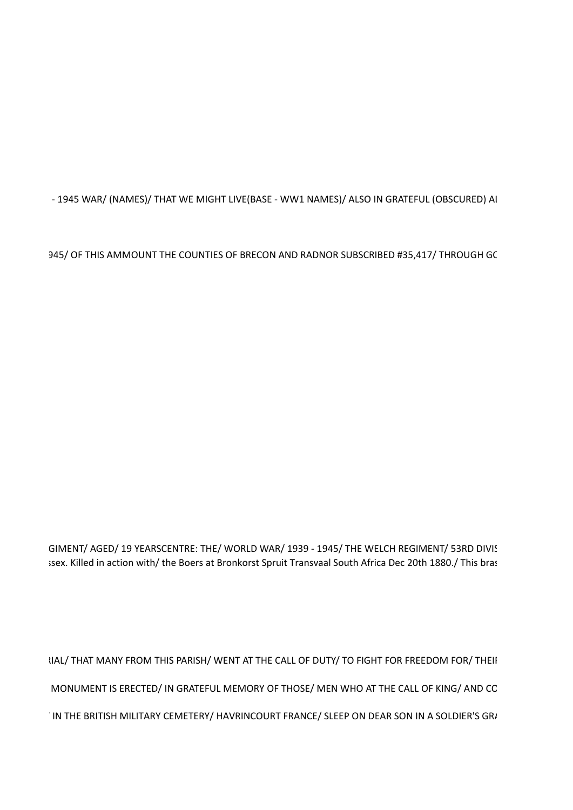- 1945 WAR/ (NAMES)/ THAT WE MIGHT LIVE(BASE - WW1 NAMES)/ ALSO IN GRATEFUL (OBSCURED) AI

945/ OF THIS AMMOUNT THE COUNTIES OF BRECON AND RADNOR SUBSCRIBED #35,417/ THROUGH GC

GIMENT/ AGED/ 19 YEARSCENTRE: THE/ WORLD WAR/ 1939 - 1945/ THE WELCH REGIMENT/ 53RD DIVIS isex. Killed in action with/ the Boers at Bronkorst Spruit Transvaal South Africa Dec 20th 1880./ This bras

IIAL/ THAT MANY FROM THIS PARISH/ WENT AT THE CALL OF DUTY/ TO FIGHT FOR FREEDOM FOR/ THEII MONUMENT IS ERECTED/ IN GRATEFUL MEMORY OF THOSE/ MEN WHO AT THE CALL OF KING/ AND CC IN THE BRITISH MILITARY CEMETERY/ HAVRINCOURT FRANCE/ SLEEP ON DEAR SON IN A SOLDIER'S GRI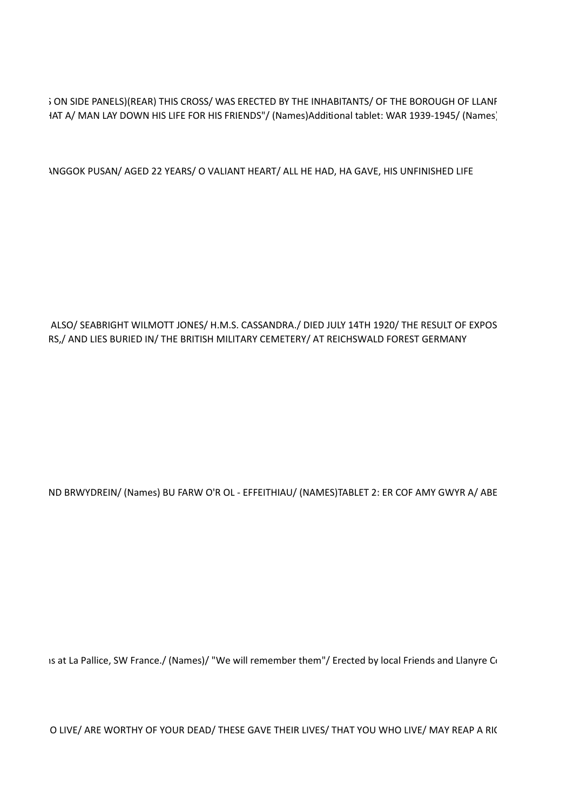; ON SIDE PANELS)(REAR) THIS CROSS/ WAS ERECTED BY THE INHABITANTS/ OF THE BOROUGH OF LLANF HAT A/ MAN LAY DOWN HIS LIFE FOR HIS FRIENDS"/ (Names)Additional tablet: WAR 1939-1945/ (Names)

INGGOK PUSAN/AGED 22 YEARS/O VALIANT HEART/ALL HE HAD, HA GAVE, HIS UNFINISHED LIFE

ALSO/ SEABRIGHT WILMOTT JONES/ H.M.S. CASSANDRA./ DIED JULY 14TH 1920/ THE RESULT OF EXPOS RS,/ AND LIES BURIED IN/ THE BRITISH MILITARY CEMETERY/ AT REICHSWALD FOREST GERMANY

ND BRWYDREIN/ (Names) BU FARW O'R OL - EFFEITHIAU/ (NAMES)TABLET 2: ER COF AMY GWYR A/ ABE

is at La Pallice, SW France./ (Names)/ "We will remember them"/ Erected by local Friends and Llanyre Co

O LIVE/ ARE WORTHY OF YOUR DEAD/ THESE GAVE THEIR LIVES/ THAT YOU WHO LIVE/ MAY REAP A RIC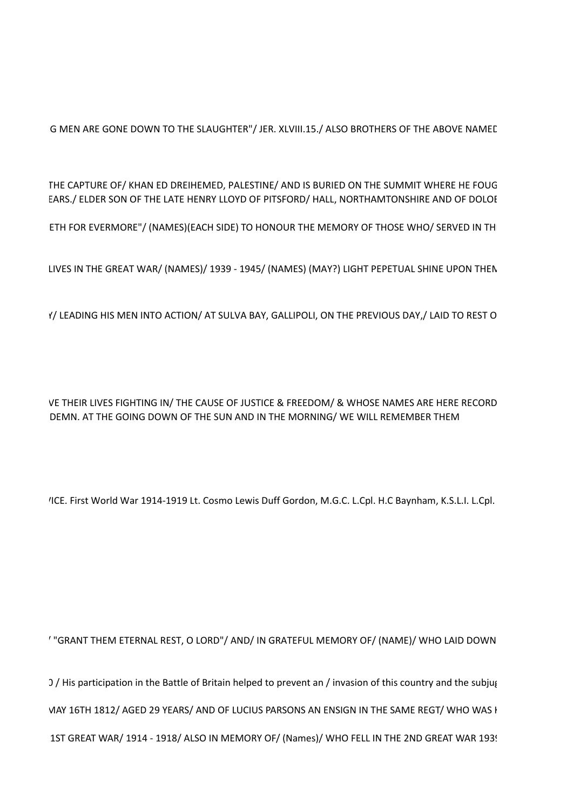G MEN ARE GONE DOWN TO THE SLAUGHTER"/ JER. XLVIII.15./ ALSO BROTHERS OF THE ABOVE NAMED

THE CAPTURE OF/ KHAN ED DREIHEMED, PALESTINE/ AND IS BURIED ON THE SUMMIT WHERE HE FOUG EARS./ ELDER SON OF THE LATE HENRY LLOYD OF PITSFORD/ HALL, NORTHAMTONSHIRE AND OF DOLOI

ETH FOR EVERMORE"/ (NAMES)(EACH SIDE) TO HONOUR THE MEMORY OF THOSE WHO/ SERVED IN TH

LIVES IN THE GREAT WAR/ (NAMES)/ 1939 - 1945/ (NAMES) (MAY?) LIGHT PEPETUAL SHINE UPON THEN

f/ LEADING HIS MEN INTO ACTION/ AT SULVA BAY, GALLIPOLI, ON THE PREVIOUS DAY,/ LAID TO REST O

VE THEIR LIVES FIGHTING IN/ THE CAUSE OF JUSTICE & FREEDOM/ & WHOSE NAMES ARE HERE RECORD DEMN. AT THE GOING DOWN OF THE SUN AND IN THE MORNING/ WE WILL REMEMBER THEM

/ICE. First World War 1914-1919 Lt. Cosmo Lewis Duff Gordon, M.G.C. L.Cpl. H.C Baynham, K.S.L.I. L.Cpl.

' "GRANT THEM ETERNAL REST, O LORD"/ AND/ IN GRATEFUL MEMORY OF/ (NAME)/ WHO LAID DOWN

) / His participation in the Battle of Britain helped to prevent an / invasion of this country and the subjug VIAY 16TH 1812/ AGED 29 YEARS/ AND OF LUCIUS PARSONS AN ENSIGN IN THE SAME REGT/ WHO WAS I 1ST GREAT WAR/ 1914 - 1918/ ALSO IN MEMORY OF/ (Names)/ WHO FELL IN THE 2ND GREAT WAR 193!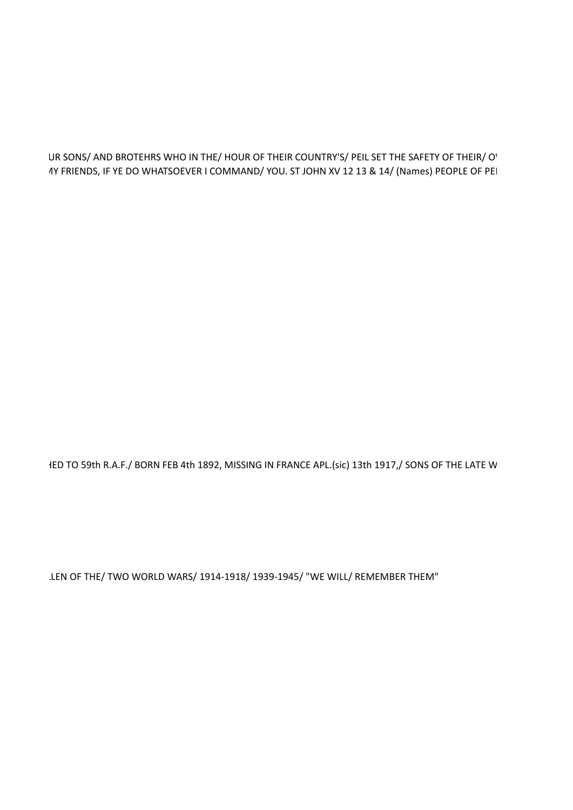### UR SONS/ AND BROTEHRS WHO IN THE/ HOUR OF THEIR COUNTRY'S/ PEIL SET THE SAFETY OF THEIR/ O' 1Y FRIENDS, IF YE DO WHATSOEVER I COMMAND/ YOU. ST JOHN XV 12 13 & 14/ (Names) PEOPLE OF PEI

IED TO 59th R.A.F./ BORN FEB 4th 1892, MISSING IN FRANCE APL.(sic) 13th 1917,/ SONS OF THE LATE W

LEN OF THE/ TWO WORLD WARS/ 1914-1918/ 1939-1945/ "WE WILL/ REMEMBER THEM"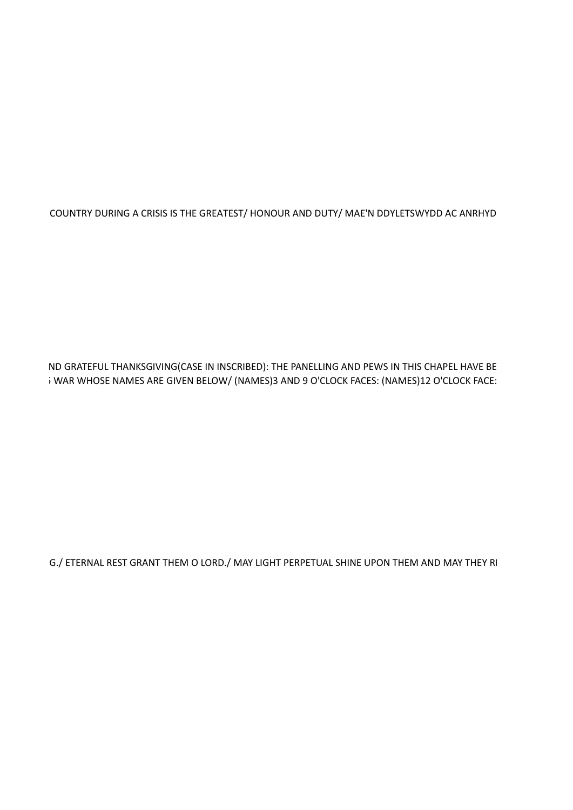COUNTRY DURING A CRISIS IS THE GREATEST/ HONOUR AND DUTY/ MAE'N DDYLETSWYDD AC ANRHYD

ND GRATEFUL THANKSGIVING(CASE IN INSCRIBED): THE PANELLING AND PEWS IN THIS CHAPEL HAVE BE i WAR WHOSE NAMES ARE GIVEN BELOW/ (NAMES)3 AND 9 O'CLOCK FACES: (NAMES)12 O'CLOCK FACE:

G./ ETERNAL REST GRANT THEM O LORD./ MAY LIGHT PERPETUAL SHINE UPON THEM AND MAY THEY RI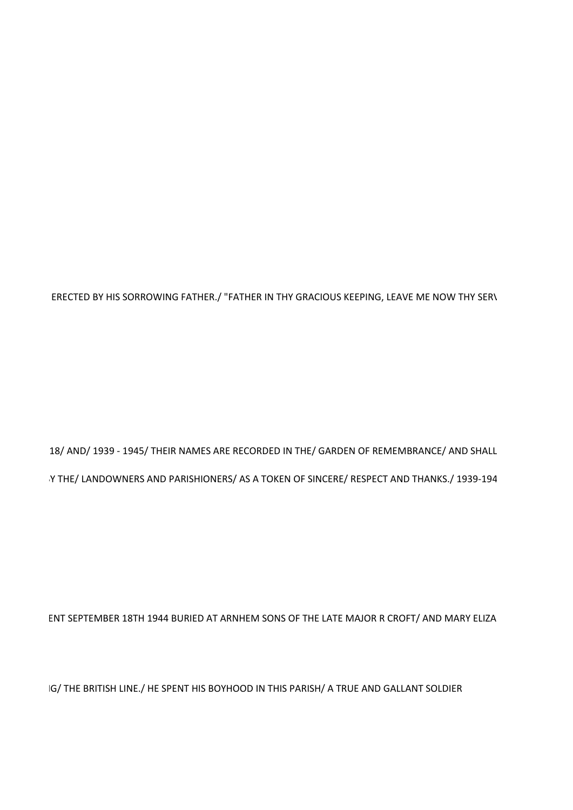IG/ THE BRITISH LINE./ HE SPENT HIS BOYHOOD IN THIS PARISH/ A TRUE AND GALLANT SOLDIER

ENT SEPTEMBER 18TH 1944 BURIED AT ARNHEM SONS OF THE LATE MAJOR R CROFT/ AND MARY ELIZA

18/ AND/ 1939 - 1945/ THEIR NAMES ARE RECORDED IN THE/ GARDEN OF REMEMBRANCE/ AND SHALL Y THE/ LANDOWNERS AND PARISHIONERS/ AS A TOKEN OF SINCERE/ RESPECT AND THANKS./ 1939-194

ERECTED BY HIS SORROWING FATHER./ "FATHER IN THY GRACIOUS KEEPING, LEAVE ME NOW THY SERV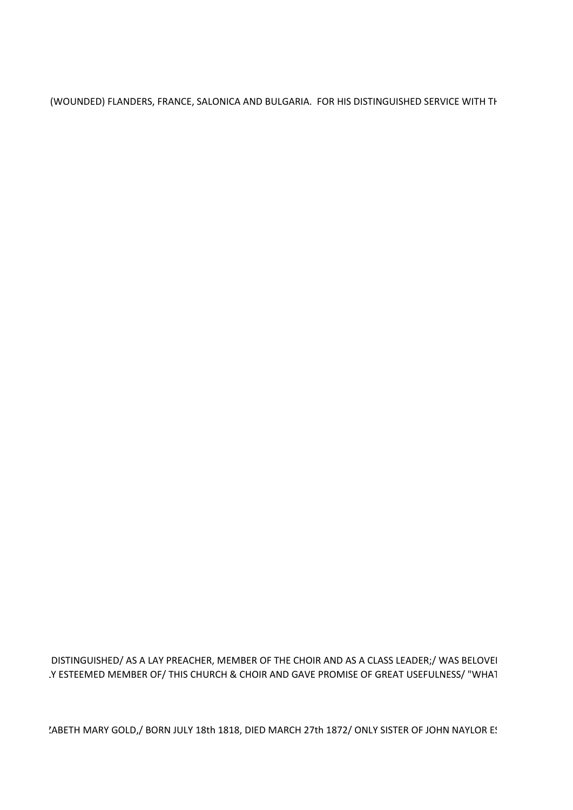(WOUNDED) FLANDERS, FRANCE, SALONICA AND BULGARIA. FOR HIS DISTINGUISHED SERVICE WITH TH

DISTINGUISHED/ AS A LAY PREACHER, MEMBER OF THE CHOIR AND AS A CLASS LEADER;/ WAS BELOVEI .Y ESTEEMED MEMBER OF/ THIS CHURCH & CHOIR AND GAVE PROMISE OF GREAT USEFULNESS/ "WHAT

'ABETH MARY GOLD,/ BORN JULY 18th 1818, DIED MARCH 27th 1872/ ONLY SISTER OF JOHN NAYLOR E!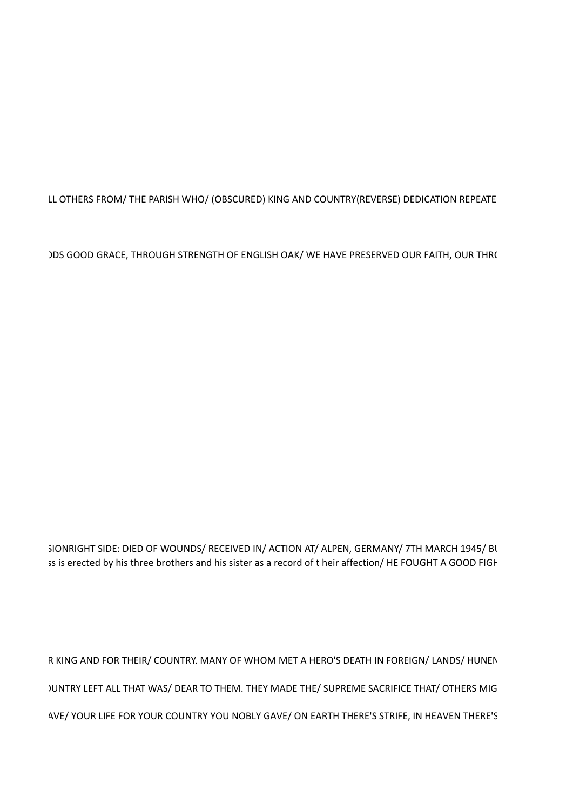LL OTHERS FROM/ THE PARISH WHO/ (OBSCURED) KING AND COUNTRY(REVERSE) DEDICATION REPEATE

IDS GOOD GRACE, THROUGH STRENGTH OF ENGLISH OAK/ WE HAVE PRESERVED OUR FAITH, OUR THRO

SIONRIGHT SIDE: DIED OF WOUNDS/ RECEIVED IN/ ACTION AT/ ALPEN, GERMANY/ 7TH MARCH 1945/ BL is is erected by his three brothers and his sister as a record of t heir affection/HE FOUGHT A GOOD FIGH

R KING AND FOR THEIR/ COUNTRY. MANY OF WHOM MET A HERO'S DEATH IN FOREIGN/ LANDS/ HUNEN JUNTRY LEFT ALL THAT WAS/ DEAR TO THEM. THEY MADE THE/ SUPREME SACRIFICE THAT/ OTHERS MIG AVE/ YOUR LIFE FOR YOUR COUNTRY YOU NOBLY GAVE/ ON EARTH THERE'S STRIFE, IN HEAVEN THERE'S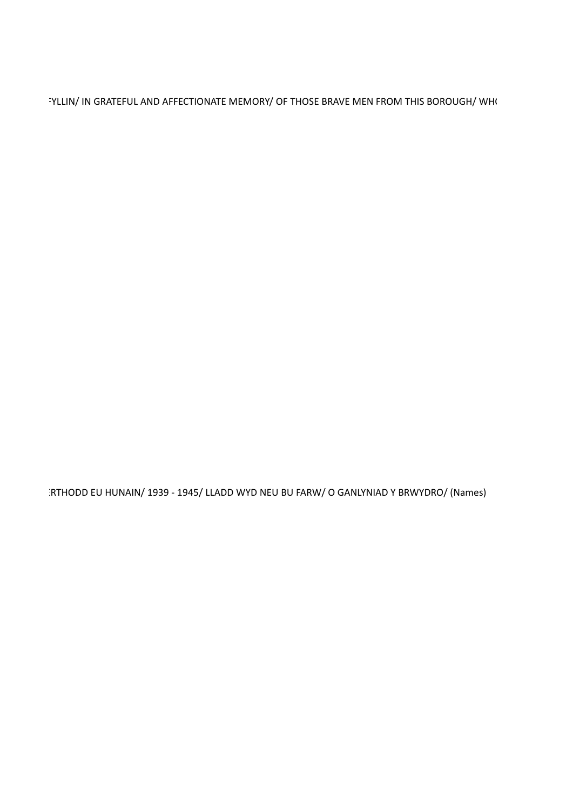"YLLIN/ IN GRATEFUL AND AFFECTIONATE MEMORY/ OF THOSE BRAVE MEN FROM THIS BOROUGH/ WHO

RTHODD EU HUNAIN/ 1939 - 1945/ LLADD WYD NEU BU FARW/ O GANLYNIAD Y BRWYDRO/ (Names)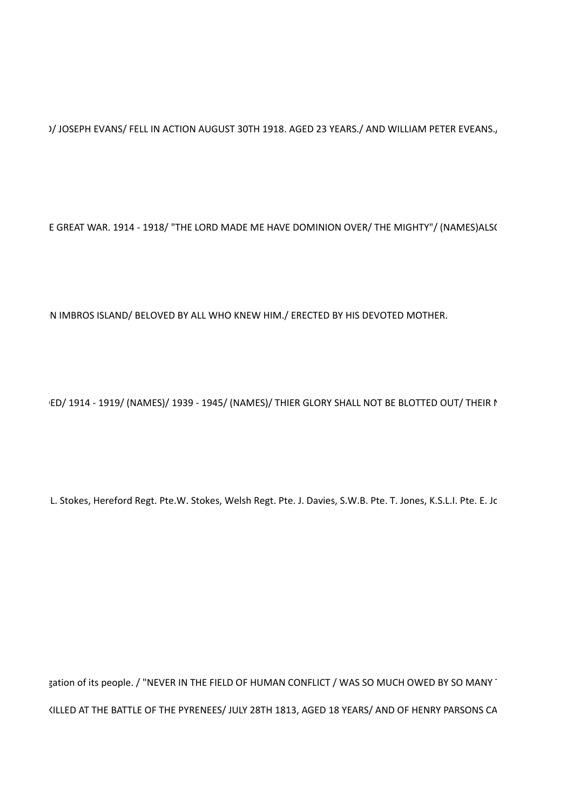)/ JOSEPH EVANS/ FELL IN ACTION AUGUST 30TH 1918. AGED 23 YEARS./ AND WILLIAM PETER EVEANS.,

E GREAT WAR. 1914 - 1918/ "THE LORD MADE ME HAVE DOMINION OVER/ THE MIGHTY"/ (NAMES)ALS(

N IMBROS ISLAND/ BELOVED BY ALL WHO KNEW HIM./ ERECTED BY HIS DEVOTED MOTHER.

ED/ 1914 - 1919/ (NAMES)/ 1939 - 1945/ (NAMES)/ THIER GLORY SHALL NOT BE BLOTTED OUT/ THEIR I

L. Stokes, Hereford Regt. Pte.W. Stokes, Welsh Regt. Pte. J. Davies, S.W.B. Pte. T. Jones, K.S.L.I. Pte. E. Jc

gation of its people. / "NEVER IN THE FIELD OF HUMAN CONFLICT / WAS SO MUCH OWED BY SO MANY" KILLED AT THE BATTLE OF THE PYRENEES/ JULY 28TH 1813, AGED 18 YEARS/ AND OF HENRY PARSONS CA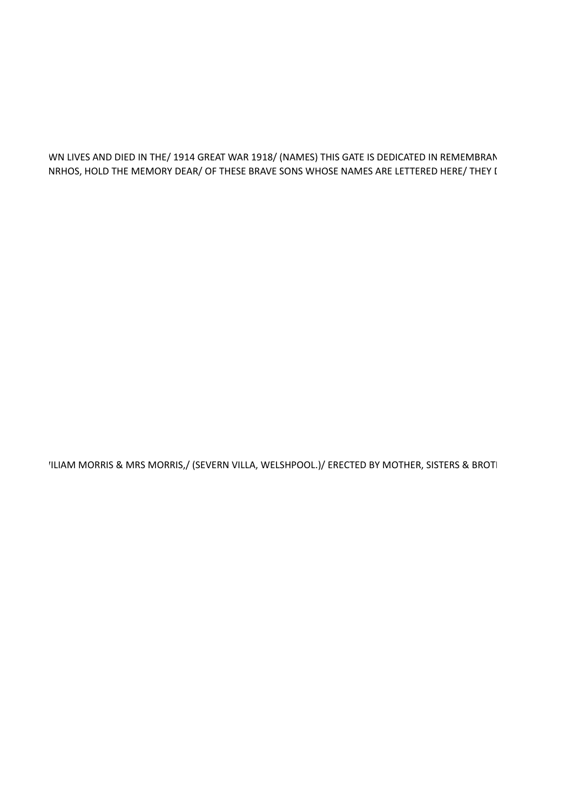## WN LIVES AND DIED IN THE/ 1914 GREAT WAR 1918/ (NAMES) THIS GATE IS DEDICATED IN REMEMBRAN NRHOS, HOLD THE MEMORY DEAR/ OF THESE BRAVE SONS WHOSE NAMES ARE LETTERED HERE/ THEY I

'ILIAM MORRIS & MRS MORRIS,/ (SEVERN VILLA, WELSHPOOL.)/ ERECTED BY MOTHER, SISTERS & BROTI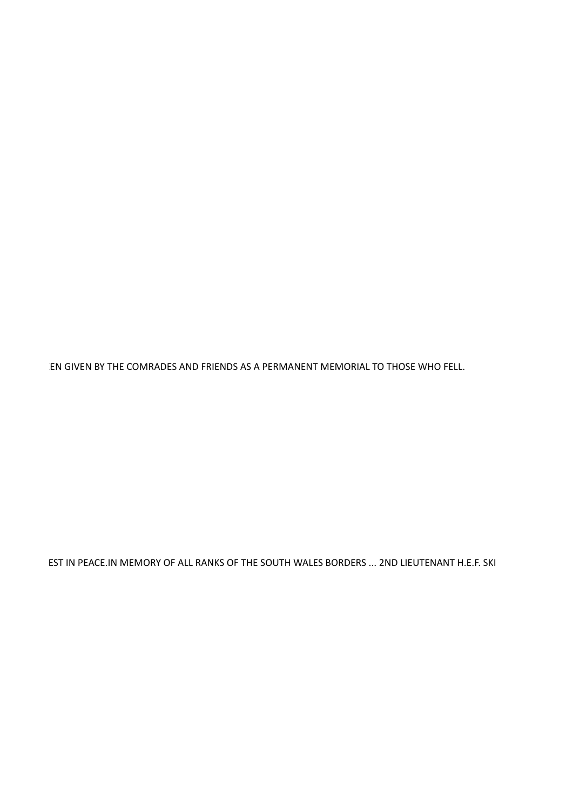EN GIVEN BY THE COMRADES AND FRIENDS AS A PERMANENT MEMORIAL TO THOSE WHO FELL.

EST IN PEACE.IN MEMORY OF ALL RANKS OF THE SOUTH WALES BORDERS ... 2ND LIEUTENANT H.E.F. SKI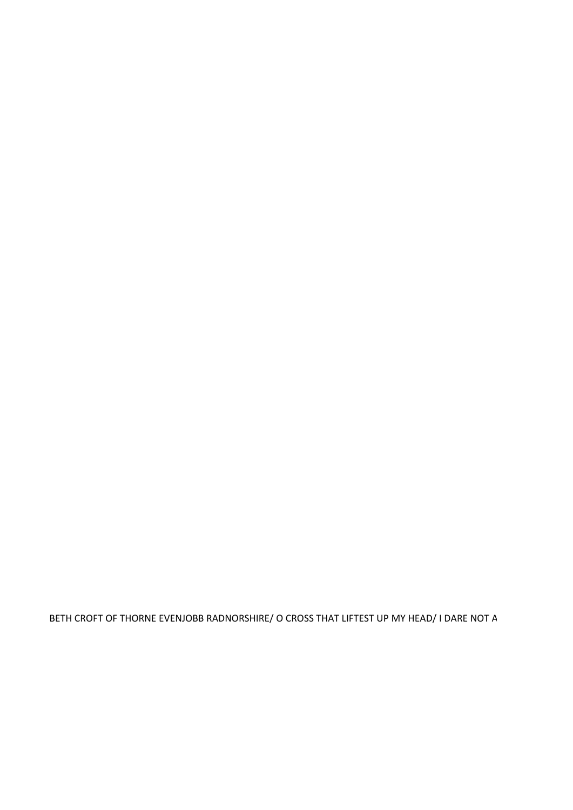BETH CROFT OF THORNE EVENJOBB RADNORSHIRE/ O CROSS THAT LIFTEST UP MY HEAD/ I DARE NOT A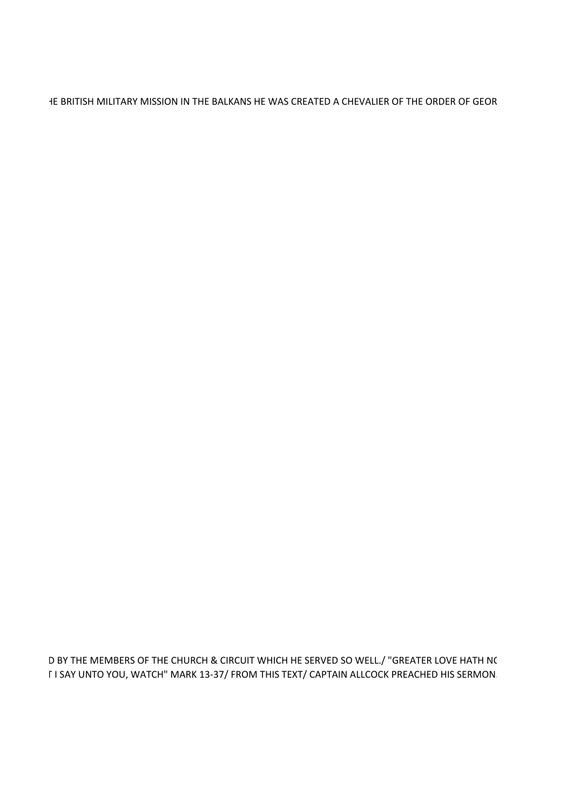HE BRITISH MILITARY MISSION IN THE BALKANS HE WAS CREATED A CHEVALIER OF THE ORDER OF GEOR

D BY THE MEMBERS OF THE CHURCH & CIRCUIT WHICH HE SERVED SO WELL./ "GREATER LOVE HATH NC **FI SAY UNTO YOU, WATCH" MARK 13-37/ FROM THIS TEXT/ CAPTAIN ALLCOCK PREACHED HIS SERMON.**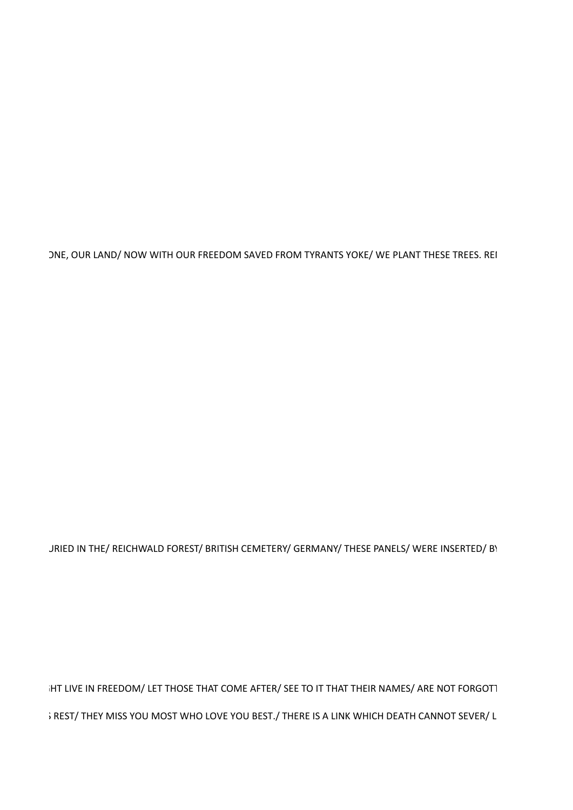ONE, OUR LAND/ NOW WITH OUR FREEDOM SAVED FROM TYRANTS YOKE/ WE PLANT THESE TREES. REI

JRIED IN THE/ REICHWALD FOREST/ BRITISH CEMETERY/ GERMANY/ THESE PANELS/ WERE INSERTED/ BY

IHT LIVE IN FREEDOM/ LET THOSE THAT COME AFTER/ SEE TO IT THAT THEIR NAMES/ ARE NOT FORGOTT ; REST/ THEY MISS YOU MOST WHO LOVE YOU BEST./ THERE IS A LINK WHICH DEATH CANNOT SEVER/ L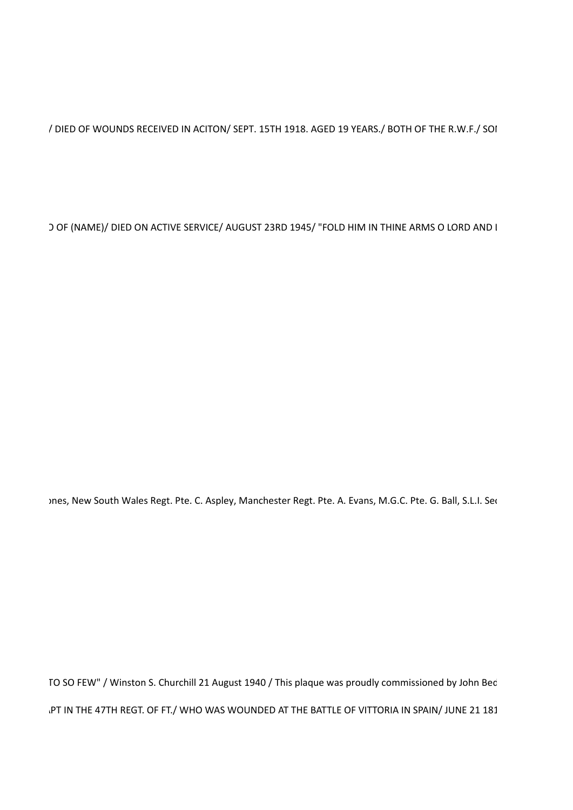/ DIED OF WOUNDS RECEIVED IN ACITON/ SEPT. 15TH 1918. AGED 19 YEARS./ BOTH OF THE R.W.F./ SOI

) OF (NAME)/ DIED ON ACTIVE SERVICE/ AUGUST 23RD 1945/ "FOLD HIM IN THINE ARMS O LORD AND I

mes, New South Wales Regt. Pte. C. Aspley, Manchester Regt. Pte. A. Evans, M.G.C. Pte. G. Ball, S.L.I. Sec

TO SO FEW" / Winston S. Churchill 21 August 1940 / This plaque was proudly commissioned by John Bed .PT IN THE 47TH REGT. OF FT./ WHO WAS WOUNDED AT THE BATTLE OF VITTORIA IN SPAIN/ JUNE 21 181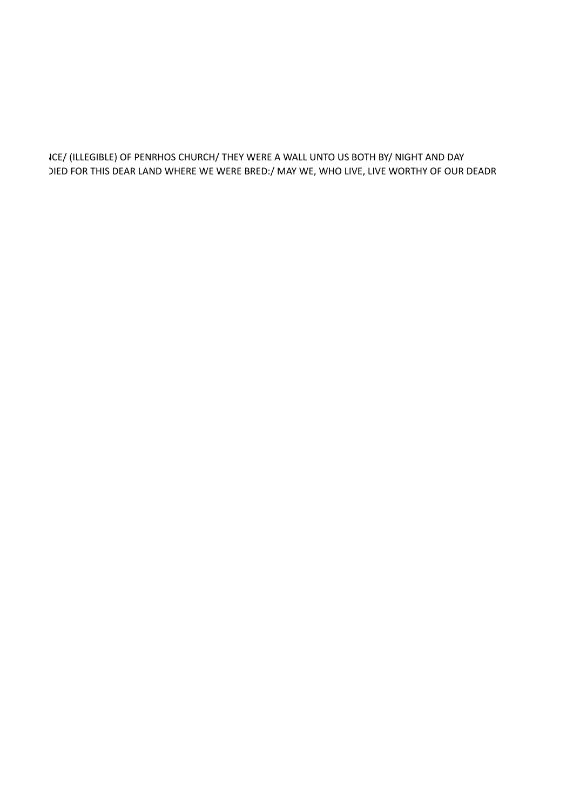ICE/ (ILLEGIBLE) OF PENRHOS CHURCH/ THEY WERE A WALL UNTO US BOTH BY/ NIGHT AND DAY JIED FOR THIS DEAR LAND WHERE WE WERE BRED:/ MAY WE, WHO LIVE, LIVE WORTHY OF OUR DEADR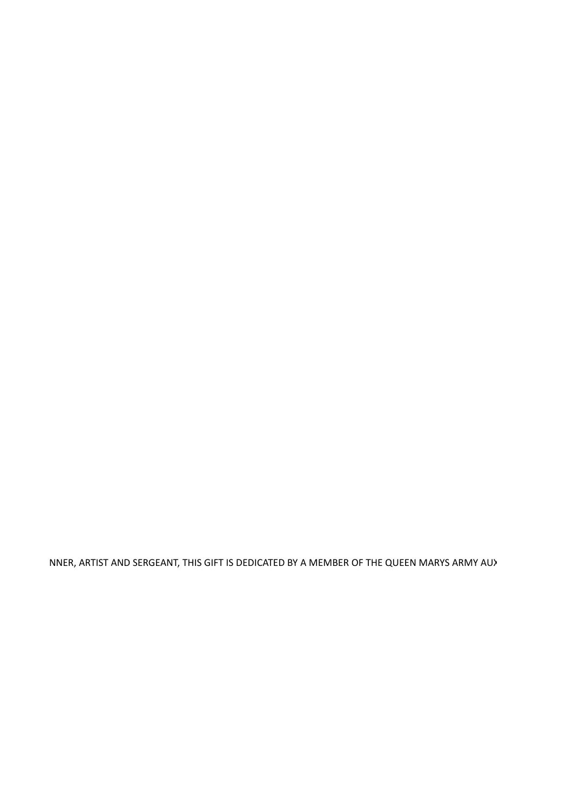NNER, ARTIST AND SERGEANT, THIS GIFT IS DEDICATED BY A MEMBER OF THE QUEEN MARYS ARMY AU>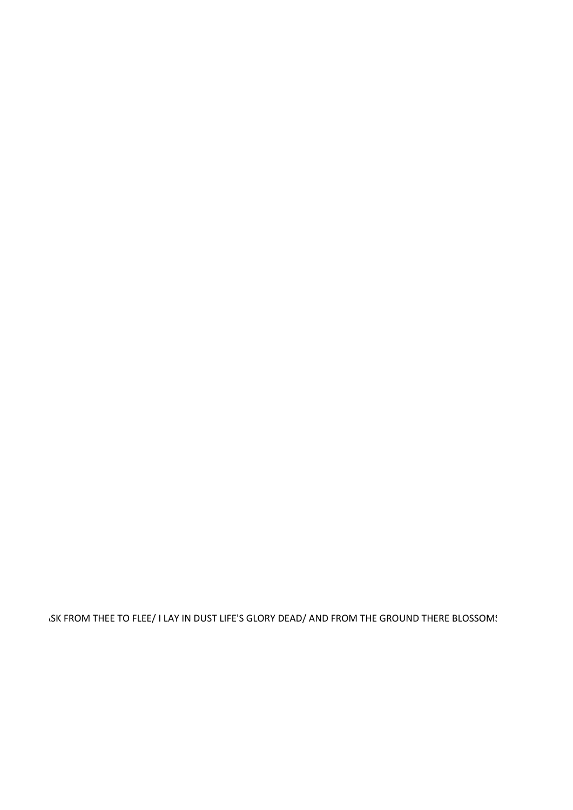ISK FROM THEE TO FLEE/ I LAY IN DUST LIFE'S GLORY DEAD/ AND FROM THE GROUND THERE BLOSSOM!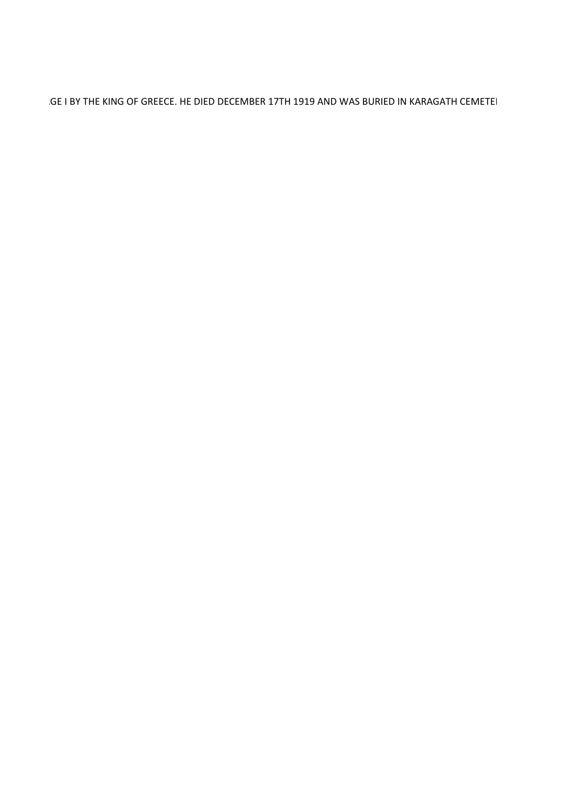GE I BY THE KING OF GREECE. HE DIED DECEMBER 17TH 1919 AND WAS BURIED IN KARAGATH CEMETEI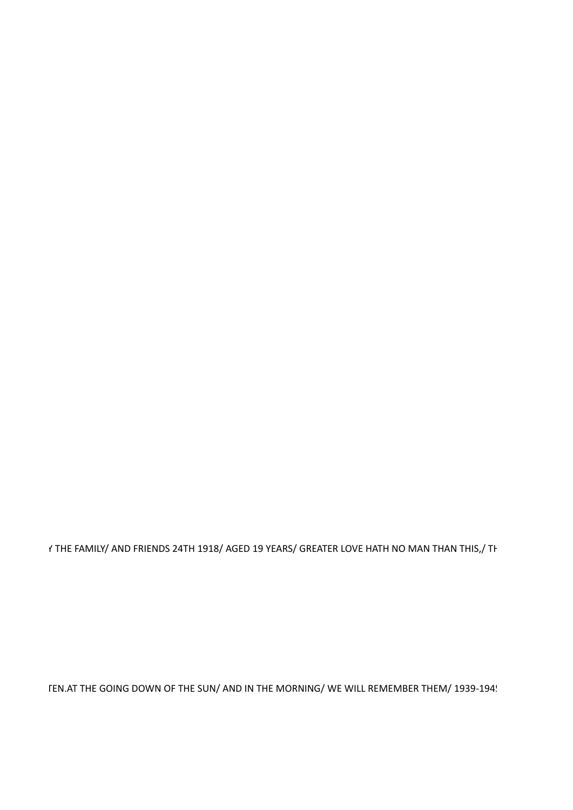TEN.AT THE GOING DOWN OF THE SUN/ AND IN THE MORNING/ WE WILL REMEMBER THEM/ 1939-194!

f THE FAMILY/ AND FRIENDS 24TH 1918/ AGED 19 YEARS/ GREATER LOVE HATH NO MAN THAN THIS,/ TH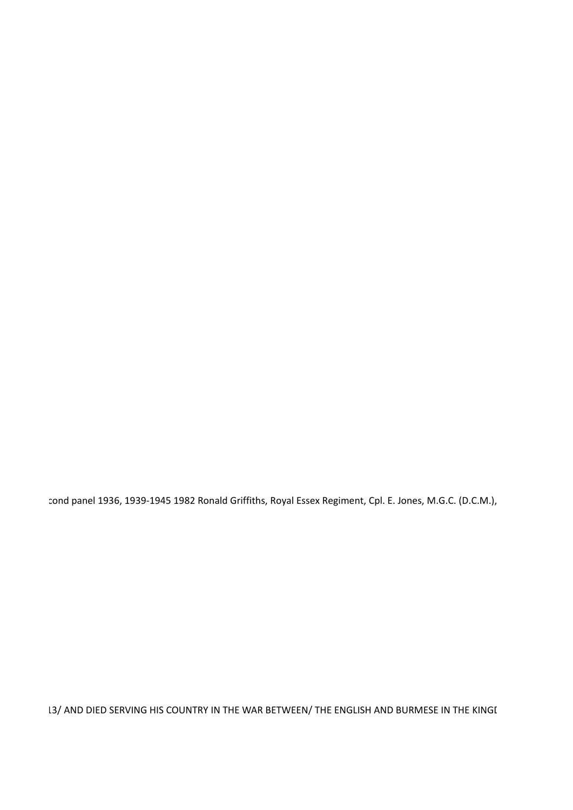cond panel 1936, 1939-1945 1982 Ronald Griffiths, Royal Essex Regiment, Cpl. E. Jones, M.G.C. (D.C.M.),

13/ AND DIED SERVING HIS COUNTRY IN THE WAR BETWEEN/ THE ENGLISH AND BURMESE IN THE KINGI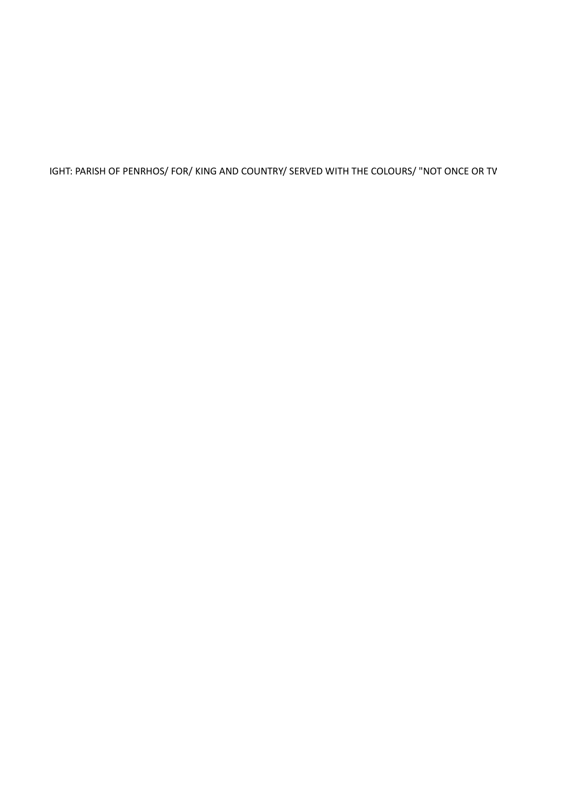IGHT: PARISH OF PENRHOS/ FOR/ KING AND COUNTRY/ SERVED WITH THE COLOURS/ "NOT ONCE OR TV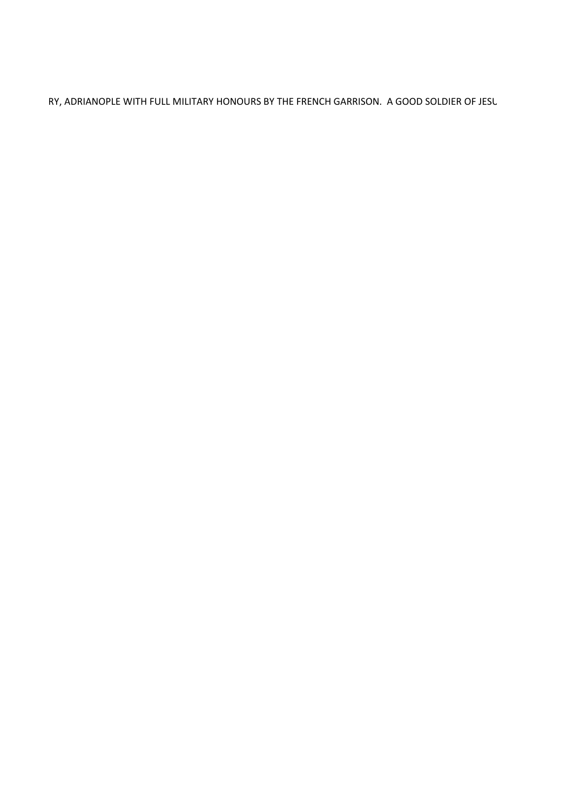RY, ADRIANOPLE WITH FULL MILITARY HONOURS BY THE FRENCH GARRISON. A GOOD SOLDIER OF JESU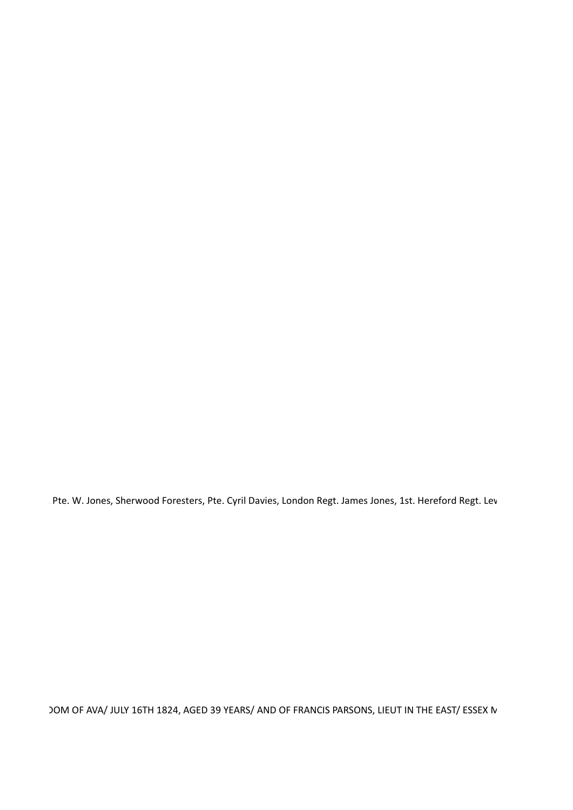Pte. W. Jones, Sherwood Foresters, Pte. Cyril Davies, London Regt. James Jones, 1st. Hereford Regt. Lev

JOM OF AVA/ JULY 16TH 1824, AGED 39 YEARS/ AND OF FRANCIS PARSONS, LIEUT IN THE EAST/ ESSEX N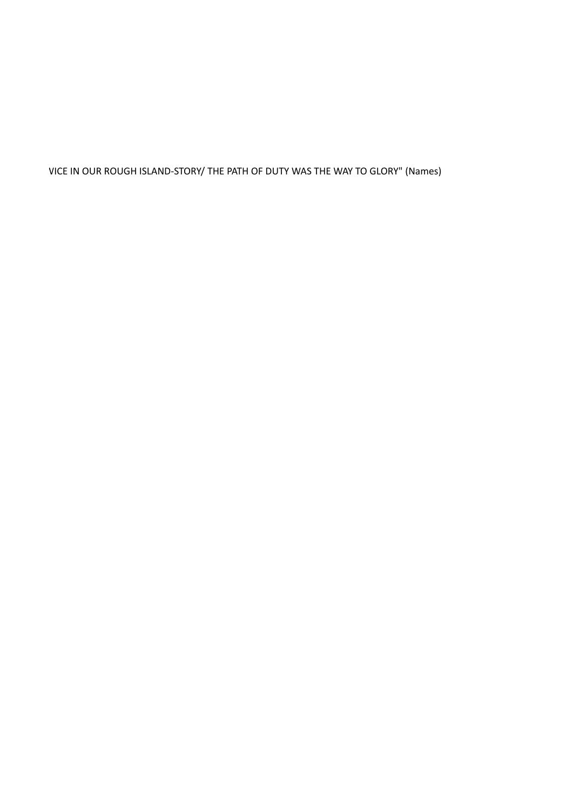VICE IN OUR ROUGH ISLAND-STORY/ THE PATH OF DUTY WAS THE WAY TO GLORY" (Names)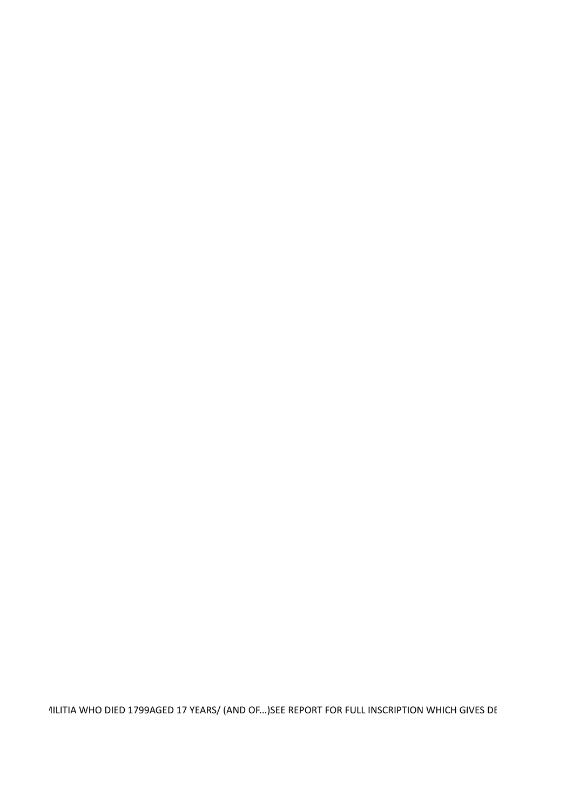1ILITIA WHO DIED 1799AGED 17 YEARS/ (AND OF...)SEE REPORT FOR FULL INSCRIPTION WHICH GIVES DE